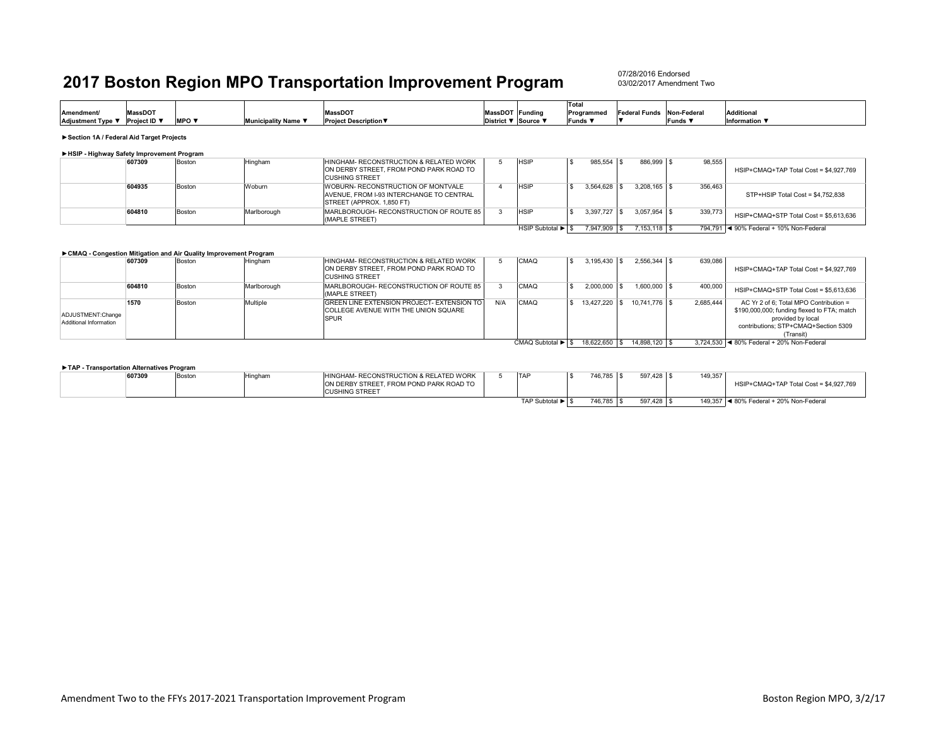07/28/2016 Endorsed03/02/2017 Amendment Two

| <b>MassDOT</b><br><b>MassDOT</b><br><b>Additional</b><br>MassDOT Funding<br><b>Federal Funds</b><br><b>Amendment/</b><br>Non-Federal<br>Programmec<br>/ Project ID ▼<br><b>MPO</b> $\blacktriangledown$<br>Adjustment Type ▼<br>pality Name <b>\</b><br>Funds V<br>District ▼ Source \<br><b>Project Description ▼</b><br>Information \<br>Funds i |  |  |  |  | Total |  |  |
|----------------------------------------------------------------------------------------------------------------------------------------------------------------------------------------------------------------------------------------------------------------------------------------------------------------------------------------------------|--|--|--|--|-------|--|--|
|                                                                                                                                                                                                                                                                                                                                                    |  |  |  |  |       |  |  |
|                                                                                                                                                                                                                                                                                                                                                    |  |  |  |  |       |  |  |

**►Section 1A / Federal Aid Target Projects**

|  | HSIP - Highway Safety Improvement Program |  |
|--|-------------------------------------------|--|
|  |                                           |  |

| 607309 | Boston | Hingham     | HINGHAM- RECONSTRUCTION & RELATED WORK<br>ON DERBY STREET. FROM POND PARK ROAD TO<br><b>CUSHING STREET</b>         | <b>HSIF</b>     | 985.554   | 886.999 \$         | 98.555  | HSIP+CMAQ+TAP Total Cost = \$4.927.769    |
|--------|--------|-------------|--------------------------------------------------------------------------------------------------------------------|-----------------|-----------|--------------------|---------|-------------------------------------------|
| 604935 | Boston | Woburn      | <b>WOBURN- RECONSTRUCTION OF MONTVALE</b><br>AVENUE. FROM I-93 INTERCHANGE TO CENTRAL<br>STREET (APPROX, 1.850 FT) | <b>HSIF</b>     | 3.564.628 | $3.208.165$ \$     | 356,463 | STP+HSIP Total Cost = \$4.752.838         |
| 604810 | Boston | Marlborough | MARLBOROUGH-RECONSTRUCTION OF ROUTE 85<br>(MAPLE STREET)                                                           | <b>HSIF</b>     | 3,397,727 | $3.057.954$ \ \ \$ | 339,773 | HSIP+CMAQ+STP Total Cost = \$5,613,636    |
|        |        |             |                                                                                                                    | HSIP Subtotal ▶ | 7.947.909 | $7.153.118$ S      |         | 794.791   ◀ 90% Federal + 10% Non-Federal |

#### **►CMAQ - Congestion Mitigation and Air Quality Improvement Program**

|                        | 607309 | Boston | Hingham     | HINGHAM- RECONSTRUCTION & RELATED WORK            |     | CMAQ              | 3.195.430  | $2.556.344$ \\$ | 639,086   |                                             |
|------------------------|--------|--------|-------------|---------------------------------------------------|-----|-------------------|------------|-----------------|-----------|---------------------------------------------|
|                        |        |        |             | ON DERBY STREET. FROM POND PARK ROAD TO           |     |                   |            |                 |           | HSIP+CMAQ+TAP Total Cost = \$4.927.769      |
|                        |        |        |             | <b>CUSHING STREET</b>                             |     |                   |            |                 |           |                                             |
|                        | 604810 | Boston | Marlborough | MARLBOROUGH-RECONSTRUCTION OF ROUTE 85            |     | CMAQ              | 2.000.000  | $1.600.000$ \$  | 400,000   | HSIP+CMAQ+STP Total Cost = \$5.613.636      |
|                        |        |        |             | (MAPLE STREET)                                    |     |                   |            |                 |           |                                             |
|                        | 1570   | Boston | Multiple    | <b>GREEN LINE EXTENSION PROJECT- EXTENSION TO</b> | N/A | CMAQ              | 13.427.220 | 10.741.776 \$   | 2.685.444 | AC Yr 2 of 6: Total MPO Contribution =      |
| ADJUSTMENT:Change      |        |        |             | <b>COLLEGE AVENUE WITH THE UNION SQUARE</b>       |     |                   |            |                 |           | \$190,000,000; funding flexed to FTA; match |
| Additional Information |        |        |             | <b>SPUR</b>                                       |     |                   |            |                 |           | provided by local                           |
|                        |        |        |             |                                                   |     |                   |            |                 |           | contributions: STP+CMAQ+Section 5309        |
|                        |        |        |             |                                                   |     |                   |            |                 |           | (Transit)                                   |
|                        |        |        |             |                                                   |     | CMAQ Subtotal ▶ S | 18.622.650 | 14.898.120 \$   |           | 3.724.530   ◀ 80% Federal + 20% Non-Federal |

| TAP - Transportation Alternatives Program |        |        |         |                                                                                                            |                  |            |            |         |                                         |
|-------------------------------------------|--------|--------|---------|------------------------------------------------------------------------------------------------------------|------------------|------------|------------|---------|-----------------------------------------|
|                                           | 607309 | Boston | Hingham | HINGHAM- RECONSTRUCTION & RELATED WORK<br>ON DERBY STREET. FROM POND PARK ROAD TO<br><b>CUSHING STREET</b> | <b>TAP</b>       | 746.785 \$ | 597.428 \$ | 149,357 | HSIP+CMAQ+TAP Total Cost = \$4,927,769  |
|                                           |        |        |         |                                                                                                            | TAP Subtotal ▶ S | 746.785    | 597.428 \$ |         | 149.357 4 80% Federal + 20% Non-Federal |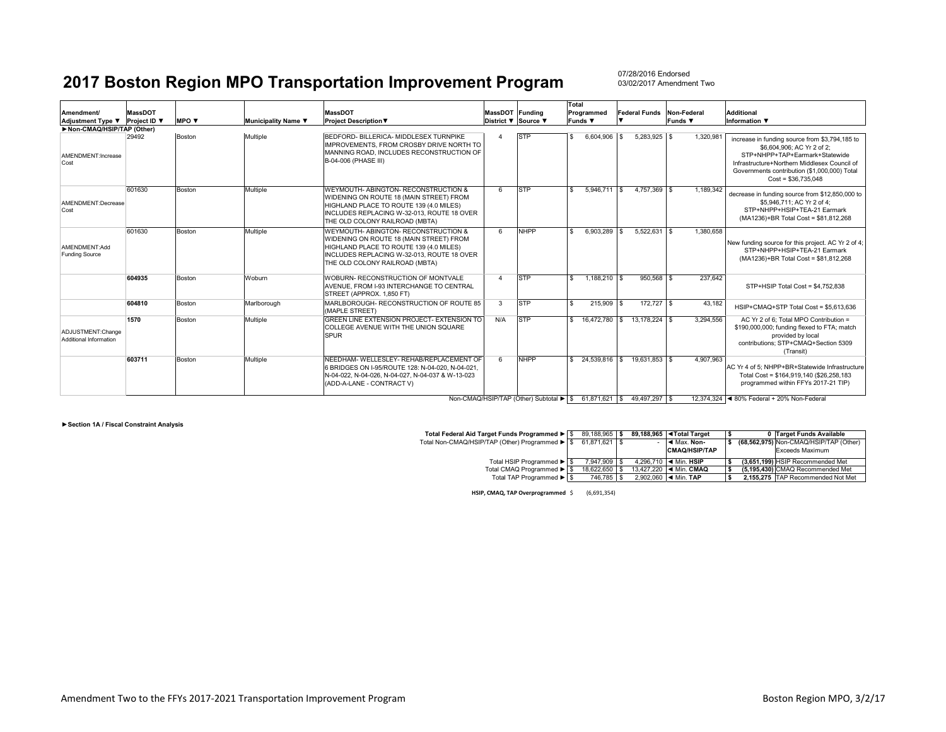07/28/2016 Endorsed03/02/2017 Amendment Two

|                                             |                                |                                 |                     | <b>MassDOT</b>                                                                                                                                                                                             |                                        |             | Total                        |                      |                               | <b>Additional</b>                                                                                                                                                                                                                      |
|---------------------------------------------|--------------------------------|---------------------------------|---------------------|------------------------------------------------------------------------------------------------------------------------------------------------------------------------------------------------------------|----------------------------------------|-------------|------------------------------|----------------------|-------------------------------|----------------------------------------------------------------------------------------------------------------------------------------------------------------------------------------------------------------------------------------|
| <b>Amendment/</b><br>Adjustment Type ▼      | <b>MassDOT</b><br>Project ID ▼ | <b>MPO</b> $\blacktriangledown$ | Municipality Name ▼ | <b>Project Description ▼</b>                                                                                                                                                                               | MassDOT Funding<br>District ▼ Source ▼ |             | Programmed<br>Funds <b>v</b> | <b>Federal Funds</b> | Non-Federal<br>Funds <b>V</b> | Information $\Psi$                                                                                                                                                                                                                     |
| Non-CMAQ/HSIP/TAP (Other)                   |                                |                                 |                     |                                                                                                                                                                                                            |                                        |             |                              |                      |                               |                                                                                                                                                                                                                                        |
| AMENDMENT: Increase<br>Cost                 | 29492                          | Boston                          | Multiple            | BEDFORD- BILLERICA- MIDDLESEX TURNPIKE<br>IMPROVEMENTS, FROM CROSBY DRIVE NORTH TO<br>MANNING ROAD, INCLUDES RECONSTRUCTION OF<br>B-04-006 (PHASE III)                                                     |                                        | <b>STP</b>  | $6.604.906$ \ \$             | $5,283,925$ \$       | 1,320,981                     | increase in funding source from \$3,794,185 to<br>\$6,604,906: AC Yr 2 of 2:<br>STP+NHPP+TAP+Earmark+Statewide<br>Infrastructure+Northern Middlesex Council of<br>Governments contribution (\$1,000,000) Total<br>$Cost = $36.735.048$ |
| AMENDMENT:Decrease<br>Cost                  | 601630                         | Boston                          | Multiple            | WEYMOUTH-ABINGTON-RECONSTRUCTION &<br>WIDENING ON ROUTE 18 (MAIN STREET) FROM<br>HIGHLAND PLACE TO ROUTE 139 (4.0 MILES)<br>INCLUDES REPLACING W-32-013, ROUTE 18 OVER<br>THE OLD COLONY RAILROAD (MBTA)   | 6                                      | <b>STP</b>  | 5.946.711 \$<br>\$.          | 4.757.369 \$         | 1.189.342                     | decrease in funding source from \$12,850,000 to<br>\$5.946.711: AC Yr 2 of 4:<br>STP+NHPP+HSIP+TEA-21 Farmark<br>(MA1236)+BR Total Cost = \$81,812,268                                                                                 |
| AMFNDMFNT:Add<br><b>Funding Source</b>      | 601630                         | Boston                          | Multiple            | WEYMOUTH- ABINGTON- RECONSTRUCTION &<br>WIDENING ON ROUTE 18 (MAIN STREET) FROM<br>HIGHLAND PLACE TO ROUTE 139 (4.0 MILES)<br>INCLUDES REPLACING W-32-013, ROUTE 18 OVER<br>THE OLD COLONY RAILROAD (MBTA) | 6                                      | <b>NHPP</b> | 6.903.289 \$<br>£.           | $5.522.631$ \$       | 1.380.658                     | New funding source for this project. AC Yr 2 of 4;<br>STP+NHPP+HSIP+TEA-21 Earmark<br>(MA1236)+BR Total Cost = \$81,812,268                                                                                                            |
|                                             | 604935                         | Boston                          | Woburn              | WOBURN- RECONSTRUCTION OF MONTVALE<br>AVENUE, FROM I-93 INTERCHANGE TO CENTRAL<br>STREET (APPROX, 1.850 FT)                                                                                                |                                        | <b>STP</b>  | 1,188,210 \$<br>\$.          | 950.568 \$           | 237.642                       | STP+HSIP Total Cost = \$4,752,838                                                                                                                                                                                                      |
|                                             | 604810                         | Boston                          | Marlborough         | MARLBOROUGH- RECONSTRUCTION OF ROUTE 85<br>(MAPLE STREET)                                                                                                                                                  | 3                                      | <b>STP</b>  | 215,909 \$<br>£.             | 172.727 \$           | 43.182                        | HSIP+CMAQ+STP Total Cost = \$5,613,636                                                                                                                                                                                                 |
| ADJUSTMENT:Change<br>Additional Information | 1570                           | <b>Boston</b>                   | Multiple            | GREEN LINE EXTENSION PROJECT- EXTENSION TO<br>COLLEGE AVENUE WITH THE UNION SQUARE<br><b>SPUR</b>                                                                                                          | N/A                                    | <b>STP</b>  | 16,472,780 \$<br>\$          | 13.178.224   \$      | 3.294.556                     | AC Yr 2 of 6: Total MPO Contribution =<br>\$190,000,000; funding flexed to FTA; match<br>provided by local<br>contributions: STP+CMAQ+Section 5309<br>(Transit)                                                                        |
|                                             | 603711                         | Boston                          | Multiple            | NEEDHAM- WELLESLEY- REHAB/REPLACEMENT OF<br>6 BRIDGES ON I-95/ROUTE 128: N-04-020, N-04-021.<br>N-04-022, N-04-026, N-04-027, N-04-037 & W-13-023<br>(ADD-A-LANE - CONTRACT V)                             | 6                                      | <b>NHPP</b> | 24.539.816   \$<br>\$.       | 19.631.853 \$        | 4.907.963                     | AC Yr 4 of 5: NHPP+BR+Statewide Infrastructure<br>Total Cost = \$164,919,140 (\$26,258,183)<br>programmed within FFYs 2017-21 TIP)                                                                                                     |
|                                             |                                |                                 |                     |                                                                                                                                                                                                            |                                        |             |                              |                      |                               |                                                                                                                                                                                                                                        |

Non-CMAQ/HSIP/TAP (Other) Subtotal ▶ | \$61,871,621 | \$49,497,297 | \$12,374,324 | ∢80% Federal + 20% Non-Federal

**►Section 1A / Fiscal Constraint Analysis**

| Total Federal Aid Target Funds Programmed ▶ S  | 89.188.965 \$ |  | 89.188.965   <1 Total Target              |  | 0 Target Funds Available               |
|------------------------------------------------|---------------|--|-------------------------------------------|--|----------------------------------------|
| Total Non-CMAQ/HSIP/TAP (Other) Programmed ▶ S | 61.871.621 S  |  | ◀ Max. Non-                               |  | (68,562,975) Non-CMAQ/HSIP/TAP (Other) |
|                                                |               |  | <b>CMAQ/HSIP/TAP</b>                      |  | Exceeds Maximum                        |
| Total HSIP Programmed ▶ S                      | 7.947.909 \$  |  | 4.296.710 $\blacktriangleleft$ Min. HSIP  |  | (3.651.199) HSIP Recommended Met       |
| Total CMAQ Programmed ▶ S                      | 18.622.650    |  | 13.427.220   ◀ Min. CMAQ                  |  | (5.195.430) CMAQ Recommended Met       |
| Total TAP Programmed ▶ S                       | 746.785   \$  |  | $2.902.060$ $\blacktriangleleft$ Min. TAP |  | 2.155.275 TAP Recommended Not Met      |

**HSIP, CMAQ, TAP Overprogrammed** \$ (6,691,354)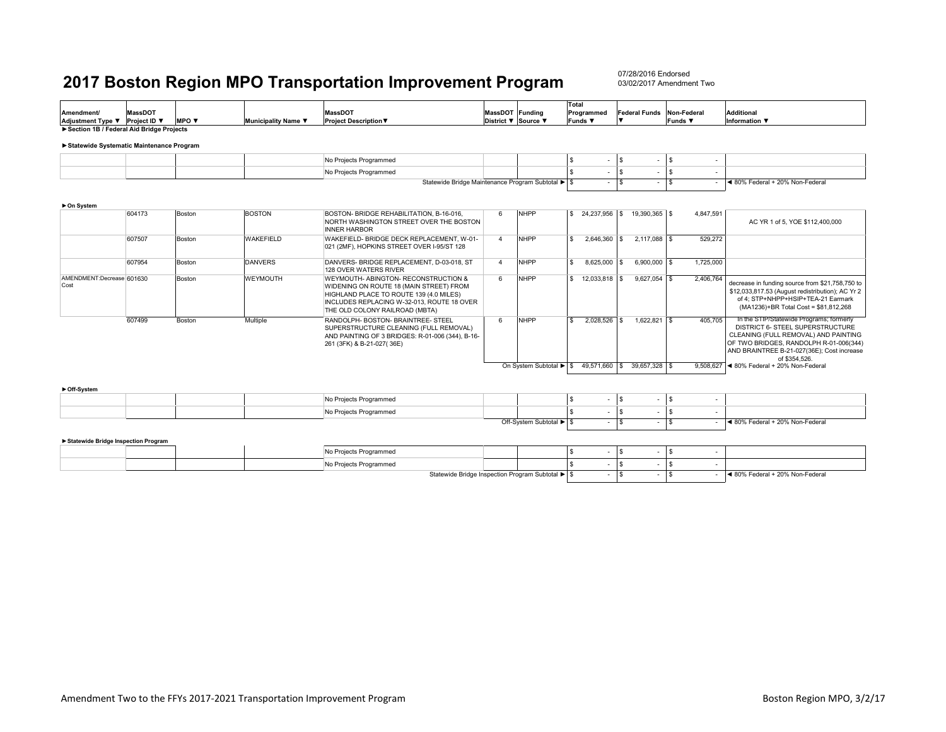07/28/2016 Endorsed03/02/2017 Amendment Two

|                                                                                      |                |              |                     |                                                                                                                                                                                                            |                     |                         | Total                                     |                    |                             |                                        |                                                                                                                                                                                                                               |
|--------------------------------------------------------------------------------------|----------------|--------------|---------------------|------------------------------------------------------------------------------------------------------------------------------------------------------------------------------------------------------------|---------------------|-------------------------|-------------------------------------------|--------------------|-----------------------------|----------------------------------------|-------------------------------------------------------------------------------------------------------------------------------------------------------------------------------------------------------------------------------|
| Amendment/                                                                           | <b>MassDOT</b> |              |                     | <b>MassDOT</b>                                                                                                                                                                                             | MassDOT Funding     |                         | Programmed                                |                    | <b>Federal Funds</b>        | Non-Federal                            | Additional                                                                                                                                                                                                                    |
| Adjustment Type ▼ Project ID ▼                                                       |                | <b>MPO v</b> | Municipality Name ▼ | <b>Project Description ▼</b>                                                                                                                                                                               | District ▼ Source ▼ |                         | <b>Funds</b> ▼                            |                    |                             | Funds $\blacktriangledown$             | Information ▼                                                                                                                                                                                                                 |
| Section 1B / Federal Aid Bridge Projects<br>Statewide Systematic Maintenance Program |                |              |                     |                                                                                                                                                                                                            |                     |                         |                                           |                    |                             |                                        |                                                                                                                                                                                                                               |
|                                                                                      |                |              |                     | No Projects Programmed                                                                                                                                                                                     |                     |                         | \$.                                       | l \$<br>$\sim$     |                             | $\sqrt{s}$<br>$\overline{\phantom{a}}$ |                                                                                                                                                                                                                               |
|                                                                                      |                |              |                     |                                                                                                                                                                                                            |                     |                         |                                           | <b>S</b>           |                             |                                        |                                                                                                                                                                                                                               |
|                                                                                      |                |              |                     | No Projects Programmed<br>Statewide Bridge Maintenance Program Subtotal ▶ S                                                                                                                                |                     |                         |                                           | $\sim$<br><b>S</b> | $\sim$                      | l S<br>÷<br>$\sqrt{s}$                 | ■ 80% Federal + 20% Non-Federal                                                                                                                                                                                               |
| ► On System                                                                          |                |              |                     |                                                                                                                                                                                                            |                     |                         |                                           | $\sim$             | $\sim$                      |                                        |                                                                                                                                                                                                                               |
|                                                                                      | 604173         | Boston       | <b>BOSTON</b>       | BOSTON- BRIDGE REHABILITATION, B-16-016.<br>NORTH WASHINGTON STREET OVER THE BOSTON<br><b>INNER HARBOR</b>                                                                                                 | 6                   | <b>NHPP</b>             |                                           |                    | 19,390,365 \$               | 4,847,591                              | AC YR 1 of 5. YOE \$112,400,000                                                                                                                                                                                               |
|                                                                                      | 607507         | Boston       | <b>WAKEFIELD</b>    | WAKEFIELD- BRIDGE DECK REPLACEMENT. W-01-<br>021 (2MF), HOPKINS STREET OVER I-95/ST 128                                                                                                                    | $\overline{4}$      | <b>NHPP</b>             | $2.646.360$ \ \$<br>$\tilde{\mathcal{L}}$ |                    | $2.117.088$ \$              | 529,272                                |                                                                                                                                                                                                                               |
|                                                                                      | 607954         | Boston       | <b>DANVERS</b>      | DANVERS- BRIDGE REPLACEMENT, D-03-018, ST<br>128 OVER WATERS RIVER                                                                                                                                         | $\Delta$            | <b>NHPP</b>             | £.<br>8,625,000                           | l s                | $6,900,000$ \$              | 1,725,000                              |                                                                                                                                                                                                                               |
| AMENDMENT:Decrease 601630<br>Cost                                                    |                | Boston       | WEYMOUTH            | WEYMOUTH- ABINGTON- RECONSTRUCTION &<br>WIDENING ON ROUTE 18 (MAIN STREET) FROM<br>HIGHLAND PLACE TO ROUTE 139 (4.0 MILES)<br>INCLUDES REPLACING W-32-013, ROUTE 18 OVER<br>THE OLD COLONY RAILROAD (MBTA) | 6                   | <b>NHPP</b>             | s.<br>12.033.818   \$                     |                    | $9.627.054$ \$              | 2.406.764                              | decrease in funding source from \$21,758,750 to<br>\$12,033,817.53 (August redistribution); AC Yr 2<br>of 4: STP+NHPP+HSIP+TEA-21 Earmark<br>(MA1236)+BR Total Cost = \$81,812,268                                            |
|                                                                                      | 607499         | Boston       | Multiple            | RANDOLPH- BOSTON- BRAINTREE- STEEL<br>SUPERSTRUCTURE CLEANING (FULL REMOVAL)<br>AND PAINTING OF 3 BRIDGES: R-01-006 (344), B-16-<br>261 (3FK) & B-21-027(36E)                                              | 6                   | <b>NHPP</b>             | $2.028.526$ \$<br>$\tilde{\mathcal{L}}$   |                    |                             | 405,705                                | In the STIP/Statewide Programs; formerly<br>DISTRICT 6- STEEL SUPERSTRUCTURE<br>CLEANING (FULL REMOVAL) AND PAINTING<br>OF TWO BRIDGES, RANDOLPH R-01-006(344)<br>AND BRAINTREE B-21-027(36E); Cost increase<br>of \$354.526. |
| ► Off-System                                                                         |                |              |                     |                                                                                                                                                                                                            |                     | On System Subtotal ▶ \$ |                                           |                    | 49,571,660 \$ 39,657,328 \$ |                                        | 9.508.627 < 80% Federal + 20% Non-Federal                                                                                                                                                                                     |
|                                                                                      |                |              |                     | No Projects Programmed                                                                                                                                                                                     |                     |                         | £.                                        | <b>S</b><br>$\sim$ | $\sim$                      | $\sqrt{s}$<br>$\sim$                   |                                                                                                                                                                                                                               |
|                                                                                      |                |              |                     | No Projects Programmed                                                                                                                                                                                     |                     |                         |                                           | l s<br>$\sim$      | $\sim$                      | $\sqrt{s}$                             |                                                                                                                                                                                                                               |
|                                                                                      |                |              |                     |                                                                                                                                                                                                            |                     | Off-System Subtotal ▶ S |                                           | l s<br>$\sim$      | $-5$                        |                                        | ■ 80% Federal + 20% Non-Federal                                                                                                                                                                                               |
|                                                                                      |                |              |                     |                                                                                                                                                                                                            |                     |                         |                                           |                    |                             |                                        |                                                                                                                                                                                                                               |

#### **►Statewide Bridge Inspection Program**

|  |  | No Projects Programmed                           |  |  |  |                                 |
|--|--|--------------------------------------------------|--|--|--|---------------------------------|
|  |  | p Projects Programmed                            |  |  |  |                                 |
|  |  | Statewide Bridge Inspection Program Subtotal ▶ S |  |  |  | ◀ 80% Federal + 20% Non-Federal |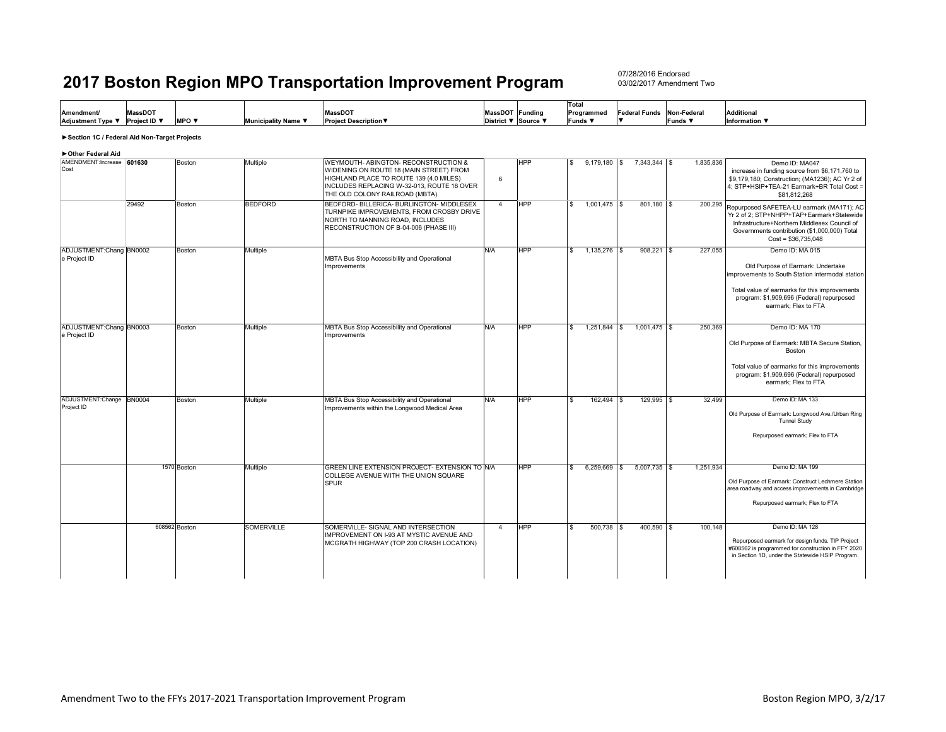07/28/2016 Endorsed03/02/2017 Amendment Two

|                                |         |                                 |                            |                              |                     | ITota.       |                      |               |                   |
|--------------------------------|---------|---------------------------------|----------------------------|------------------------------|---------------------|--------------|----------------------|---------------|-------------------|
| <b>Amendment/</b>              | MassDOT |                                 |                            | MassDOT                      | MassDOT Funding     | Programmed   | <b>Federal Funds</b> | Non-Federal   | <b>Additional</b> |
| Adjustment Type ▼ Project ID ▼ |         | <b>MPO</b> $\blacktriangledown$ | <b>Municipality Name \</b> | <b>Project Description ▼</b> | District ▼ Source ▼ | <b>Funds</b> |                      | <b>IFunds</b> | Information V     |

#### **►Section 1C / Federal Aid Non-Target Projects**

#### **►Other Federal Aid**

| AMENDMENT: Increase 601630<br>Cost      |               | Boston        | Multiple          | WEYMOUTH- ABINGTON- RECONSTRUCTION &<br>WIDENING ON ROUTE 18 (MAIN STREET) FROM<br>HIGHLAND PLACE TO ROUTE 139 (4.0 MILES)<br>INCLUDES REPLACING W-32-013, ROUTE 18 OVER<br>THE OLD COLONY RAILROAD (MBTA) | 6              | <b>HPP</b> |                         | $9,179,180$ \$ | 7,343,344 \$   | 1,835,836 | Demo ID: MA047<br>increase in funding source from \$6,171,760 to<br>\$9,179,180; Construction; (MA1236); AC Yr 2 of<br>4; STP+HSIP+TEA-21 Earmark+BR Total Cost =<br>\$81.812.268                                              |
|-----------------------------------------|---------------|---------------|-------------------|------------------------------------------------------------------------------------------------------------------------------------------------------------------------------------------------------------|----------------|------------|-------------------------|----------------|----------------|-----------|--------------------------------------------------------------------------------------------------------------------------------------------------------------------------------------------------------------------------------|
|                                         | 29492         | Boston        | <b>BEDFORD</b>    | BEDFORD- BILLERICA- BURLINGTON- MIDDLESEX<br>TURNPIKE IMPROVEMENTS. FROM CROSBY DRIVE<br>NORTH TO MANNING ROAD, INCLUDES<br>RECONSTRUCTION OF B-04-006 (PHASE III)                                         | $\overline{4}$ | <b>HPP</b> | $\overline{\mathbf{s}}$ | $1,001,475$ \$ | 801,180 \$     |           | 200,295 Repurposed SAFETEA-LU earmark (MA171); AC<br>Yr 2 of 2: STP+NHPP+TAP+Earmark+Statewide<br>Infrastructure+Northern Middlesex Council of<br>Governments contribution (\$1,000,000) Total<br>$Cost = $36,735,048$         |
| ADJUSTMENT:Chang BN0002<br>e Project ID |               | Boston        | Multiple          | MBTA Bus Stop Accessibility and Operational<br><b>Improvements</b>                                                                                                                                         | N/A            | <b>HPP</b> | £.                      | $1,135,276$ \$ | $908.221$ \$   | 227,055   | Demo ID: MA 015<br>Old Purpose of Earmark: Undertake<br>improvements to South Station intermodal station<br>Total value of earmarks for this improvements<br>program: \$1,909,696 (Federal) repurposed<br>earmark: Flex to FTA |
| ADJUSTMENT:Chang BN0003<br>e Project ID |               | Boston        | Multiple          | MBTA Bus Stop Accessibility and Operational<br>Improvements                                                                                                                                                | N/A            | <b>HPP</b> | $\hat{\mathbf{r}}$      | $1,251,844$ \$ | $1,001,475$ \$ | 250,369   | Demo ID: MA 170<br>Old Purpose of Earmark: MBTA Secure Station,<br><b>Boston</b><br>Total value of earmarks for this improvements<br>program: \$1,909,696 (Federal) repurposed<br>earmark; Flex to FTA                         |
| ADJUSTMENT:Change<br>Project ID         | <b>BN0004</b> | Boston        | Multiple          | MBTA Bus Stop Accessibility and Operational<br>Improvements within the Longwood Medical Area                                                                                                               | N/A            | <b>HPP</b> | $\hat{\mathbf{r}}$      | 162.494 \$     | 129.995 \$     | 32.499    | Demo ID: MA 133<br>Old Purpose of Earmark: Longwood Ave./Urban Ring<br><b>Tunnel Study</b><br>Repurposed earmark; Flex to FTA                                                                                                  |
|                                         |               | 1570 Boston   | Multiple          | GREEN LINE EXTENSION PROJECT- EXTENSION TO IN/A<br>COLLEGE AVENUE WITH THE UNION SQUARE<br><b>SPUR</b>                                                                                                     |                | <b>HPP</b> | $\hat{\mathbf{r}}$      | 6,259,669 \$   | $5,007,735$ \$ | 1,251,934 | Demo ID: MA 199<br>Old Purpose of Earmark: Construct Lechmere Station<br>area roadway and access improvements in Cambridge<br>Repurposed earmark; Flex to FTA                                                                  |
|                                         |               | 608562 Boston | <b>SOMERVILLE</b> | SOMERVILLE- SIGNAL AND INTERSECTION<br>IMPROVEMENT ON I-93 AT MYSTIC AVENUE AND<br>MCGRATH HIGHWAY (TOP 200 CRASH LOCATION)                                                                                | $\overline{4}$ | <b>HPP</b> | $\hat{\mathbf{r}}$      | $500,738$ \$   | 400,590 \$     | 100,148   | Demo ID: MA 128<br>Repurposed earmark for design funds. TIP Project<br>#608562 is programmed for construction in FFY 2020<br>in Section 1D, under the Statewide HSIP Program.                                                  |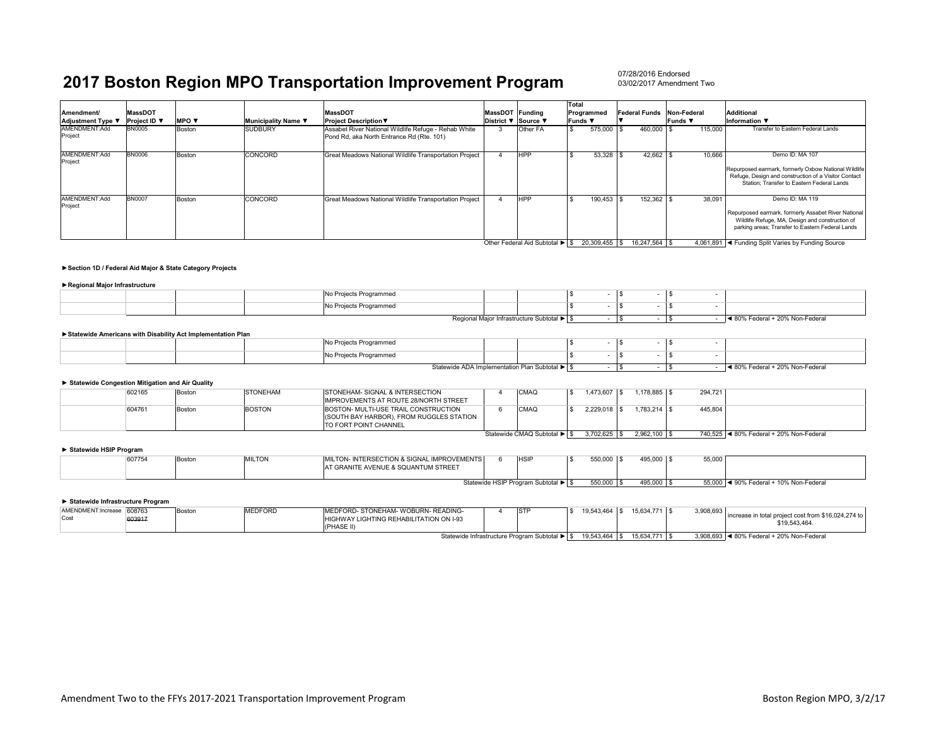#### 07/28/2016 Endorsed03/02/2017 Amendment Two

| Amendment/<br>Adjustment Type ▼ | <b>MassDOT</b><br>Project ID ▼ | <b>MPO</b> $\blacktriangledown$ | Municipality Name ▼ | <b>MassDOT</b><br><b>Project Description ▼</b>                                                    | MassDOT Funding<br>District ▼ Source ▼ |                 | <b>Total</b><br>Programmed<br>Funds ▼ | Federal Funds Non-Federal | <b>Funds</b> ▼ | Additional<br>Information $\blacktriangledown$                                                                                                                                |
|---------------------------------|--------------------------------|---------------------------------|---------------------|---------------------------------------------------------------------------------------------------|----------------------------------------|-----------------|---------------------------------------|---------------------------|----------------|-------------------------------------------------------------------------------------------------------------------------------------------------------------------------------|
| AMENDMENT:Add<br>Project        | <b>BN0005</b>                  | Boston                          | <b>SUDBURY</b>      | Assabet River National Wildlife Refuge - Rehab White<br>Pond Rd, aka North Entrance Rd (Rte. 101) |                                        | <b>Other FA</b> | 575,000                               | 460,000                   | 115,000        | Transfer to Eastern Federal Lands                                                                                                                                             |
| AMENDMENT:Add<br>Project        | <b>BN0006</b>                  | Boston                          | CONCORD             | Great Meadows National Wildlife Transportation Project                                            |                                        | <b>HPP</b>      | $53,328$ \$                           | $42.662$ \$               | 10.666         | Demo ID: MA 107<br>Repurposed earmark, formerly Oxbow National Wildlife<br>Refuge, Design and construction of a Visitor Contact<br>Station: Transfer to Eastern Federal Lands |
| AMENDMENT:Add<br>Project        | <b>BN0007</b>                  | Boston                          | CONCORD             | Great Meadows National Wildlife Transportation Project                                            |                                        | <b>HPP</b>      | 190.453                               | 152.362 \$                | 38.091         | Demo ID: MA 119<br>Repurposed earmark, formerly Assabet River National<br>Wildlife Refuge, MA, Design and construction of<br>parking areas; Transfer to Eastern Federal Lands |

Other Federal Aid Subtotal ▶ | \$20,309,455 | \$16,247,564 | \$4,061,891 | < Funding Split Varies by Funding Source

#### **►Section 1D / Federal Aid Major & State Category Projects**

#### **►Regional Major Infrastructure**

|  |  | No Projects Programmed<br>$\sim$ $\sim$ |                                            |  |  |                               |
|--|--|-----------------------------------------|--------------------------------------------|--|--|-------------------------------|
|  |  | No Projects Programmed                  |                                            |  |  |                               |
|  |  |                                         | Regional Major Infrastructure Subtotal ▶ S |  |  | 80% Federal + 20% Non-Federal |

#### **►Statewide Americans with Disability Act Implementation Plan**

|  | No Projects Programmed |                                                |  |  |                                 |
|--|------------------------|------------------------------------------------|--|--|---------------------------------|
|  | No Projects Programmed |                                                |  |  |                                 |
|  |                        | Statewide ADA Implementation Plan Subtotal ▶ S |  |  | ◀ 80% Federal + 20% Non-Federal |

#### **► Statewide Congestion Mitigation and Air Quality**

|  | 602165 | Boston | STONEHAM      | ISTONEHAM- SIGNAL & INTERSECTION                                                                           | CMAQ                        | 1.473.607 | $1.178.885$ \ \$ | 294.721 |                                           |
|--|--------|--------|---------------|------------------------------------------------------------------------------------------------------------|-----------------------------|-----------|------------------|---------|-------------------------------------------|
|  |        |        |               | <b>IMPROVEMENTS AT ROUTE 28/NORTH STREET</b>                                                               |                             |           |                  |         |                                           |
|  | 604761 | Boston | <b>BOSTON</b> | BOSTON- MULTI-USE TRAIL CONSTRUCTION<br>I(SOUTH BAY HARBOR). FROM RUGGLES STATION<br>TO FORT POINT CHANNEL | <b>CMAQ</b>                 |           | $1.783.214$ \\$  | 445,804 |                                           |
|  |        |        |               |                                                                                                            | Statewide CMAQ Subtotal ▶ S | 3.702.625 | 2.962.100 \$     |         | 740.525   ◀ 80% Federal + 20% Non-Federal |

#### **► Statewide HSIP Program**

| 607754                              | Boston | <b>MILTON</b> | MILTON- INTERSECTION & SIGNAL IMPROVEMENTS<br>AT GRANITE AVENUE & SQUANTUM STREET |  | <b>HSIF</b>                      | $-0.00$<br>JJU,UUL | 495,000 \$ | 55,000                          |  |
|-------------------------------------|--------|---------------|-----------------------------------------------------------------------------------|--|----------------------------------|--------------------|------------|---------------------------------|--|
| Statewide HSIP Program Subtotal ▶ S |        |               |                                                                                   |  | <b>EEO 000</b><br><b>JUU,UUU</b> | 495,000            | $-r$       | ◀ 90% Federal + 10% Non-Federal |  |

#### **► Statewide Infrastructure Program**

| AMENDMENT:Increase<br>Cost | 608763 | Bostor | MEDFORD | <b>IMEDFORD- STONEHAM- WOBURN- READING-</b><br>HIGHWAY LIGHTING REHABILITATION ON I-93<br>'HASE II' | STF                                                                                                                                                                                                                                                                      | 19.543.464 | 15.634.771 \$ | $3.908.693$ . | increase in total project cost from \$16,024,274 to<br>19.543.464 |
|----------------------------|--------|--------|---------|-----------------------------------------------------------------------------------------------------|--------------------------------------------------------------------------------------------------------------------------------------------------------------------------------------------------------------------------------------------------------------------------|------------|---------------|---------------|-------------------------------------------------------------------|
|                            |        |        |         |                                                                                                     | $O(t-t)$ and $t = t$ and $t = t$ and $t = t$ and $t = t$ and $t = t$ and $t = t$ and $t = t$ and $t = t$ and $t = t$ and $t = t$ and $t = t$ and $t = t$ and $t = t$ and $t = t$ and $t = t$ and $t = t$ and $t = t$ and $t = t$ and $t = t$ and $t = t$ and $t = t$ and |            |               |               | $0.000.000$ $4.000$ $E - 4 - 1$ $000$ $N = 5$                     |

Statewide Infrastructure Program Subtotal ►  $$ 19,543,464 $ $ 15,634,771 $ 3,908,693 $ 3,908,693 $ 480% Federal + 20% Non-Federal$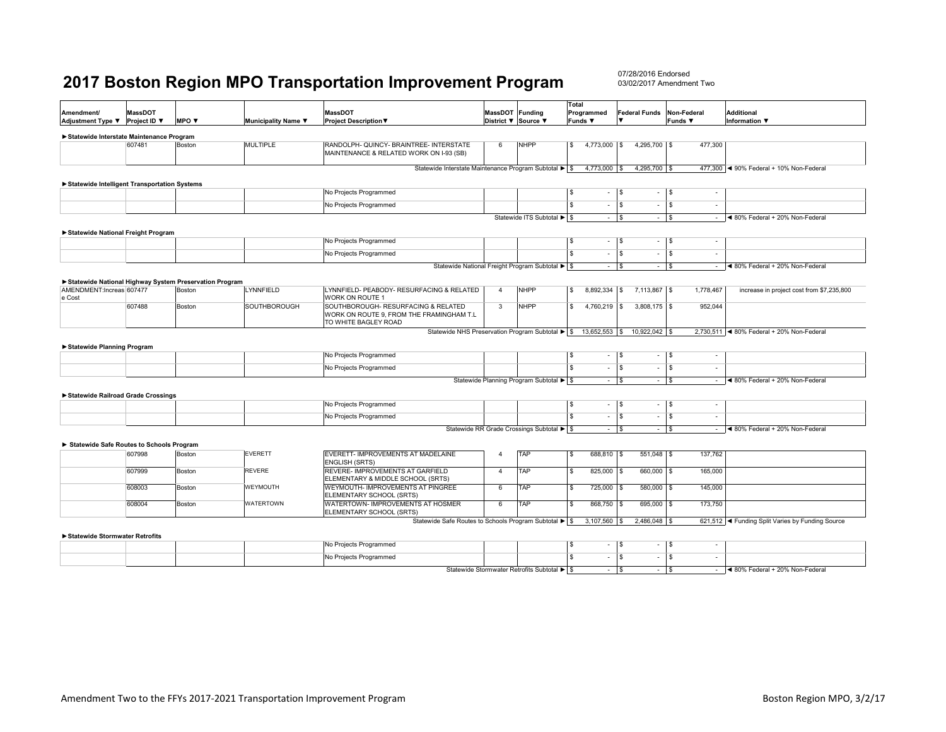07/28/2016 Endorsed03/02/2017 Amendment Two

| Amendment/<br>Adjustment Type ▼              | <b>MassDOT</b><br>Project ID ▼ | MPO $\blacktriangledown$                               | Municipality Name ▼ | <b>MassDOT</b><br><b>Project Description ▼</b>                                                          | MassDOT Funding         | District ▼ Source ▼                              | <b>Total</b><br>Programmed<br><b>Funds ▼</b> | <b>Federal Funds</b><br>$\overline{\mathbf{v}}$ | Non-Federal<br><b>Funds ▼</b>    | <b>Additional</b><br><b>Information</b> ▼        |
|----------------------------------------------|--------------------------------|--------------------------------------------------------|---------------------|---------------------------------------------------------------------------------------------------------|-------------------------|--------------------------------------------------|----------------------------------------------|-------------------------------------------------|----------------------------------|--------------------------------------------------|
| Statewide Interstate Maintenance Program     |                                |                                                        |                     |                                                                                                         |                         |                                                  |                                              |                                                 |                                  |                                                  |
|                                              | 607481                         | Boston                                                 | <b>MULTIPLE</b>     | RANDOLPH- QUINCY- BRAINTREE- INTERSTATE<br>MAINTENANCE & RELATED WORK ON I-93 (SB)                      | 6                       | <b>NHPP</b>                                      | $4,773,000$ \$<br>S.                         | 4,295,700 \$                                    | 477,300                          |                                                  |
|                                              |                                |                                                        |                     | Statewide Interstate Maintenance Program Subtotal ▶ S                                                   |                         |                                                  | 4,773,000 \$                                 | 4,295,700 \$                                    |                                  | 477,300 < 90% Federal + 10% Non-Federal          |
| Statewide Intelligent Transportation Systems |                                |                                                        |                     |                                                                                                         |                         |                                                  |                                              |                                                 |                                  |                                                  |
|                                              |                                |                                                        |                     | No Projects Programmed                                                                                  |                         |                                                  | $\sqrt{3}$                                   | $ \sqrt{s}$<br>$\sim$                           | $\sqrt{3}$<br>$\sim$             |                                                  |
|                                              |                                |                                                        |                     | No Projects Programmed                                                                                  |                         |                                                  | $\overline{s}$<br>$\sim$                     | l \$<br>$\sim$                                  | l \$<br>٠                        |                                                  |
|                                              |                                |                                                        |                     |                                                                                                         |                         | Statewide ITS Subtotal ▶ \$                      |                                              | $ \sqrt{s}$<br>$\sim$                           | $\sqrt{3}$<br>$\sim$             | ◀ 80% Federal + 20% Non-Federal                  |
| Statewide National Freight Program           |                                |                                                        |                     | No Projects Programmed                                                                                  |                         |                                                  | $\sqrt{3}$                                   | $-1$ s<br>$\sim$                                | $\sqrt{5}$<br>$\sim$             |                                                  |
|                                              |                                |                                                        |                     | No Projects Programmed                                                                                  |                         |                                                  | $\overline{\mathbf{s}}$<br>$\sim$            | l s<br>$\sim$                                   | l \$<br>٠                        |                                                  |
|                                              |                                |                                                        |                     |                                                                                                         |                         | Statewide National Freight Program Subtotal ▶ \$ |                                              | $ s$<br>$ \sqrt{s}$                             | $\sim$                           | ◀ 80% Federal + 20% Non-Federal                  |
|                                              |                                | Statewide National Highway System Preservation Program |                     |                                                                                                         |                         |                                                  |                                              |                                                 |                                  |                                                  |
| AMENDMENT:Increas 607477<br>e Cost           |                                | Boston                                                 | LYNNFIELD           | LYNNFIELD- PEABODY- RESURFACING & RELATED<br>WORK ON ROUTE 1                                            | $\overline{4}$          | <b>NHPP</b>                                      | <b>S</b><br>$8,892,334$ \$                   | 7,113,867 \$                                    | 1,778,467                        | increase in project cost from \$7,235,800        |
|                                              | 607488                         | Boston                                                 | <b>SOUTHBOROUGH</b> | SOUTHBOROUGH- RESURFACING & RELATED<br>WORK ON ROUTE 9, FROM THE FRAMINGHAM T.L<br>TO WHITE BAGLEY ROAD | $\overline{\mathbf{3}}$ | <b>NHPP</b>                                      | $\overline{\mathbb{S}}$<br>$4,760,219$ \$    | $3,808,175$ \$                                  | 952,044                          |                                                  |
| ▶ Statewide Planning Program                 |                                |                                                        |                     | Statewide NHS Preservation Program Subtotal ▶ \$                                                        |                         |                                                  |                                              | 13,652,553 \$ 10,922,042 \$                     |                                  | 2,730,511 < 80% Federal + 20% Non-Federal        |
|                                              |                                |                                                        |                     | No Projects Programmed                                                                                  |                         |                                                  | S<br>$\sim$                                  | l s<br>$\sim$                                   | l S<br>$\blacksquare$            |                                                  |
|                                              |                                |                                                        |                     | No Projects Programmed                                                                                  |                         |                                                  | s<br>$\sim$                                  | l \$<br>$\sim$                                  | l \$<br>$\overline{\phantom{a}}$ |                                                  |
|                                              |                                |                                                        |                     |                                                                                                         |                         | Statewide Planning Program Subtotal ▶ S          |                                              | $ \sqrt{s}$<br>$\sim$                           | l s<br>$\sim$                    | ◀ 80% Federal + 20% Non-Federal                  |
| Statewide Railroad Grade Crossings           |                                |                                                        |                     | No Projects Programmed                                                                                  |                         |                                                  | \$<br>$\sim$                                 | $\sqrt{ }$<br>$\sim$                            | l \$<br>$\overline{\phantom{a}}$ |                                                  |
|                                              |                                |                                                        |                     | No Projects Programmed                                                                                  |                         |                                                  | $\overline{\mathbf{s}}$<br>$\sim$            | l s<br>$\sim$                                   | l \$<br>$\overline{\phantom{a}}$ |                                                  |
|                                              |                                |                                                        |                     |                                                                                                         |                         | Statewide RR Grade Crossings Subtotal ▶ \$       |                                              | $ s$<br>$\sim$                                  | $\sqrt{s}$<br>$\sim$             | ◀ 80% Federal + 20% Non-Federal                  |
| Statewide Safe Routes to Schools Program     |                                |                                                        |                     |                                                                                                         |                         |                                                  |                                              |                                                 |                                  |                                                  |
|                                              | 607998                         | Boston                                                 | <b>EVERETT</b>      | EVERETT- IMPROVEMENTS AT MADELAINE<br><b>ENGLISH (SRTS)</b>                                             | $\overline{4}$          | <b>TAP</b>                                       | 688,810 \$<br>\$                             | 551,048 \$                                      | 137,762                          |                                                  |
|                                              | 607999                         | Boston                                                 | <b>REVERE</b>       | REVERE- IMPROVEMENTS AT GARFIELD<br>ELEMENTARY & MIDDLE SCHOOL (SRTS)                                   | $\overline{4}$          | TAP                                              | 825,000 \$<br><b>S</b>                       | 660,000 \$                                      | 165,000                          |                                                  |
|                                              | 608003                         | Boston                                                 | <b>WEYMOUTH</b>     | WEYMOUTH- IMPROVEMENTS AT PINGREE<br>ELEMENTARY SCHOOL (SRTS)                                           | 6                       | <b>TAP</b>                                       | 725,000 \$<br>s                              | 580,000 \$                                      | 145,000                          |                                                  |
|                                              | 608004                         | Boston                                                 | WATERTOWN           | WATERTOWN- IMPROVEMENTS AT HOSMER<br>ELEMENTARY SCHOOL (SRTS)                                           | 6                       | TAP                                              | s<br>868,750 \$                              | 695,000 \$                                      | 173,750                          |                                                  |
|                                              |                                |                                                        |                     | Statewide Safe Routes to Schools Program Subtotal ▶ \$                                                  |                         |                                                  | $3,107,560$ \$                               | 2,486,048 \$                                    |                                  | 621,512   Funding Split Varies by Funding Source |
| Statewide Stormwater Retrofits               |                                |                                                        |                     | No Projects Programmed                                                                                  |                         |                                                  | S<br>$\sim$                                  | $\sqrt{s}$<br>$\sim$                            | l s<br>$\sim$                    |                                                  |
|                                              |                                |                                                        |                     | No Drainate Dragonamend                                                                                 |                         |                                                  |                                              |                                                 |                                  |                                                  |

No Projects Programmed<br>
Statewide Stormwater Retrofits Subtotal ▶ S<br>
Statewide Stormwater Retrofits Subtotal ▶ S<br>
S  $\blacktriangleleft$  80% Federal + 20% Non-Federal Statewide Stormwater Retrofits Subtotal ►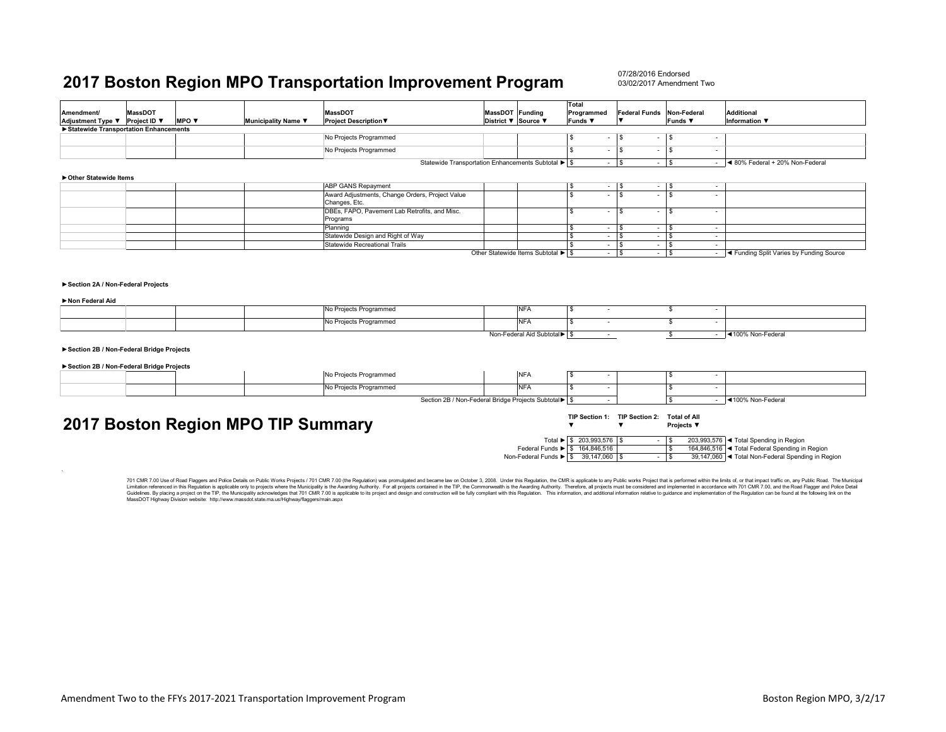| Statewide Transportation Enhancements<br>No Projects Programmed<br>$\sqrt{3}$<br>l S<br>l \$<br>$\sim$<br>$\sim$<br>No Projects Programmed<br>\$<br>$\mathbf{s}$<br>\$<br>$\sim$<br>$\sim$<br>$\sim$<br>Statewide Transportation Enhancements Subtotal ▶ S<br>l s<br>◀ 80% Federal + 20% Non-Federal<br>l \$<br>$\sim$<br>$\sim$<br>▶ Other Statewide Items<br><b>ABP GANS Repayment</b><br>-S<br>S.<br>$\sim$<br>Award Adjustments, Change Orders, Project Value<br><b>S</b><br>\$.<br>\$.<br>$\sim$<br>Changes, Etc.<br>DBEs, FAPO, Pavement Lab Retrofits, and Misc.<br><b>S</b><br>\$.<br>\$<br>÷<br>Programs<br>Planning<br>l S<br>$\overline{\phantom{a}}$<br>$\sim$<br>$\overline{\phantom{a}}$<br>Statewide Design and Right of Way<br>$ \sqrt{ }$<br>\$<br>$\sim$<br>\$<br>$\sim$<br>Statewide Recreational Trails<br>l s<br>\$.<br>$\sim$<br>$\sim$<br>l S<br>$\overline{a}$<br>Other Statewide Items Subtotal ▶ \$<br>$ \sqrt{s}$<br>$ \sqrt{3}$<br>- <a>I<br/> <a>I<br/>A Funding Split Varies by Funding Source<br/>Section 2A / Non-Federal Projects<br/>Non Federal Aid<br/><b>NFA</b><br/>No Projects Programmed<br><b>S</b><br>\$<br/>No Projects Programmed<br/><b>NFA</b><br/>\$<br/>\$<br/><math display="inline">\sim</math><br/><math display="inline">\sim</math><br/>Non-Federal Aid Subtotal &gt; \$<br/>\$<br/>- 4100% Non-Federal<br/><math display="inline">\sim</math><br/>Section 2B / Non-Federal Bridge Projects<br/>Section 2B / Non-Federal Bridge Projects<br/>No Projects Programmed<br/><b>NFA</b><br/><b>S</b><br/>S<br/><b>NFA</b><br/>No Projects Programmed<br/>\$<br/>\$<br/>Section 2B / Non-Federal Bridge Projects Subtotal<br/>◀100% Non-Federal<br/><math display="inline">\sim 100</math><br/>TIP Section 1: TIP Section 2: Total of All<br/>2017 Boston Region MPO TIP Summary<br/><math>\overline{\mathbf{v}}</math><br/>Projects ▼<br/><math>\overline{\mathbf{v}}</math><br/>Total ▶ \$ 203,993,576 \$<br/>203,993,576 &lt; Total Spending in Region<br/><math display="inline">\sim</math><br/>l \$<br/>164,846,516 &lt; Total Federal Spending in Region<br/>Federal Funds &gt; \$ 164,846,516<br/>- \$<br/>Non-Federal Funds &gt; \$ 39,147,060 \$<br/>39,147,060  ◀ Total Non-Federal Spending in Region<br/><math>-1</math> \$<br/>701 CMR 7.00 Use of Road Flaggers and Police Details on Public Works Projects / 701 CMR 7.00 (the Regulation) was promulgated and became law on October 3, 2008. Under this Regulation, the CMR is applicable to any Public wo<br/>Limitation referenced in this Requlation is applicable only to projects where the Municipality is the Awarding Authority. For all projects contained in the TIP, the Commonwealth is the Awarding Authority. Therefore, all pr<br/>Guidelines. By placing a project on the TIP, the Municipality acknowledges that 701 CMR 7.00 is applicable to its project and design and construction will be fully compliant with this Regulation. This information, and addi<br/>MassDOT Highway Division website: http://www.massdot.state.ma.us/Highway/flaggers/main.aspx</br></br></a></a> | Amendment/<br>Adjustment Type ▼ Project ID ▼ | <b>MassDOT</b> | MPO V | Municipality Name ▼ | <b>MassDOT</b><br>Project Description ▼ | MassDOT Funding<br>District ▼ Source ▼ | Total<br>Programmed<br>Funds ▼ | <b>Federal Funds</b><br>$\overline{\mathbf{v}}$ | Non-Federal<br><b>Funds ▼</b> | <b>Additional</b><br>Information $\blacktriangledown$ |
|--------------------------------------------------------------------------------------------------------------------------------------------------------------------------------------------------------------------------------------------------------------------------------------------------------------------------------------------------------------------------------------------------------------------------------------------------------------------------------------------------------------------------------------------------------------------------------------------------------------------------------------------------------------------------------------------------------------------------------------------------------------------------------------------------------------------------------------------------------------------------------------------------------------------------------------------------------------------------------------------------------------------------------------------------------------------------------------------------------------------------------------------------------------------------------------------------------------------------------------------------------------------------------------------------------------------------------------------------------------------------------------------------------------------------------------------------------------------------------------------------------------------------------------------------------------------------------------------------------------------------------------------------------------------------------------------------------------------------------------------------------------------------------------------------------------------------------------------------------------------------------------------------------------------------------------------------------------------------------------------------------------------------------------------------------------------------------------------------------------------------------------------------------------------------------------------------------------------------------------------------------------------------------------------------------------------------------------------------------------------------------------------------------------------------------------------------------------------------------------------------------------------------------------------------------------------------------------------------------------------------------------------------------------------------------------------------------------------------------------------------------------------------------------------------------------------------------------------------------------------------------------------------------------------------------------------------------------------------------------------------------------------------------------------------------------------------------------------------------------------|----------------------------------------------|----------------|-------|---------------------|-----------------------------------------|----------------------------------------|--------------------------------|-------------------------------------------------|-------------------------------|-------------------------------------------------------|
|                                                                                                                                                                                                                                                                                                                                                                                                                                                                                                                                                                                                                                                                                                                                                                                                                                                                                                                                                                                                                                                                                                                                                                                                                                                                                                                                                                                                                                                                                                                                                                                                                                                                                                                                                                                                                                                                                                                                                                                                                                                                                                                                                                                                                                                                                                                                                                                                                                                                                                                                                                                                                                                                                                                                                                                                                                                                                                                                                                                                                                                                                                                    |                                              |                |       |                     |                                         |                                        |                                |                                                 |                               |                                                       |
|                                                                                                                                                                                                                                                                                                                                                                                                                                                                                                                                                                                                                                                                                                                                                                                                                                                                                                                                                                                                                                                                                                                                                                                                                                                                                                                                                                                                                                                                                                                                                                                                                                                                                                                                                                                                                                                                                                                                                                                                                                                                                                                                                                                                                                                                                                                                                                                                                                                                                                                                                                                                                                                                                                                                                                                                                                                                                                                                                                                                                                                                                                                    |                                              |                |       |                     |                                         |                                        |                                |                                                 |                               |                                                       |
|                                                                                                                                                                                                                                                                                                                                                                                                                                                                                                                                                                                                                                                                                                                                                                                                                                                                                                                                                                                                                                                                                                                                                                                                                                                                                                                                                                                                                                                                                                                                                                                                                                                                                                                                                                                                                                                                                                                                                                                                                                                                                                                                                                                                                                                                                                                                                                                                                                                                                                                                                                                                                                                                                                                                                                                                                                                                                                                                                                                                                                                                                                                    |                                              |                |       |                     |                                         |                                        |                                |                                                 |                               |                                                       |
|                                                                                                                                                                                                                                                                                                                                                                                                                                                                                                                                                                                                                                                                                                                                                                                                                                                                                                                                                                                                                                                                                                                                                                                                                                                                                                                                                                                                                                                                                                                                                                                                                                                                                                                                                                                                                                                                                                                                                                                                                                                                                                                                                                                                                                                                                                                                                                                                                                                                                                                                                                                                                                                                                                                                                                                                                                                                                                                                                                                                                                                                                                                    |                                              |                |       |                     |                                         |                                        |                                |                                                 |                               |                                                       |
|                                                                                                                                                                                                                                                                                                                                                                                                                                                                                                                                                                                                                                                                                                                                                                                                                                                                                                                                                                                                                                                                                                                                                                                                                                                                                                                                                                                                                                                                                                                                                                                                                                                                                                                                                                                                                                                                                                                                                                                                                                                                                                                                                                                                                                                                                                                                                                                                                                                                                                                                                                                                                                                                                                                                                                                                                                                                                                                                                                                                                                                                                                                    |                                              |                |       |                     |                                         |                                        |                                |                                                 |                               |                                                       |
|                                                                                                                                                                                                                                                                                                                                                                                                                                                                                                                                                                                                                                                                                                                                                                                                                                                                                                                                                                                                                                                                                                                                                                                                                                                                                                                                                                                                                                                                                                                                                                                                                                                                                                                                                                                                                                                                                                                                                                                                                                                                                                                                                                                                                                                                                                                                                                                                                                                                                                                                                                                                                                                                                                                                                                                                                                                                                                                                                                                                                                                                                                                    |                                              |                |       |                     |                                         |                                        |                                |                                                 |                               |                                                       |
|                                                                                                                                                                                                                                                                                                                                                                                                                                                                                                                                                                                                                                                                                                                                                                                                                                                                                                                                                                                                                                                                                                                                                                                                                                                                                                                                                                                                                                                                                                                                                                                                                                                                                                                                                                                                                                                                                                                                                                                                                                                                                                                                                                                                                                                                                                                                                                                                                                                                                                                                                                                                                                                                                                                                                                                                                                                                                                                                                                                                                                                                                                                    |                                              |                |       |                     |                                         |                                        |                                |                                                 |                               |                                                       |
|                                                                                                                                                                                                                                                                                                                                                                                                                                                                                                                                                                                                                                                                                                                                                                                                                                                                                                                                                                                                                                                                                                                                                                                                                                                                                                                                                                                                                                                                                                                                                                                                                                                                                                                                                                                                                                                                                                                                                                                                                                                                                                                                                                                                                                                                                                                                                                                                                                                                                                                                                                                                                                                                                                                                                                                                                                                                                                                                                                                                                                                                                                                    |                                              |                |       |                     |                                         |                                        |                                |                                                 |                               |                                                       |
|                                                                                                                                                                                                                                                                                                                                                                                                                                                                                                                                                                                                                                                                                                                                                                                                                                                                                                                                                                                                                                                                                                                                                                                                                                                                                                                                                                                                                                                                                                                                                                                                                                                                                                                                                                                                                                                                                                                                                                                                                                                                                                                                                                                                                                                                                                                                                                                                                                                                                                                                                                                                                                                                                                                                                                                                                                                                                                                                                                                                                                                                                                                    |                                              |                |       |                     |                                         |                                        |                                |                                                 |                               |                                                       |
|                                                                                                                                                                                                                                                                                                                                                                                                                                                                                                                                                                                                                                                                                                                                                                                                                                                                                                                                                                                                                                                                                                                                                                                                                                                                                                                                                                                                                                                                                                                                                                                                                                                                                                                                                                                                                                                                                                                                                                                                                                                                                                                                                                                                                                                                                                                                                                                                                                                                                                                                                                                                                                                                                                                                                                                                                                                                                                                                                                                                                                                                                                                    |                                              |                |       |                     |                                         |                                        |                                |                                                 |                               |                                                       |
|                                                                                                                                                                                                                                                                                                                                                                                                                                                                                                                                                                                                                                                                                                                                                                                                                                                                                                                                                                                                                                                                                                                                                                                                                                                                                                                                                                                                                                                                                                                                                                                                                                                                                                                                                                                                                                                                                                                                                                                                                                                                                                                                                                                                                                                                                                                                                                                                                                                                                                                                                                                                                                                                                                                                                                                                                                                                                                                                                                                                                                                                                                                    |                                              |                |       |                     |                                         |                                        |                                |                                                 |                               |                                                       |
|                                                                                                                                                                                                                                                                                                                                                                                                                                                                                                                                                                                                                                                                                                                                                                                                                                                                                                                                                                                                                                                                                                                                                                                                                                                                                                                                                                                                                                                                                                                                                                                                                                                                                                                                                                                                                                                                                                                                                                                                                                                                                                                                                                                                                                                                                                                                                                                                                                                                                                                                                                                                                                                                                                                                                                                                                                                                                                                                                                                                                                                                                                                    |                                              |                |       |                     |                                         |                                        |                                |                                                 |                               |                                                       |
|                                                                                                                                                                                                                                                                                                                                                                                                                                                                                                                                                                                                                                                                                                                                                                                                                                                                                                                                                                                                                                                                                                                                                                                                                                                                                                                                                                                                                                                                                                                                                                                                                                                                                                                                                                                                                                                                                                                                                                                                                                                                                                                                                                                                                                                                                                                                                                                                                                                                                                                                                                                                                                                                                                                                                                                                                                                                                                                                                                                                                                                                                                                    |                                              |                |       |                     |                                         |                                        |                                |                                                 |                               |                                                       |
|                                                                                                                                                                                                                                                                                                                                                                                                                                                                                                                                                                                                                                                                                                                                                                                                                                                                                                                                                                                                                                                                                                                                                                                                                                                                                                                                                                                                                                                                                                                                                                                                                                                                                                                                                                                                                                                                                                                                                                                                                                                                                                                                                                                                                                                                                                                                                                                                                                                                                                                                                                                                                                                                                                                                                                                                                                                                                                                                                                                                                                                                                                                    |                                              |                |       |                     |                                         |                                        |                                |                                                 |                               |                                                       |
|                                                                                                                                                                                                                                                                                                                                                                                                                                                                                                                                                                                                                                                                                                                                                                                                                                                                                                                                                                                                                                                                                                                                                                                                                                                                                                                                                                                                                                                                                                                                                                                                                                                                                                                                                                                                                                                                                                                                                                                                                                                                                                                                                                                                                                                                                                                                                                                                                                                                                                                                                                                                                                                                                                                                                                                                                                                                                                                                                                                                                                                                                                                    |                                              |                |       |                     |                                         |                                        |                                |                                                 |                               |                                                       |
|                                                                                                                                                                                                                                                                                                                                                                                                                                                                                                                                                                                                                                                                                                                                                                                                                                                                                                                                                                                                                                                                                                                                                                                                                                                                                                                                                                                                                                                                                                                                                                                                                                                                                                                                                                                                                                                                                                                                                                                                                                                                                                                                                                                                                                                                                                                                                                                                                                                                                                                                                                                                                                                                                                                                                                                                                                                                                                                                                                                                                                                                                                                    |                                              |                |       |                     |                                         |                                        |                                |                                                 |                               |                                                       |
|                                                                                                                                                                                                                                                                                                                                                                                                                                                                                                                                                                                                                                                                                                                                                                                                                                                                                                                                                                                                                                                                                                                                                                                                                                                                                                                                                                                                                                                                                                                                                                                                                                                                                                                                                                                                                                                                                                                                                                                                                                                                                                                                                                                                                                                                                                                                                                                                                                                                                                                                                                                                                                                                                                                                                                                                                                                                                                                                                                                                                                                                                                                    |                                              |                |       |                     |                                         |                                        |                                |                                                 |                               |                                                       |
|                                                                                                                                                                                                                                                                                                                                                                                                                                                                                                                                                                                                                                                                                                                                                                                                                                                                                                                                                                                                                                                                                                                                                                                                                                                                                                                                                                                                                                                                                                                                                                                                                                                                                                                                                                                                                                                                                                                                                                                                                                                                                                                                                                                                                                                                                                                                                                                                                                                                                                                                                                                                                                                                                                                                                                                                                                                                                                                                                                                                                                                                                                                    |                                              |                |       |                     |                                         |                                        |                                |                                                 |                               |                                                       |
|                                                                                                                                                                                                                                                                                                                                                                                                                                                                                                                                                                                                                                                                                                                                                                                                                                                                                                                                                                                                                                                                                                                                                                                                                                                                                                                                                                                                                                                                                                                                                                                                                                                                                                                                                                                                                                                                                                                                                                                                                                                                                                                                                                                                                                                                                                                                                                                                                                                                                                                                                                                                                                                                                                                                                                                                                                                                                                                                                                                                                                                                                                                    |                                              |                |       |                     |                                         |                                        |                                |                                                 |                               |                                                       |
|                                                                                                                                                                                                                                                                                                                                                                                                                                                                                                                                                                                                                                                                                                                                                                                                                                                                                                                                                                                                                                                                                                                                                                                                                                                                                                                                                                                                                                                                                                                                                                                                                                                                                                                                                                                                                                                                                                                                                                                                                                                                                                                                                                                                                                                                                                                                                                                                                                                                                                                                                                                                                                                                                                                                                                                                                                                                                                                                                                                                                                                                                                                    |                                              |                |       |                     |                                         |                                        |                                |                                                 |                               |                                                       |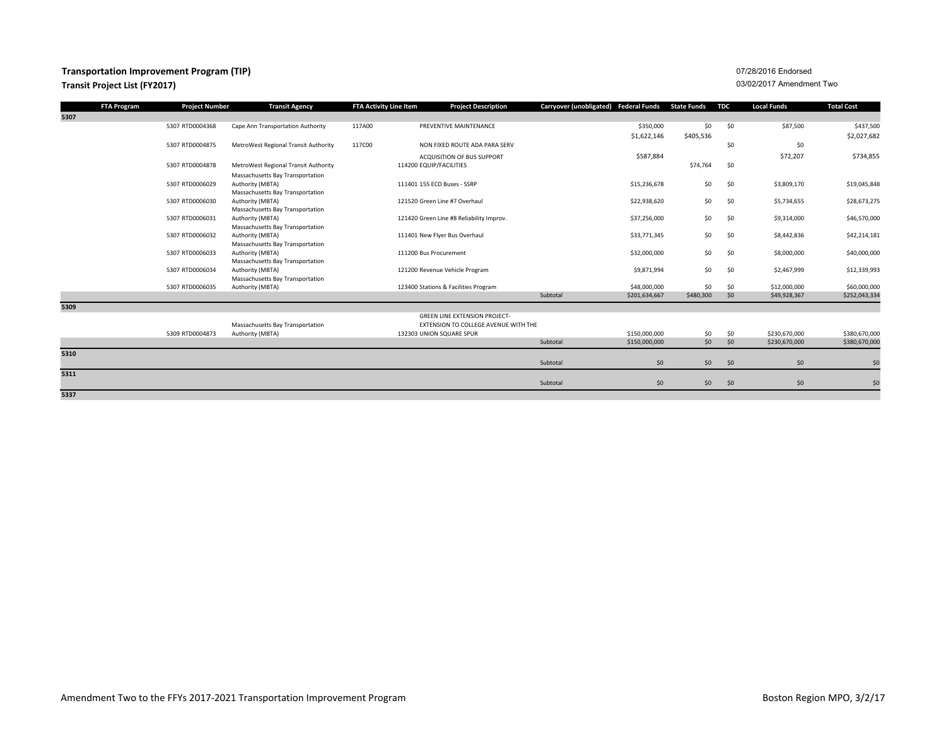### **Transportation Improvement Program (TIP) Transit Project List (FY2017)**

| FTA Program | <b>Project Number</b> | <b>Transit Agency</b>                                | FTA Activity Line Item | <b>Project Description</b>               | Carryover (unobligated) Federal Funds State Funds |           | TDC | Local Funds   | <b>Total Cost</b> |
|-------------|-----------------------|------------------------------------------------------|------------------------|------------------------------------------|---------------------------------------------------|-----------|-----|---------------|-------------------|
| 5307        |                       |                                                      |                        |                                          |                                                   |           |     |               |                   |
|             | 5307 RTD0004368       | Cape Ann Transportation Authority                    | 117A00                 | PREVENTIVE MAINTENANCE                   | \$350,000                                         | \$0       | \$0 | \$87,500      | \$437,500         |
|             |                       |                                                      |                        |                                          | \$1,622,146                                       | \$405,536 |     |               | \$2,027,682       |
|             | 5307 RTD0004875       | MetroWest Regional Transit Authority                 | 117C00                 | NON FIXED ROUTE ADA PARA SERV            |                                                   |           | \$0 | \$0           |                   |
|             |                       |                                                      |                        | ACQUISITION OF BUS SUPPORT               | \$587,884                                         |           |     | \$72,207      | \$734,855         |
|             | 5307 RTD0004878       | MetroWest Regional Transit Authority                 |                        | 114200 EQUIP/FACILITIES                  |                                                   | \$74,764  | \$0 |               |                   |
|             |                       | Massachusetts Bay Transportation                     |                        |                                          |                                                   |           |     |               |                   |
|             | 5307 RTD0006029       | Authority (MBTA)                                     |                        | 111401 155 ECD Buses - SSRP              | \$15,236,678                                      | \$0       | \$0 | \$3,809,170   | \$19,045,848      |
|             |                       | Massachusetts Bay Transportation                     |                        |                                          |                                                   |           |     |               |                   |
|             | 5307 RTD0006030       | Authority (MBTA)                                     |                        | 121520 Green Line #7 Overhaul            | \$22,938,620                                      | \$0       | \$0 | \$5,734,655   | \$28,673,275      |
|             |                       | Massachusetts Bay Transportation                     |                        |                                          |                                                   |           |     |               |                   |
|             | 5307 RTD0006031       | Authority (MBTA)                                     |                        | 121420 Green Line #8 Reliability Improv. | \$37,256,000                                      | \$0       | \$0 | \$9,314,000   | \$46,570,000      |
|             |                       | Massachusetts Bay Transportation                     |                        |                                          |                                                   |           |     |               |                   |
|             | 5307 RTD0006032       | Authority (MBTA)                                     |                        | 111401 New Flyer Bus Overhaul            | \$33,771,345                                      | \$0       | \$0 | \$8,442,836   | \$42,214,181      |
|             | 5307 RTD0006033       | Massachusetts Bay Transportation<br>Authority (MBTA) |                        | 111200 Bus Procurement                   | \$32,000,000                                      | \$0       | \$0 | \$8,000,000   | \$40,000,000      |
|             |                       | Massachusetts Bay Transportation                     |                        |                                          |                                                   |           |     |               |                   |
|             | 5307 RTD0006034       | Authority (MBTA)                                     |                        | 121200 Revenue Vehicle Program           | \$9,871,994                                       | \$0       | \$0 | \$2,467,999   | \$12,339,993      |
|             |                       | Massachusetts Bay Transportation                     |                        |                                          |                                                   |           |     |               |                   |
|             | 5307 RTD0006035       | Authority (MBTA)                                     |                        | 123400 Stations & Facilities Program     | \$48,000,000                                      | \$0       | \$0 | \$12,000,000  | \$60,000,000      |
|             |                       |                                                      |                        |                                          | Subtotal<br>\$201,634,667                         | \$480,300 | \$0 | \$49,928,367  | \$252,043,334     |
| 5309        |                       |                                                      |                        |                                          |                                                   |           |     |               |                   |
|             |                       |                                                      |                        | <b>GREEN LINE EXTENSION PROJECT-</b>     |                                                   |           |     |               |                   |
|             |                       | Massachusetts Bay Transportation                     |                        | EXTENSION TO COLLEGE AVENUE WITH THE     |                                                   |           |     |               |                   |
|             | 5309 RTD0004873       | Authority (MBTA)                                     |                        | 132303 UNION SQUARE SPUR                 | \$150,000,000                                     | \$0       | \$0 | \$230,670,000 | \$380,670,000     |
|             |                       |                                                      |                        |                                          | Subtotal<br>\$150,000,000                         | \$0       | \$0 | \$230,670,000 | \$380,670,000     |
| 5310        |                       |                                                      |                        |                                          |                                                   |           |     |               |                   |
|             |                       |                                                      |                        |                                          | \$0<br>Subtotal                                   | \$0       | \$0 | \$0           | \$0               |
| 5311        |                       |                                                      |                        |                                          |                                                   |           |     |               |                   |
|             |                       |                                                      |                        |                                          | \$0\$<br>Subtotal                                 | \$0       | \$0 | \$0           | \$0               |
| 5337        |                       |                                                      |                        |                                          |                                                   |           |     |               |                   |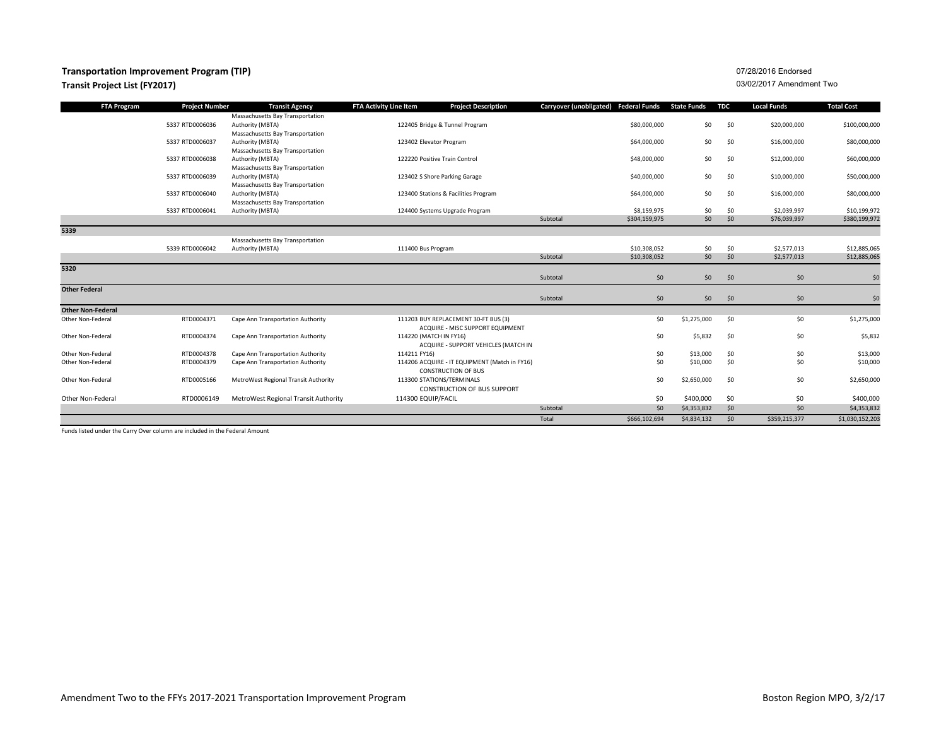### **Transportation Improvement Program (TIP)**

#### **Transit Project List (FY2017)**

07/28/2016 Endorsed03/02/2017 Amendment Two

| <b>FTA Program</b>       | <b>Project Number</b> | <b>Transit Agency</b>                                | <b>FTA Activity Line Item</b> | <b>Project Description</b>                                                  | Carryover (unobligated) Federal Funds |               | <b>State Funds</b> | <b>TDC</b> | <b>Local Funds</b> | <b>Total Cost</b> |
|--------------------------|-----------------------|------------------------------------------------------|-------------------------------|-----------------------------------------------------------------------------|---------------------------------------|---------------|--------------------|------------|--------------------|-------------------|
|                          |                       | Massachusetts Bay Transportation                     |                               |                                                                             |                                       |               |                    |            |                    |                   |
|                          | 5337 RTD0006036       | Authority (MBTA)                                     |                               | 122405 Bridge & Tunnel Program                                              |                                       | \$80,000,000  | \$0                | \$0        | \$20,000,000       | \$100,000,000     |
|                          |                       | Massachusetts Bay Transportation                     |                               |                                                                             |                                       |               |                    |            |                    |                   |
|                          | 5337 RTD0006037       | Authority (MBTA)                                     |                               | 123402 Elevator Program                                                     |                                       | \$64,000,000  | \$0                | \$0        | \$16,000,000       | \$80,000,000      |
|                          |                       | Massachusetts Bay Transportation                     |                               |                                                                             |                                       |               |                    |            |                    |                   |
|                          | 5337 RTD0006038       | Authority (MBTA)                                     |                               | 122220 Positive Train Control                                               |                                       | \$48,000,000  | \$0                | \$0        | \$12,000,000       | \$60,000,000      |
|                          | 5337 RTD0006039       | Massachusetts Bay Transportation<br>Authority (MBTA) |                               | 123402 S Shore Parking Garage                                               |                                       | \$40,000,000  | \$0                | \$0        | \$10,000,000       | \$50,000,000      |
|                          |                       | Massachusetts Bay Transportation                     |                               |                                                                             |                                       |               |                    |            |                    |                   |
|                          | 5337 RTD0006040       | Authority (MBTA)                                     |                               | 123400 Stations & Facilities Program                                        |                                       | \$64,000,000  | \$0                | \$0        | \$16,000,000       | \$80,000,000      |
|                          |                       | Massachusetts Bay Transportation                     |                               |                                                                             |                                       |               |                    |            |                    |                   |
|                          | 5337 RTD0006041       | Authority (MBTA)                                     |                               | 124400 Systems Upgrade Program                                              |                                       | \$8,159,975   | \$0                | \$0        | \$2,039,997        | \$10,199,972      |
|                          |                       |                                                      |                               |                                                                             | Subtotal                              | \$304,159,975 | \$0                | \$0        | \$76,039,997       | \$380,199,972     |
| 5339                     |                       |                                                      |                               |                                                                             |                                       |               |                    |            |                    |                   |
|                          |                       | Massachusetts Bay Transportation                     |                               |                                                                             |                                       |               |                    |            |                    |                   |
|                          | 5339 RTD0006042       | Authority (MBTA)                                     |                               | 111400 Bus Program                                                          |                                       | \$10,308,052  | \$0                | \$0        | \$2,577,013        | \$12,885,065      |
|                          |                       |                                                      |                               |                                                                             | Subtotal                              | \$10,308,052  | \$0                | \$0        | \$2,577,013        | \$12,885,065      |
| 5320                     |                       |                                                      |                               |                                                                             |                                       |               |                    |            |                    |                   |
|                          |                       |                                                      |                               |                                                                             | Subtotal                              | \$0           | \$0                | \$0        | \$0                | \$0               |
| <b>Other Federal</b>     |                       |                                                      |                               |                                                                             |                                       |               |                    |            |                    |                   |
|                          |                       |                                                      |                               |                                                                             | Subtotal                              | \$0           | \$0                | \$0        | \$0                | \$0               |
| <b>Other Non-Federal</b> |                       |                                                      |                               |                                                                             |                                       |               |                    |            |                    |                   |
| Other Non-Federal        | RTD0004371            | Cape Ann Transportation Authority                    |                               | 111203 BUY REPLACEMENT 30-FT BUS (3)                                        |                                       | \$0           | \$1,275,000        | \$0        | \$0                | \$1,275,000       |
|                          |                       |                                                      |                               | ACQUIRE - MISC SUPPORT EQUIPMENT                                            |                                       |               |                    |            |                    |                   |
| Other Non-Federal        | RTD0004374            | Cape Ann Transportation Authority                    |                               | 114220 (MATCH IN FY16)                                                      |                                       | \$0           | \$5,832            | \$0        | \$0                | \$5,832           |
|                          |                       |                                                      |                               | ACQUIRE - SUPPORT VEHICLES (MATCH IN                                        |                                       |               |                    |            |                    |                   |
| Other Non-Federal        | RTD0004378            | Cape Ann Transportation Authority                    | 114211 FY16)                  |                                                                             |                                       | \$0           | \$13,000           | \$0        | \$0                | \$13,000          |
| Other Non-Federal        | RTD0004379            | Cape Ann Transportation Authority                    |                               | 114206 ACQUIRE - IT EQUIPMENT (Match in FY16)<br><b>CONSTRUCTION OF BUS</b> |                                       | \$0           | \$10,000           | \$0        | \$0                | \$10,000          |
| Other Non-Federal        | RTD0005166            | MetroWest Regional Transit Authority                 |                               | 113300 STATIONS/TERMINALS                                                   |                                       | \$0           | \$2,650,000        | \$0        | \$0                | \$2,650,000       |
|                          |                       |                                                      |                               | <b>CONSTRUCTION OF BUS SUPPORT</b>                                          |                                       |               |                    |            |                    |                   |
|                          |                       |                                                      |                               |                                                                             |                                       |               |                    |            |                    |                   |
| Other Non-Federal        | RTD0006149            | MetroWest Regional Transit Authority                 |                               | 114300 EQUIP/FACIL                                                          |                                       | \$0           | \$400,000          | \$0        | \$0                | \$400,000         |
|                          |                       |                                                      |                               |                                                                             | Subtotal                              | \$0           | \$4,353,832        | \$0        | \$0                | \$4,353,832       |
|                          |                       |                                                      |                               |                                                                             | Total                                 | \$666,102,694 | \$4,834,132        | \$0        | \$359,215,377      | \$1,030,152,203   |

Funds listed under the Carry Over column are included in the Federal Amount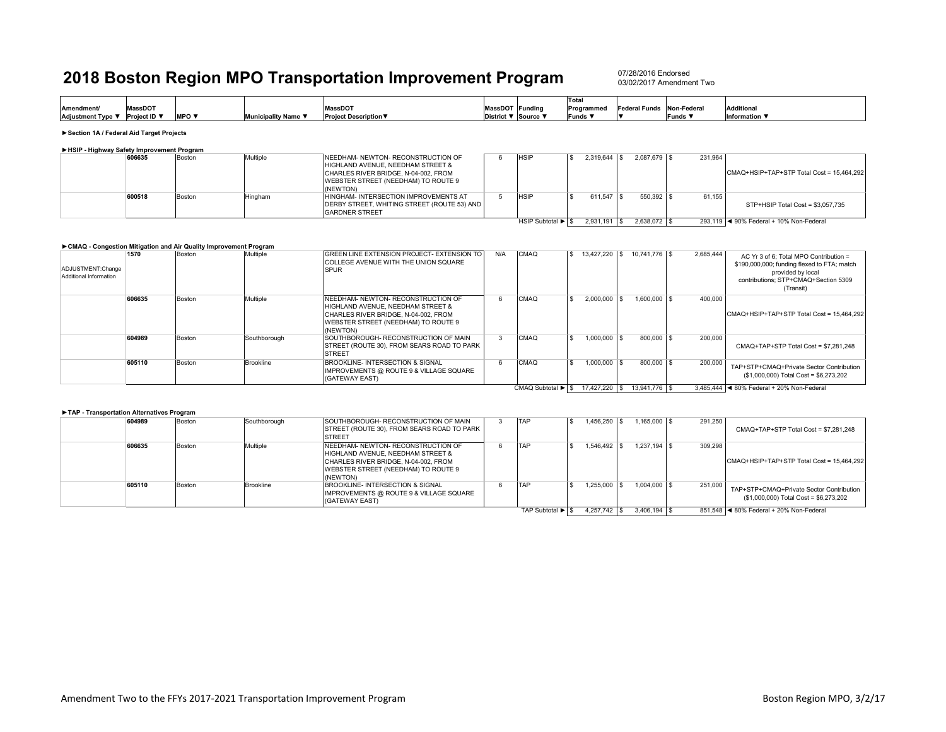07/28/2016 Endorsed03/02/2017 Amendment Two

|                   |              |         |                           |                              |                 |                 | Total      |                           |         |                   |
|-------------------|--------------|---------|---------------------------|------------------------------|-----------------|-----------------|------------|---------------------------|---------|-------------------|
| Amendment/        | MassDOT      |         |                           | <b>MassDOT</b>               | MassDOT Funding |                 | Programmed | Federal Funds Non-Federal |         | <b>Additional</b> |
| Adjustment Type ▼ | Proiect ID ▼ | $MPO =$ | unicipalitv Name <b>\</b> | <b>Project Description ▼</b> | <b>District</b> | "ict ▼ Source > | Funds      |                           | Funds ¶ | Information \     |
|                   |              |         |                           |                              |                 |                 |            |                           |         |                   |

**►Section 1A / Federal Aid Target Projects**

|  |  | HSIP - Highway Safety Improvement Program |  |
|--|--|-------------------------------------------|--|
|  |  |                                           |  |

|  | 606635 | Boston | Multiple | <b>INEEDHAM- NEWTON- RECONSTRUCTION OF</b>          | <b>HSIF</b>       | 2.319.644     | $2.087.679$ \ \$ | 231.964 |                                           |
|--|--------|--------|----------|-----------------------------------------------------|-------------------|---------------|------------------|---------|-------------------------------------------|
|  |        |        |          | HIGHLAND AVENUE. NEEDHAM STREET &                   |                   |               |                  |         |                                           |
|  |        |        |          | CHARLES RIVER BRIDGE, N-04-002, FROM                |                   |               |                  |         | CMAQ+HSIP+TAP+STP Total Cost = 15,464,292 |
|  |        |        |          | WEBSTER STREET (NEEDHAM) TO ROUTE 9                 |                   |               |                  |         |                                           |
|  |        |        |          | (NEWTON)                                            |                   |               |                  |         |                                           |
|  | 600518 | Boston | Hingham  | HINGHAM- INTERSECTION IMPROVEMENTS AT               | <b>HSIF</b>       | 611.547       | $550.392$ \\$    | 61.155  |                                           |
|  |        |        |          | <b>IDERBY STREET, WHITING STREET (ROUTE 53) AND</b> |                   |               |                  |         | STP+HSIP Total Cost = \$3,057,735         |
|  |        |        |          | <b>GARDNER STREET</b>                               |                   |               |                  |         |                                           |
|  |        |        |          |                                                     | HSIP Subtotal ▶ S | $2.931.191$ S | 2.638.072 \$     |         | 293.119  ◀ 90% Federal + 10% Non-Federal  |

|                                             |        | ► CMAQ - Congestion Mitigation and Air Quality Improvement Program |                  |                                                                                                                                                                    |     |                   |                        |                  |           |                                                                                                                                                                 |
|---------------------------------------------|--------|--------------------------------------------------------------------|------------------|--------------------------------------------------------------------------------------------------------------------------------------------------------------------|-----|-------------------|------------------------|------------------|-----------|-----------------------------------------------------------------------------------------------------------------------------------------------------------------|
| ADJUSTMENT:Change<br>Additional Information | 1570   | Boston                                                             | Multiple         | GREEN LINE EXTENSION PROJECT- EXTENSION TO<br><b>COLLEGE AVENUE WITH THE UNION SQUARE</b><br><b>SPUR</b>                                                           | N/A | CMAQ              | 13,427,220 \$          | 10.741.776 \$    | 2,685,444 | AC Yr 3 of 6: Total MPO Contribution =<br>\$190,000,000; funding flexed to FTA; match<br>provided by local<br>contributions: STP+CMAQ+Section 5309<br>(Transit) |
|                                             | 606635 | Boston                                                             | Multiple         | NEEDHAM- NEWTON- RECONSTRUCTION OF<br>HIGHLAND AVENUE, NEEDHAM STREET &<br>CHARLES RIVER BRIDGE, N-04-002, FROM<br>WEBSTER STREET (NEEDHAM) TO ROUTE 9<br>(NEWTON) | b   | CMAQ              | 2.000.000              | $1.600.000$ \ \$ | 400.000   | CMAQ+HSIP+TAP+STP Total Cost = 15,464,292                                                                                                                       |
|                                             | 604989 | Boston                                                             | Southborough     | <b>ISOUTHBOROUGH- RECONSTRUCTION OF MAIN</b><br>STREET (ROUTE 30), FROM SEARS ROAD TO PARK<br><b>STREET</b>                                                        |     | CMAQ              | $1.000.000$   \$       | 800,000 \$       | 200,000   | CMAQ+TAP+STP Total Cost = \$7.281.248                                                                                                                           |
|                                             | 605110 | Boston                                                             | <b>Brookline</b> | BROOKLINE- INTERSECTION & SIGNAL<br>IMPROVEMENTS @ ROUTE 9 & VILLAGE SQUARE<br>(GATEWAY EAST)                                                                      |     | CMAQ              | $1.000.000$ $\vert$ \$ | 800,000 \$       | 200,000   | TAP+STP+CMAQ+Private Sector Contribution<br>(\$1,000,000) Total Cost = \$6,273,202                                                                              |
|                                             |        |                                                                    |                  |                                                                                                                                                                    |     | CMAQ Subtotal ▶ S | 17.427.220 \$          | 13.941.776 \$    |           | 3.485.444 4 80% Federal + 20% Non-Federal                                                                                                                       |

#### **►TAP - Transportation Alternatives Program**

| 604989 | Boston | Southborough     | SOUTHBOROUGH- RECONSTRUCTION OF MAIN<br>STREET (ROUTE 30), FROM SEARS ROAD TO PARK<br><b>STREET</b>                                                                | TAP                                  | 1.456.250 | $.165.000$ \$      | 291.250 | CMAQ+TAP+STP Total Cost = \$7.281.248                                              |
|--------|--------|------------------|--------------------------------------------------------------------------------------------------------------------------------------------------------------------|--------------------------------------|-----------|--------------------|---------|------------------------------------------------------------------------------------|
| 606635 | Boston | Multiple         | NEEDHAM- NEWTON- RECONSTRUCTION OF<br>HIGHLAND AVENUE. NEEDHAM STREET &<br>CHARLES RIVER BRIDGE, N-04-002, FROM<br>WEBSTER STREET (NEEDHAM) TO ROUTE 9<br>(NEWTON) | TAF                                  | .546.492  | $1.237.194$ \$     | 309.298 | CMAQ+HSIP+TAP+STP Total Cost = 15,464,292                                          |
| 605110 | Boston | <b>Brookline</b> | BROOKLINE- INTERSECTION & SIGNAL<br>IMPROVEMENTS @ ROUTE 9 & VILLAGE SQUARE<br>(GATEWAY EAST)                                                                      | <b>TAP</b>                           | 1.255.000 | $1.004.000$ S      | 251,000 | TAP+STP+CMAQ+Private Sector Contribution<br>(\$1,000,000) Total Cost = \$6,273,202 |
|        |        |                  |                                                                                                                                                                    | TAP Subtotal $\blacktriangleright$ S | 4.257.742 | $3.406.194$ \ \ \$ |         | 851.548   ◀ 80% Federal + 20% Non-Federal                                          |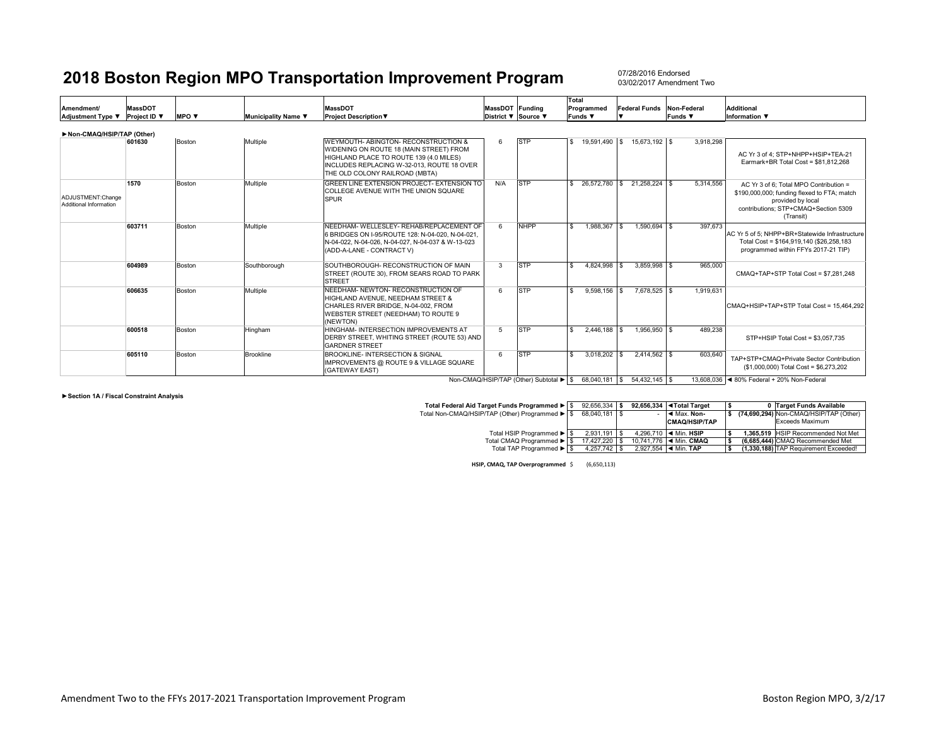07/28/2016 Endorsed03/02/2017 Amendment Two

|                                             |                     |        |                     |                                                                                                                                                                                                            |                     |             | Total              |                             |             |                                                                                                                                                                 |
|---------------------------------------------|---------------------|--------|---------------------|------------------------------------------------------------------------------------------------------------------------------------------------------------------------------------------------------------|---------------------|-------------|--------------------|-----------------------------|-------------|-----------------------------------------------------------------------------------------------------------------------------------------------------------------|
| <b>Amendment/</b>                           | <b>MassDOT</b>      |        |                     | <b>MassDOT</b>                                                                                                                                                                                             | MassDOT Funding     |             | Programmed         | <b>Federal Funds</b>        | Non-Federal | Additional                                                                                                                                                      |
| Adjustment Type ▼                           | <b>Project ID</b> ▼ | MPO V  | Municipality Name ▼ | <b>Project Description ▼</b>                                                                                                                                                                               | District ▼ Source ▼ |             | Funds <b>V</b>     |                             | Funds ▼     | Information $\Psi$                                                                                                                                              |
| Non-CMAQ/HSIP/TAP (Other)                   |                     |        |                     |                                                                                                                                                                                                            |                     |             |                    |                             |             |                                                                                                                                                                 |
|                                             | 601630              | Boston | Multiple            | WEYMOUTH- ABINGTON- RECONSTRUCTION &<br>WIDENING ON ROUTE 18 (MAIN STREET) FROM<br>HIGHLAND PLACE TO ROUTE 139 (4.0 MILES)<br>INCLUDES REPLACING W-32-013, ROUTE 18 OVER<br>THE OLD COLONY RAILROAD (MBTA) | 6                   | <b>STP</b>  | 19,591,490 \$      | 15.673.192 \$               | 3,918,298   | AC Yr 3 of 4: STP+NHPP+HSIP+TEA-21<br>Earmark+BR Total Cost = \$81.812.268                                                                                      |
| ADJUSTMENT:Change<br>Additional Information | 1570                | Boston | Multiple            | GREEN LINE EXTENSION PROJECT- EXTENSION TO<br>COLLEGE AVENUE WITH THE UNION SQUARE<br><b>SPUR</b>                                                                                                          | N/A                 | <b>STP</b>  | £.                 | 26,572,780 \$ 21,258,224 \$ | 5,314,556   | AC Yr 3 of 6: Total MPO Contribution =<br>\$190,000,000; funding flexed to FTA; match<br>provided by local<br>contributions: STP+CMAQ+Section 5309<br>(Transit) |
|                                             | 603711              | Boston | Multiple            | NEEDHAM- WELLESLEY- REHAB/REPLACEMENT OF<br>6 BRIDGES ON I-95/ROUTE 128: N-04-020, N-04-021.<br>N-04-022, N-04-026, N-04-027, N-04-037 & W-13-023<br>(ADD-A-LANE - CONTRACT V)                             | 6                   | <b>NHPP</b> | 1.988.367 \$<br>£. | $1.590.694$ \ \$            | 397.673     | AC Yr 5 of 5: NHPP+BR+Statewide Infrastructure<br>Total Cost = \$164,919,140 (\$26,258,183<br>programmed within FFYs 2017-21 TIP)                               |
|                                             | 604989              | Boston | Southborough        | SOUTHBOROUGH- RECONSTRUCTION OF MAIN<br>STREET (ROUTE 30), FROM SEARS ROAD TO PARK<br><b>STREET</b>                                                                                                        | 3                   | <b>STP</b>  | 4.824.998 \$       | $3.859.998$ \$              | 965,000     | CMAQ+TAP+STP Total Cost = \$7.281.248                                                                                                                           |
|                                             | 606635              | Boston | Multiple            | NEEDHAM- NEWTON- RECONSTRUCTION OF<br>HIGHLAND AVENUE. NEEDHAM STREET &<br>CHARLES RIVER BRIDGE, N-04-002, FROM<br>WEBSTER STREET (NEEDHAM) TO ROUTE 9<br>(NEWTON)                                         | 6                   | <b>STP</b>  | $9.598.156$ \$     | 7.678.525 \$                | 1.919.631   | CMAQ+HSIP+TAP+STP Total Cost = 15.464.292                                                                                                                       |
|                                             | 600518              | Boston | Hingham             | HINGHAM- INTERSECTION IMPROVEMENTS AT<br>DERBY STREET. WHITING STREET (ROUTE 53) AND<br><b>GARDNER STREET</b>                                                                                              | -5                  | <b>STP</b>  | $2.446.188$ \ \$   | 1.956.950 \$                | 489,238     | STP+HSIP Total Cost = \$3,057,735                                                                                                                               |
|                                             | 605110              | Boston | <b>Brookline</b>    | BROOKLINE- INTERSECTION & SIGNAL<br>IMPROVEMENTS @ ROUTE 9 & VILLAGE SQUARE<br>(GATEWAY EAST)                                                                                                              | 6.                  | <b>STP</b>  | 3.018.202          | $2.414.562$ \$              | 603.640     | TAP+STP+CMAQ+Private Sector Contribution<br>(\$1,000,000) Total Cost = \$6,273,202                                                                              |
|                                             |                     |        |                     |                                                                                                                                                                                                            |                     |             |                    |                             |             | $\sim$ 222 222 $\sim$ 2227 $\sim$ $\sim$ $\sim$ 2227 $\sim$                                                                                                     |

Non-CMAQ/HSIP/TAP (Other) Subtotal ▶ | \$68,040,181 | \$54,432,145 | \$13,608,036 | ◀ 80% Federal + 20% Non-Federal

**►Section 1A / Fiscal Constraint Analysis**

| Total Federal Aid Target Funds Programmed ▶ S  | 92.656.334 \$  |  | 92.656.334 <total target<="" th=""><th></th><th>0 Target Funds Available</th></total> |  | 0 Target Funds Available               |
|------------------------------------------------|----------------|--|---------------------------------------------------------------------------------------|--|----------------------------------------|
| Total Non-CMAQ/HSIP/TAP (Other) Programmed ▶ S | 68.040.181 \$  |  | Max. Non-                                                                             |  | (74.690.294) Non-CMAQ/HSIP/TAP (Other) |
|                                                |                |  | <b>CMAQ/HSIP/TAP</b>                                                                  |  | Exceeds Maximum                        |
| Total HSIP Programmed ▶ S                      | $2.931.191$ S  |  | 4.296.710   ◀ Min. HSIP                                                               |  | 1.365.519 HSIP Recommended Not Met     |
| Total CMAQ Programmed ▶ S                      | 17,427,220 \$  |  | 10.741.776   ◀ Min. CMAO                                                              |  | (6.685.444) CMAQ Recommended Met       |
| Total TAP Programmed ▶ S                       | $4,257,742$ \$ |  | 2.927.554 $\blacktriangleleft$ Min. TAP                                               |  | (1,330,188) TAP Requirement Exceeded!  |

**HSIP, CMAQ, TAP Overprogrammed** \$ (6,650,113)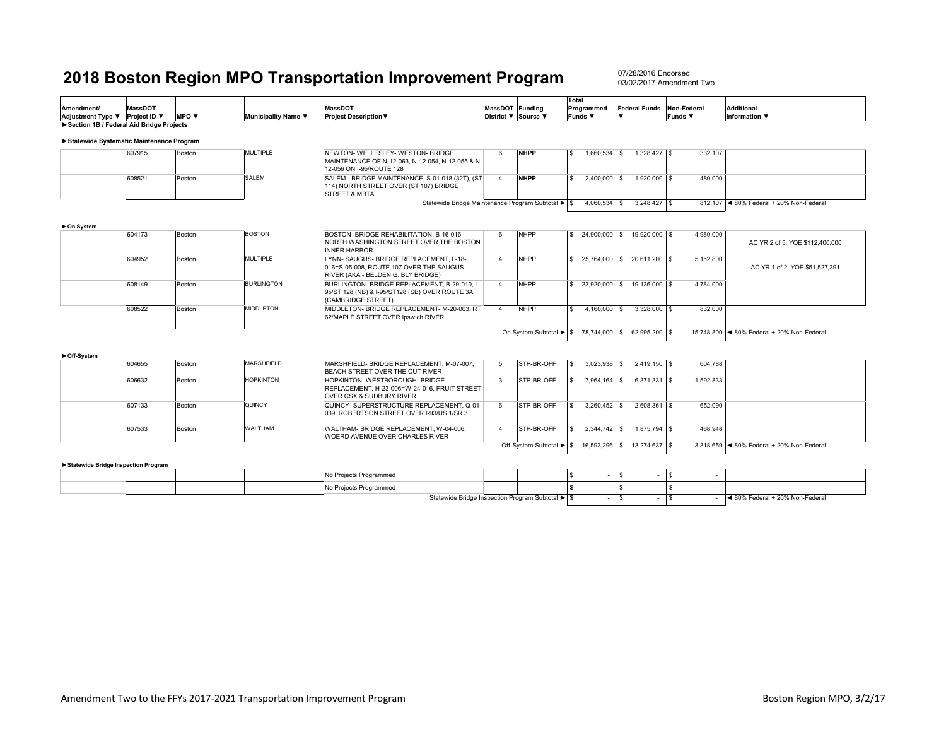07/28/2016 Endorsed 03/02/2017 Amendment Two

|                                            |                |                                 |                     |                                                                                                                        |                     |                          | Total              |                |                             |              |                                           |
|--------------------------------------------|----------------|---------------------------------|---------------------|------------------------------------------------------------------------------------------------------------------------|---------------------|--------------------------|--------------------|----------------|-----------------------------|--------------|-------------------------------------------|
| <b>Amendment/</b>                          | <b>MassDOT</b> |                                 |                     | <b>MassDOT</b>                                                                                                         | MassDOT Funding     |                          | Programmed         |                | <b>Federal Funds</b>        | Non-Federal  | Additional                                |
| Adjustment Type ▼                          | Project ID ▼   | <b>MPO</b> $\blacktriangledown$ | Municipality Name ▼ | <b>Project Description ▼</b>                                                                                           | District ▼ Source ▼ |                          | <b>Funds ▼</b>     |                |                             | Funds $\Psi$ | Information $\blacktriangledown$          |
| Section 1B / Federal Aid Bridge Projects   |                |                                 |                     |                                                                                                                        |                     |                          |                    |                |                             |              |                                           |
| ▶ Statewide Systematic Maintenance Program |                |                                 |                     |                                                                                                                        |                     |                          |                    |                |                             |              |                                           |
|                                            | 607915         | Boston                          | <b>MULTIPLE</b>     | NEWTON- WELLESLEY- WESTON- BRIDGE<br>MAINTENANCE OF N-12-063, N-12-054, N-12-055 & N-<br>12-056 ON I-95/ROUTE 128      | 6                   | <b>NHPP</b>              | l S                | $1,660,534$ \$ | $1,328,427$ \$              | 332,107      |                                           |
|                                            | 608521         | Boston                          | <b>SALEM</b>        | SALEM - BRIDGE MAINTENANCE, S-01-018 (32T), (ST<br>114) NORTH STREET OVER (ST 107) BRIDGE<br><b>STREET &amp; MBTA</b>  | $\overline{4}$      | <b>NHPP</b>              | l S                | 2,400,000 \$   | 1,920,000 \$                | 480,000      |                                           |
|                                            |                |                                 |                     | Statewide Bridge Maintenance Program Subtotal ▶ S                                                                      |                     |                          |                    | $4.060.534$ \$ |                             |              | 812.107 <4 80% Federal + 20% Non-Federal  |
|                                            |                |                                 |                     |                                                                                                                        |                     |                          |                    |                |                             |              |                                           |
| ► On System                                |                |                                 |                     |                                                                                                                        |                     |                          |                    |                |                             |              |                                           |
|                                            | 604173         | Boston                          | <b>BOSTON</b>       | BOSTON- BRIDGE REHABILITATION, B-16-016.<br>NORTH WASHINGTON STREET OVER THE BOSTON<br><b>INNER HARBOR</b>             | 6                   | <b>NHPP</b>              | l S                |                | 24,900,000 \$ 19,920,000 \$ | 4,980,000    | AC YR 2 of 5, YOE \$112,400,000           |
|                                            | 604952         | Boston                          | <b>MULTIPLE</b>     | LYNN-SAUGUS-BRIDGE REPLACEMENT, L-18-<br>016=S-05-008, ROUTE 107 OVER THE SAUGUS<br>RIVER (AKA - BELDEN G. BLY BRIDGE) | $\overline{a}$      | <b>NHPP</b>              | $\mathbf{s}$       |                | 25.764.000 \$ 20.611.200 \$ | 5,152,800    | AC YR 1 of 2, YOE \$51,527,391            |
|                                            | 608149         | Boston                          | <b>BURLINGTON</b>   | BURLINGTON- BRIDGE REPLACEMENT, B-29-010, I-<br>95/ST 128 (NB) & I-95/ST128 (SB) OVER ROUTE 3A<br>(CAMBRIDGE STREET)   | $\overline{4}$      | <b>NHPP</b>              | l \$               |                | 23,920,000 \$ 19,136,000 \$ | 4,784,000    |                                           |
|                                            | 608522         | Boston                          | MIDDLETON           | MIDDLETON- BRIDGE REPLACEMENT- M-20-003. RT<br>62/MAPLE STREET OVER Ipswich RIVER                                      | $\overline{4}$      | <b>NHPP</b>              | $\mathbf{\hat{S}}$ | $4,160,000$ \$ | $3,328,000$ \$              | 832,000      |                                           |
|                                            |                |                                 |                     |                                                                                                                        |                     | On System Subtotal ▶ S   |                    |                | 78,744,000 \$ 62,995,200 \$ | 15,748,800   | ◀ 80% Federal + 20% Non-Federal           |
|                                            |                |                                 |                     |                                                                                                                        |                     |                          |                    |                |                             |              |                                           |
|                                            |                |                                 |                     |                                                                                                                        |                     |                          |                    |                |                             |              |                                           |
| ► Off-System                               | 604655         | Boston                          | MARSHFIELD          | MARSHFIELD- BRIDGE REPLACEMENT, M-07-007.<br>BEACH STREET OVER THE CUT RIVER                                           | 5                   | <b>ISTP-BR-OFF</b>       | ١s                 | $3,023,938$ \$ | $2,419,150$ \$              | 604,788      |                                           |
|                                            | 606632         | Boston                          | <b>HOPKINTON</b>    | HOPKINTON- WESTBOROUGH- BRIDGE<br>REPLACEMENT, H-23-006=W-24-016, FRUIT STREET<br>OVER CSX & SUDBURY RIVER             | $\overline{3}$      | <b>ISTP-BR-OFF</b>       | -S                 | 7,964,164 \$   | $6.371.331$ \ \ \$          | 1,592,833    |                                           |
|                                            | 607133         | Boston                          | QUINCY              | QUINCY- SUPERSTRUCTURE REPLACEMENT, Q-01-<br>039, ROBERTSON STREET OVER I-93/US 1/SR 3                                 | 6                   | <b>STP-BR-OFF</b>        | $\mathbf{\hat{S}}$ |                | $2.608.361$ \ \$            | 652.090      |                                           |
|                                            | 607533         | Boston                          | <b>WALTHAM</b>      | WALTHAM- BRIDGE REPLACEMENT, W-04-006,<br>WOERD AVENUE OVER CHARLES RIVER                                              | $\overline{4}$      | STP-BR-OFF               | $\mathbf{\hat{S}}$ | 2,344,742 \$   | 1,875,794 \$                | 468,948      |                                           |
|                                            |                |                                 |                     |                                                                                                                        |                     | Off-System Subtotal ▶ \$ |                    |                | 16.593.296 \$ 13.274.637 \$ |              | 3.318.659 < 80% Federal + 20% Non-Federal |

#### **►Statewide Bridge Inspection Program**

|  |  | Projects Programmed                                                                                     |  |  |  |                                 |
|--|--|---------------------------------------------------------------------------------------------------------|--|--|--|---------------------------------|
|  |  | manda Programmed                                                                                        |  |  |  |                                 |
|  |  | Statewide Bridge Inspection Program Subtotal ▶ Statewide Bridge Inspection Program Subtotal ▶ Statewide |  |  |  | ◀ 80% Federal + 20% Non-Federal |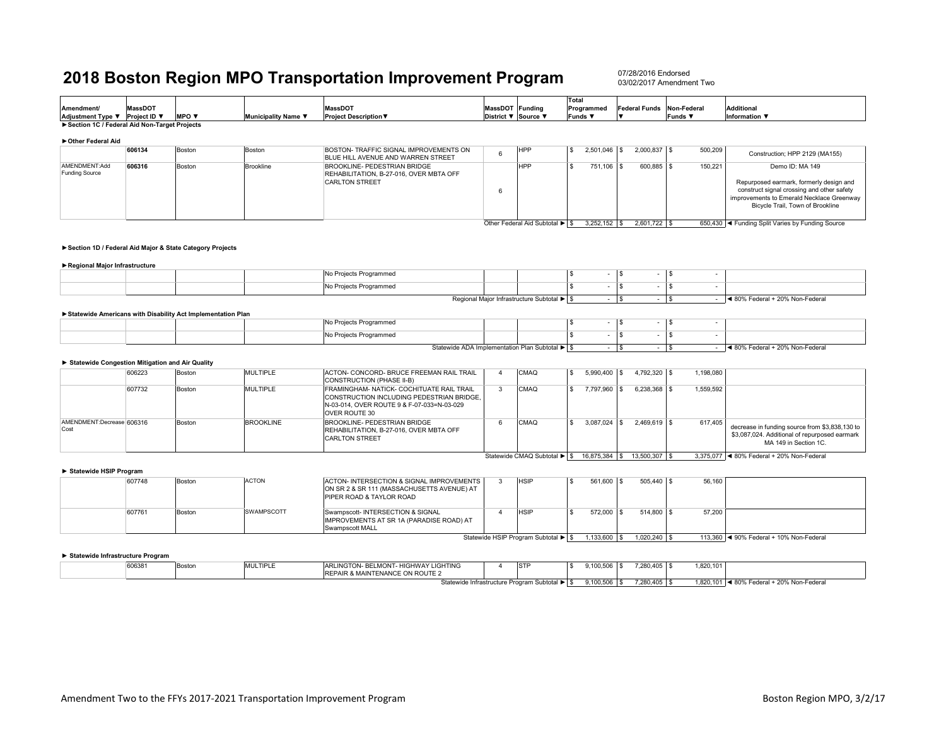07/28/2016 Endorsed03/02/2017 Amendment Two

| Amendment/<br>Adjustment Type ▼ Project ID ▼ | <b>MassDOT</b> | <b>MPO</b> $\blacktriangledown$ | Municipality Name ▼ | <b>MassDOT</b><br><b>Project Description ▼</b>                                                   | MassDOT Funding<br>District ▼ Source ▼ |                                | <b>Total</b><br>Programmed<br>Funds ▼ |                  | <b>Federal Funds</b> | Non-Federal<br>Funds ▼ | <b>Additional</b><br>Information $\blacktriangledown$                                                                                                                                     |
|----------------------------------------------|----------------|---------------------------------|---------------------|--------------------------------------------------------------------------------------------------|----------------------------------------|--------------------------------|---------------------------------------|------------------|----------------------|------------------------|-------------------------------------------------------------------------------------------------------------------------------------------------------------------------------------------|
| Section 1C / Federal Aid Non-Target Projects |                |                                 |                     |                                                                                                  |                                        |                                |                                       |                  |                      |                        |                                                                                                                                                                                           |
| ▶ Other Federal Aid                          |                |                                 |                     |                                                                                                  |                                        |                                |                                       |                  |                      |                        |                                                                                                                                                                                           |
|                                              | 606134         | Boston                          | Boston              | BOSTON- TRAFFIC SIGNAL IMPROVEMENTS ON<br>BLUE HILL AVENUE AND WARREN STREET                     |                                        | HPP                            |                                       | $2.501.046$ \ \$ | $2.000.837$ \$       | 500,209                | Construction: HPP 2129 (MA155)                                                                                                                                                            |
| AMENDMENT:Add<br>Funding Source              | 606316         | Boston                          | Brookline           | BROOKLINE- PEDESTRIAN BRIDGE<br>REHABILITATION, B-27-016, OVER MBTA OFF<br><b>CARLTON STREET</b> | Ð                                      | HPP                            |                                       | 751,106 \$       | 600.885 \$           | 150.221                | Demo ID: MA 149<br>Repurposed earmark, formerly design and<br>construct signal crossing and other safety<br>improvements to Emerald Necklace Greenway<br>Bicycle Trail, Town of Brookline |
|                                              |                |                                 |                     |                                                                                                  |                                        | Other Federal Aid Subtotal ▶ S |                                       | $3.252.152$ \$   | $2.601.722$ \$       |                        | 650,430 < Funding Split Varies by Funding Source                                                                                                                                          |

#### **►Section 1D / Federal Aid Major & State Category Projects**

#### **►Regional Major Infrastructure**

|  | Proiects Programmed |                                            |  |  |                                 |
|--|---------------------|--------------------------------------------|--|--|---------------------------------|
|  | Projects Programmed |                                            |  |  |                                 |
|  |                     | Regional Maior Infrastructure Subtotal ▶ S |  |  | ◀ 80% Federal + 20% Non-Federal |

#### **►Statewide Americans with Disability Act Implementation Plan**

|  | No Projects Programmed |                                                |  |  |  |                                 |
|--|------------------------|------------------------------------------------|--|--|--|---------------------------------|
|  | No Projects Programmed |                                                |  |  |  |                                 |
|  |                        | Statewide ADA Implementation Plan Subtotal ▶ S |  |  |  | ◀ 80% Federal + 20% Non-Federal |

#### **► Statewide Congestion Mitigation and Air Quality**

|                                   | 606223 | Boston | MULTIPLE         | ACTON- CONCORD- BRUCE FREEMAN RAIL TRAIL<br>CONSTRUCTION (PHASE II-B)                                                                                  | CMAQ                        | 5,990,400  | 4.792.320 \$         | 1.198.080 |                                                                                                                          |
|-----------------------------------|--------|--------|------------------|--------------------------------------------------------------------------------------------------------------------------------------------------------|-----------------------------|------------|----------------------|-----------|--------------------------------------------------------------------------------------------------------------------------|
|                                   | 607732 | Boston | MULTIPLE         | FRAMINGHAM- NATICK- COCHITUATE RAIL TRAIL<br>CONSTRUCTION INCLUDING PEDESTRIAN BRIDGE.<br>IN-03-014, OVER ROUTE 9 & F-07-033=N-03-029<br>OVER ROUTE 30 | CMAQ                        | 7.797.960  | $6.238.368$ \ \ \ \$ | 1.559.592 |                                                                                                                          |
| AMENDMENT:Decrease 606316<br>Cost |        | Boston | <b>BROOKLINE</b> | BROOKLINE- PEDESTRIAN BRIDGE<br><b>IREHABILITATION, B-27-016, OVER MBTA OFF</b><br><b>CARLTON STREET</b>                                               | CMAQ                        | 3.087.024  | $2.469.619$ \ \$     | 617.405   | decrease in funding source from \$3,838,130 to<br>\$3,087,024. Additional of repurposed earmark<br>MA 149 in Section 1C. |
|                                   |        |        |                  |                                                                                                                                                        | Statewide CMAQ Subtotal ▶ S | 16.875.384 | 13,500,307   \$      |           | 3.375.077 4 80% Federal + 20% Non-Federal                                                                                |

**► Statewide HSIP Program**

|                                     |  | .      |        |                   |                                                                                         |  |             |  |           |                  |        |                                           |
|-------------------------------------|--|--------|--------|-------------------|-----------------------------------------------------------------------------------------|--|-------------|--|-----------|------------------|--------|-------------------------------------------|
|                                     |  | 607748 | Boston | <b>ACTON</b>      | ACTON- INTERSECTION & SIGNAL IMPROVEMENTS<br>ON SR 2 & SR 111 (MASSACHUSETTS AVENUE) AT |  | <b>HSIP</b> |  | 561,600   | 505.440 \$       | 56.160 |                                           |
|                                     |  |        |        |                   | <b>IPIPER ROAD &amp; TAYLOR ROAD</b>                                                    |  |             |  |           |                  |        |                                           |
|                                     |  | 607761 | Boston | <b>SWAMPSCOTT</b> | Swampscott- INTERSECTION & SIGNAL<br>IMPROVEMENTS AT SR 1A (PARADISE ROAD) AT           |  | <b>HSIP</b> |  | 572,000   | 514,800 \$       | 57.200 |                                           |
|                                     |  |        |        |                   | Swampscott MALL                                                                         |  |             |  |           |                  |        |                                           |
| Statewide HSIP Program Subtotal ▶ S |  |        |        |                   |                                                                                         |  |             |  | 1,133,600 | $1.020.240$ \ \$ |        | 113,360   4 90% Federal + 10% Non-Federal |

#### **► Statewide Infrastructure Program**

| 606381 | Boston | MULTIPLE | ARLINGTON- BELMONT- HIGHWAY LIGHTING          | <b>STP</b> | .100.506 | 7.280.405 | 1.820.101 |                                                  |  |
|--------|--------|----------|-----------------------------------------------|------------|----------|-----------|-----------|--------------------------------------------------|--|
|        |        |          | REPAIR & MAINTENANCE ON ROUTE 2               |            |          |           |           |                                                  |  |
|        |        |          | Statewide Infrastructure Program Subtotal ▶ S |            | ,100,506 | 7.280.405 | 1,820,101 | + 20% Non-Federal<br>$\sim 000$<br>→ 80% Federal |  |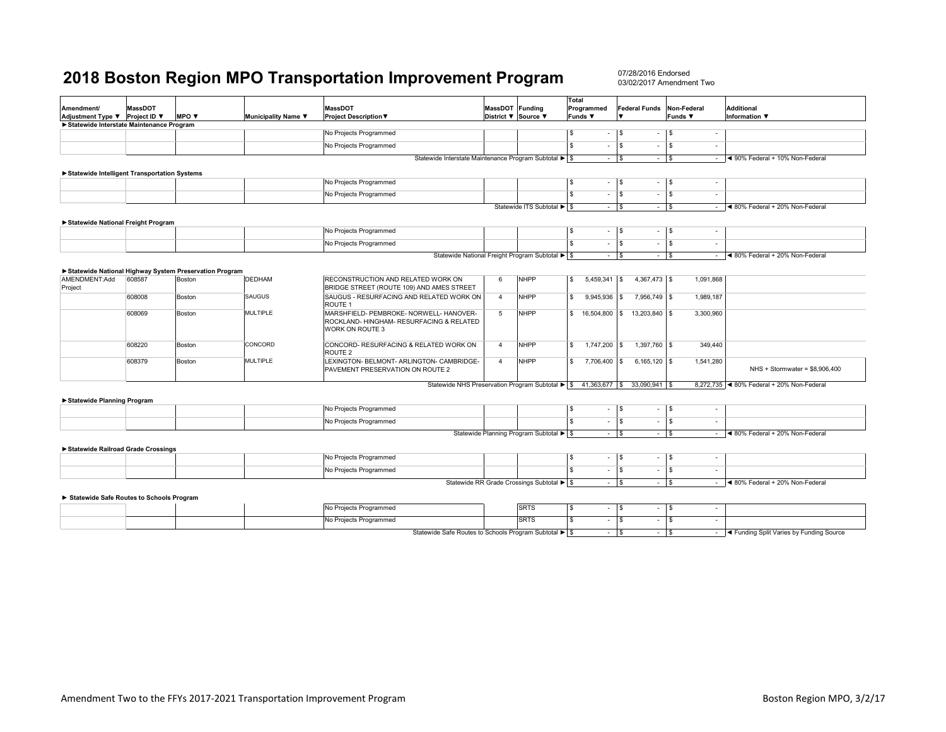|                                                |                |                                                        |                     |                                                                                 |                     |                                                  | <b>Total</b>                      |                                   |                                                     |                                                                                                                                                                                                             |
|------------------------------------------------|----------------|--------------------------------------------------------|---------------------|---------------------------------------------------------------------------------|---------------------|--------------------------------------------------|-----------------------------------|-----------------------------------|-----------------------------------------------------|-------------------------------------------------------------------------------------------------------------------------------------------------------------------------------------------------------------|
| <b>Amendment/</b>                              | <b>MassDOT</b> |                                                        |                     | <b>MassDOT</b>                                                                  | MassDOT Funding     |                                                  | Programmed                        | <b>Federal Funds</b>              | Non-Federal                                         | <b>Additional</b>                                                                                                                                                                                           |
| Adjustment Type ▼ Project ID ▼                 |                | <b>MPO</b> $\blacktriangledown$                        | Municipality Name ▼ | <b>Project Description ▼</b>                                                    | District ▼ Source ▼ |                                                  | Funds ▼                           |                                   | <b>Funds</b> ▼                                      | <b>Information</b> ▼                                                                                                                                                                                        |
| Statewide Interstate Maintenance Program       |                |                                                        |                     |                                                                                 |                     |                                                  |                                   |                                   |                                                     |                                                                                                                                                                                                             |
|                                                |                |                                                        |                     | No Projects Programmed                                                          |                     |                                                  | S.<br>$\sim$                      | $\mathbf{s}$<br>$\sim$            | $\sqrt{3}$<br>$\overline{\phantom{a}}$              |                                                                                                                                                                                                             |
|                                                |                |                                                        |                     | No Projects Programmed                                                          |                     |                                                  | $\overline{\mathbf{s}}$<br>$\sim$ | S<br>$\sim$                       | $\overline{\mathsf{I}}$<br>$\overline{\phantom{a}}$ |                                                                                                                                                                                                             |
|                                                |                |                                                        |                     | Statewide Interstate Maintenance Program Subtotal ▶ S                           |                     |                                                  | $\sim$                            | $\mathbf{s}$<br>$-$ \$            | $\sim$                                              | 1◀ 90% Federal + 10% Non-Federal                                                                                                                                                                            |
|                                                |                |                                                        |                     |                                                                                 |                     |                                                  |                                   |                                   |                                                     |                                                                                                                                                                                                             |
| ▶ Statewide Intelligent Transportation Systems |                |                                                        |                     | No Projects Programmed                                                          |                     |                                                  | \$<br>$\sim$                      | $\mathbf{s}$<br>$\sim$            | $\sqrt{ }$<br>$\sim$                                |                                                                                                                                                                                                             |
|                                                |                |                                                        |                     |                                                                                 |                     |                                                  | \$.                               |                                   |                                                     |                                                                                                                                                                                                             |
|                                                |                |                                                        |                     | No Projects Programmed                                                          |                     |                                                  | $\sim$                            | <b>S</b><br>$\sim$                | $\sqrt{S}$<br>$\sim$                                |                                                                                                                                                                                                             |
|                                                |                |                                                        |                     |                                                                                 |                     | Statewide ITS Subtotal ▶ \$                      | $ \sqrt{s}$                       | $-$ \$                            | $\sim$                                              | ◀ 80% Federal + 20% Non-Federal                                                                                                                                                                             |
| Statewide National Freight Program             |                |                                                        |                     |                                                                                 |                     |                                                  |                                   |                                   |                                                     |                                                                                                                                                                                                             |
|                                                |                |                                                        |                     | No Projects Programmed                                                          |                     |                                                  | S<br>$\sim$                       | l s<br>$\sim$                     | $\sqrt{s}$<br>$\overline{\phantom{a}}$              |                                                                                                                                                                                                             |
|                                                |                |                                                        |                     | No Projects Programmed                                                          |                     |                                                  | \$<br>$\sim$                      | $\mathbf{s}$<br>$\sim$            | $\sqrt{3}$<br>÷                                     |                                                                                                                                                                                                             |
|                                                |                |                                                        |                     |                                                                                 |                     | Statewide National Freight Program Subtotal ▶ \$ | $\sim 10^{-1}$                    | l s<br>$ \sqrt{3}$                | $\sim$                                              | ◀ 80% Federal + 20% Non-Federal                                                                                                                                                                             |
|                                                |                |                                                        |                     |                                                                                 |                     |                                                  |                                   |                                   |                                                     |                                                                                                                                                                                                             |
|                                                |                | Statewide National Highway System Preservation Program |                     |                                                                                 |                     |                                                  |                                   |                                   |                                                     |                                                                                                                                                                                                             |
| AMENDMENT:Add<br>Project                       | 608587         | Boston                                                 | <b>DEDHAM</b>       | RECONSTRUCTION AND RELATED WORK ON<br>BRIDGE STREET (ROUTE 109) AND AMES STREET | 6                   | <b>NHPP</b>                                      | s.<br>$5,459,341$ \\$             | $4,367,473$ \$                    | 1,091,868                                           |                                                                                                                                                                                                             |
|                                                | 608008         | Boston                                                 | SAUGUS              | SAUGUS - RESURFACING AND RELATED WORK ON<br>ROUTE <sub>1</sub>                  | $\overline{4}$      | <b>NHPP</b>                                      | \$<br>$9,945,936$ \$              | 7,956,749 \$                      | 1,989,187                                           |                                                                                                                                                                                                             |
|                                                | 608069         | Boston                                                 | <b>MULTIPLE</b>     | MARSHFIELD- PEMBROKE- NORWELL- HANOVER-                                         | 5                   | <b>NHPP</b>                                      | s.                                | 16,504,800   \$ 13,203,840   \$   | 3,300,960                                           |                                                                                                                                                                                                             |
|                                                |                |                                                        |                     | ROCKLAND- HINGHAM- RESURFACING & RELATED<br>WORK ON ROUTE 3                     |                     |                                                  |                                   |                                   |                                                     |                                                                                                                                                                                                             |
|                                                | 608220         | Boston                                                 | CONCORD             | CONCORD- RESURFACING & RELATED WORK ON<br>ROUTE <sub>2</sub>                    | $\overline{4}$      | <b>NHPP</b>                                      | s.<br>1,747,200 \$                | $1,397,760$ \$                    | 349,440                                             |                                                                                                                                                                                                             |
|                                                | 608379         | Boston                                                 | <b>MULTIPLE</b>     | LEXINGTON- BELMONT- ARLINGTON- CAMBRIDGE-<br>PAVEMENT PRESERVATION ON ROUTE 2   | $\overline{4}$      | <b>NHPP</b>                                      | \$<br>7,706,400 \$                | $6,165,120$ \$                    | 1,541,280                                           | NHS + Stormwater = $$8,906,400$                                                                                                                                                                             |
|                                                |                |                                                        |                     | Statewide NHS Preservation Program Subtotal ▶ \$ 41,363,677 \$ 33,090,941 \$    |                     |                                                  |                                   |                                   |                                                     | 8,272,735 < 80% Federal + 20% Non-Federal                                                                                                                                                                   |
| Statewide Planning Program                     |                |                                                        |                     |                                                                                 |                     |                                                  |                                   |                                   |                                                     |                                                                                                                                                                                                             |
|                                                |                |                                                        |                     | No Projects Programmed                                                          |                     |                                                  | S<br>$\sim$                       | l S<br>$\sim$                     | $\sqrt{3}$<br>$\sim$                                |                                                                                                                                                                                                             |
|                                                |                |                                                        |                     | No Projects Programmed                                                          |                     |                                                  | $\overline{\mathbf{s}}$<br>$\sim$ | $\overline{\mathbf{s}}$<br>$\sim$ | $\sqrt{3}$<br>÷                                     |                                                                                                                                                                                                             |
|                                                |                |                                                        |                     |                                                                                 |                     | Statewide Planning Program Subtotal ▶ S          | $ s$                              | $ \sqrt{3}$                       | $\sim$                                              | ◀ 80% Federal + 20% Non-Federal                                                                                                                                                                             |
| Statewide Railroad Grade Crossings             |                |                                                        |                     |                                                                                 |                     |                                                  |                                   |                                   |                                                     |                                                                                                                                                                                                             |
|                                                |                |                                                        |                     | No Projects Programmed                                                          |                     |                                                  | S<br>$\sim$                       | $\mathbf{s}$<br>$\sim$            | $\sqrt{s}$<br>÷                                     |                                                                                                                                                                                                             |
|                                                |                |                                                        |                     | No Projects Programmed                                                          |                     |                                                  | \$<br>$\sim$                      | S<br>$\sim$                       | l s                                                 |                                                                                                                                                                                                             |
|                                                |                |                                                        |                     |                                                                                 |                     | Statewide RR Grade Crossings Subtotal ▶ \$       | $ \sqrt{s}$                       | $-1$ \$                           | $\sim$                                              | ◀ 80% Federal + 20% Non-Federal                                                                                                                                                                             |
| Statewide Safe Routes to Schools Program       |                |                                                        |                     |                                                                                 |                     |                                                  |                                   |                                   |                                                     |                                                                                                                                                                                                             |
|                                                |                |                                                        |                     | No Projects Programmed                                                          |                     | <b>SRTS</b>                                      | \$<br>$\sim$                      | $\sqrt{3}$<br>$\sim$              | $\sqrt{3}$<br>$\sim$                                |                                                                                                                                                                                                             |
|                                                |                |                                                        |                     | No Projects Programmed                                                          |                     | <b>SRTS</b>                                      | S<br>$\sim$                       | $\mathbf{s}$<br>$\sim$            | $\sqrt{3}$<br>$\sim$                                |                                                                                                                                                                                                             |
|                                                |                |                                                        |                     | Statewide Safe Routes to Schools Program Subtotal ▶ \$                          |                     |                                                  | $ \sqrt{s}$                       | $ \sqrt{3}$                       |                                                     | - <a>I<br/> <a>I<br/> <a>I<br/> <a>I<br/> <a>I<br/> <a>I</a> <a>I</a> <a>I</a> <a>I</a> <a>I</a> <a>I</a> <a>I</a> <a>I</a> <a>I</a> <a>I</a> <a>I</a> &lt;</a> &lt;</a> &lt;</a> &lt;</a> &lt;</a> < < < < |
|                                                |                |                                                        |                     |                                                                                 |                     |                                                  |                                   |                                   |                                                     |                                                                                                                                                                                                             |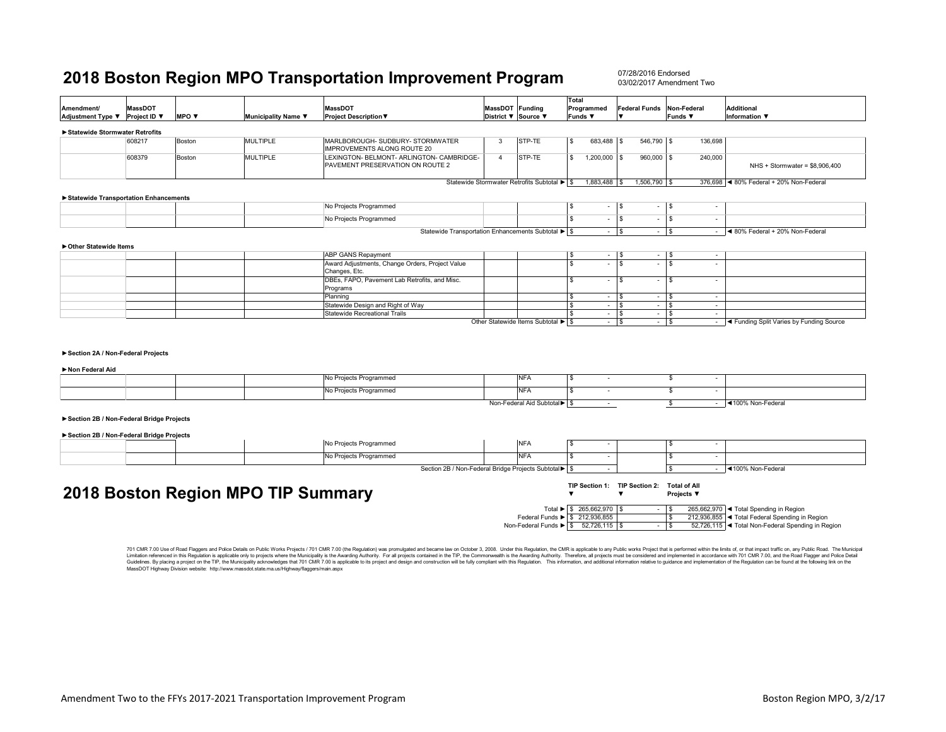07/28/2016 Endorsed03/02/2017 Amendment Two

| Amendment/<br>Adjustment Type ▼                                                      | <b>MassDOT</b><br>Project ID ▼ | MPO V  | Municipality Name ▼                | <b>MassDOT</b><br><b>Project Description ▼</b>                                                                                                                                                                                                                                                                                                                                                                                                                   |                | MassDOT Funding<br>District ▼ Source ▼      | Total<br>Programmed<br>Funds ▼                                         | Federal Funds Non-Federal<br>$\blacksquare$ | <b>Funds ▼</b>                          | <b>Additional</b><br>Information ▼                                    |
|--------------------------------------------------------------------------------------|--------------------------------|--------|------------------------------------|------------------------------------------------------------------------------------------------------------------------------------------------------------------------------------------------------------------------------------------------------------------------------------------------------------------------------------------------------------------------------------------------------------------------------------------------------------------|----------------|---------------------------------------------|------------------------------------------------------------------------|---------------------------------------------|-----------------------------------------|-----------------------------------------------------------------------|
| Statewide Stormwater Retrofits                                                       |                                |        |                                    |                                                                                                                                                                                                                                                                                                                                                                                                                                                                  |                |                                             |                                                                        |                                             |                                         |                                                                       |
|                                                                                      | 608217                         | Boston | <b>MULTIPLE</b>                    | MARLBOROUGH- SUDBURY- STORMWATER<br>IMPROVEMENTS ALONG ROUTE 20                                                                                                                                                                                                                                                                                                                                                                                                  | 3              | STP-TE                                      | 683,488 \$<br>l \$                                                     | 546,790 \$                                  | 136,698                                 |                                                                       |
|                                                                                      | 608379                         | Boston | <b>MULTIPLE</b>                    | LEXINGTON- BELMONT- ARLINGTON- CAMBRIDGE-<br>PAVEMENT PRESERVATION ON ROUTE 2                                                                                                                                                                                                                                                                                                                                                                                    | $\overline{4}$ | STP-TE                                      | <b>S</b><br>$1,200,000$ \$                                             | 960,000 \$                                  | 240,000                                 | NHS + Stormwater = \$8,906,400                                        |
|                                                                                      |                                |        |                                    |                                                                                                                                                                                                                                                                                                                                                                                                                                                                  |                | Statewide Stormwater Retrofits Subtotal ▶ S | 1,883,488 \$                                                           | 1,506,790 \$                                |                                         | 376,698 <4 80% Federal + 20% Non-Federal                              |
| Statewide Transportation Enhancements                                                |                                |        |                                    |                                                                                                                                                                                                                                                                                                                                                                                                                                                                  |                |                                             |                                                                        |                                             |                                         |                                                                       |
|                                                                                      |                                |        |                                    | No Projects Programmed                                                                                                                                                                                                                                                                                                                                                                                                                                           |                |                                             | <b>S</b>                                                               | $-1$ \$                                     | $-1$ \$<br>$\sim$                       |                                                                       |
|                                                                                      |                                |        |                                    | No Projects Programmed                                                                                                                                                                                                                                                                                                                                                                                                                                           |                |                                             | l s<br>$\sim$                                                          | l S                                         | $-1$ \$<br>$\sim$                       |                                                                       |
|                                                                                      |                                |        |                                    | Statewide Transportation Enhancements Subtotal ▶ S                                                                                                                                                                                                                                                                                                                                                                                                               |                |                                             | $-1$ s                                                                 |                                             | $ \sqrt{ }$                             | $-$ 4 80% Federal + 20% Non-Federal                                   |
| ▶ Other Statewide Items                                                              |                                |        |                                    |                                                                                                                                                                                                                                                                                                                                                                                                                                                                  |                |                                             |                                                                        |                                             |                                         |                                                                       |
|                                                                                      |                                |        |                                    | <b>ABP GANS Repayment</b>                                                                                                                                                                                                                                                                                                                                                                                                                                        |                |                                             | <b>S</b><br>$\sim$                                                     | \$                                          | $ \sqrt{s}$<br>$\overline{\phantom{a}}$ |                                                                       |
|                                                                                      |                                |        |                                    | Award Adjustments, Change Orders, Project Value<br>Changes, Etc.                                                                                                                                                                                                                                                                                                                                                                                                 |                |                                             | <b>S</b><br>$\sim$                                                     | -S                                          | $-1$ s<br>$\sim$                        |                                                                       |
|                                                                                      |                                |        |                                    | DBEs, FAPO, Pavement Lab Retrofits, and Misc.<br>Programs                                                                                                                                                                                                                                                                                                                                                                                                        |                |                                             | $\mathbf{s}$<br>$\sim$                                                 | $\mathbf{s}$                                | $ \sqrt{s}$<br>$\sim$                   |                                                                       |
|                                                                                      |                                |        |                                    | Planning                                                                                                                                                                                                                                                                                                                                                                                                                                                         |                |                                             | $\mathfrak s$<br>$-1$ s                                                |                                             | $-1$ s<br>$\sim$                        |                                                                       |
|                                                                                      |                                |        |                                    | Statewide Design and Right of Way                                                                                                                                                                                                                                                                                                                                                                                                                                |                |                                             | $\mathbf{s}$<br>$ s$                                                   |                                             | $-$ \$<br>$\sim$                        |                                                                       |
|                                                                                      |                                |        |                                    | Statewide Recreational Trails                                                                                                                                                                                                                                                                                                                                                                                                                                    |                | Other Statewide Items Subtotal ▶ S          | l s<br>$-1$ s<br>$-1$ s                                                |                                             | $ \sqrt{ }$<br>$\sim$<br>$-$ \$         | - <a>I<br/> <a>I<br/>A Funding Split Varies by Funding Source</a></a> |
| Section 2A / Non-Federal Projects<br>Non Federal Aid                                 |                                |        |                                    |                                                                                                                                                                                                                                                                                                                                                                                                                                                                  |                |                                             |                                                                        |                                             |                                         |                                                                       |
|                                                                                      |                                |        |                                    | No Projects Programmed                                                                                                                                                                                                                                                                                                                                                                                                                                           |                | <b>NFA</b>                                  | <b>S</b>                                                               |                                             | S.<br>$\overline{\phantom{a}}$          |                                                                       |
|                                                                                      |                                |        |                                    | No Projects Programmed                                                                                                                                                                                                                                                                                                                                                                                                                                           |                | <b>NFA</b>                                  | $\mathbf{s}$                                                           |                                             | \$<br>$\sim$                            |                                                                       |
|                                                                                      |                                |        |                                    |                                                                                                                                                                                                                                                                                                                                                                                                                                                                  |                | Non-Federal Aid Subtotal▶ \$                | $\sim$                                                                 |                                             | \$                                      | $-$ 4100% Non-Federal                                                 |
| Section 2B / Non-Federal Bridge Projects<br>Section 2B / Non-Federal Bridge Projects |                                |        |                                    |                                                                                                                                                                                                                                                                                                                                                                                                                                                                  |                |                                             |                                                                        |                                             |                                         |                                                                       |
|                                                                                      |                                |        |                                    | No Projects Programmed                                                                                                                                                                                                                                                                                                                                                                                                                                           |                | <b>NFA</b>                                  | l S                                                                    |                                             | \$.<br>$\overline{\phantom{a}}$         |                                                                       |
|                                                                                      |                                |        |                                    | No Projects Programmed                                                                                                                                                                                                                                                                                                                                                                                                                                           |                | <b>NFA</b>                                  | <b>S</b><br>$\sim$                                                     |                                             | \$.                                     |                                                                       |
|                                                                                      |                                |        |                                    | Section 2B / Non-Federal Bridge Projects Subtotal > \$                                                                                                                                                                                                                                                                                                                                                                                                           |                |                                             | $\sim$                                                                 |                                             |                                         | $-$ 4100% Non-Federal                                                 |
|                                                                                      |                                |        | 2018 Boston Region MPO TIP Summary |                                                                                                                                                                                                                                                                                                                                                                                                                                                                  |                |                                             | TIP Section 1: TIP Section 2: Total of All<br>$\overline{\phantom{a}}$ | $\overline{\mathbf{v}}$                     | Projects ▼                              |                                                                       |
|                                                                                      |                                |        |                                    |                                                                                                                                                                                                                                                                                                                                                                                                                                                                  |                |                                             | Total ▶ \$ 265,662,970 \$                                              |                                             | $-1$ s                                  | 265,662,970 < Total Spending in Region                                |
|                                                                                      |                                |        |                                    |                                                                                                                                                                                                                                                                                                                                                                                                                                                                  |                | Federal Funds > \$ 212,936,855              |                                                                        |                                             | $\mathfrak{s}$                          | 212,936,855 < Total Federal Spending in Region                        |
|                                                                                      |                                |        |                                    |                                                                                                                                                                                                                                                                                                                                                                                                                                                                  |                | Non-Federal Funds ▶ \$ 52,726,115 \$        |                                                                        |                                             | $ \sqrt{ }$                             | 52,726,115 < Total Non-Federal Spending in Region                     |
|                                                                                      |                                |        |                                    | 701 CMR 7.00 Use of Road Flaggers and Police Details on Public Works Projects / 701 CMR 7.00 (the Regulation) was promulgated and became law on October 3, 2008. Under this Regulation, the CMR is applicable to any Public wo<br>Limitation referenced in this Requisition is applicable only to projects where the Municipality is the Awarding Authority. For all projects contained in the TIP the Commonwealth is the Awarding Authority. Therefore, all pr |                |                                             |                                                                        |                                             |                                         |                                                                       |

Limitation referenced in this Regulation is applicable only to projects where the Municpality is the Awarding Authority. For all projects contained in the TIP, the Commonwealth is the Awarding Authority. Therefore, all pro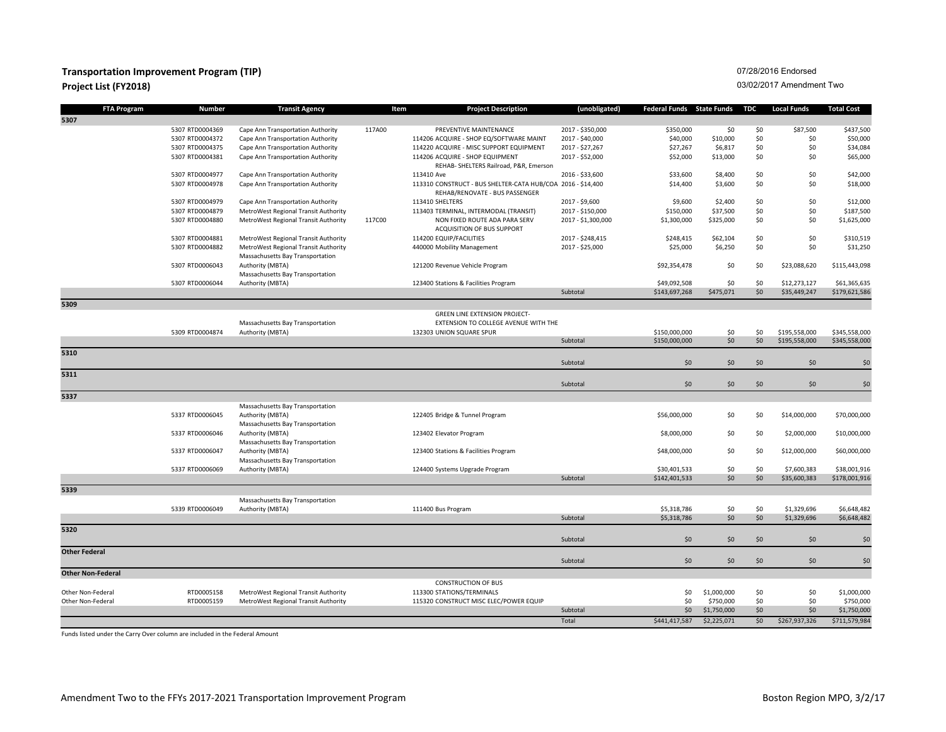### **Transportation Improvement Program (TIP) Project List (FY2018)**

### 07/28/2016 Endorsed

#### 03/02/2017 Amendment Two

| <b>FTA Program</b>       | <b>Number</b>            | <b>Transit Agency</b>                                                        | Item   | <b>Project Description</b>                                                                    | (unobligated)      | <b>Federal Funds</b> State Funds |                          | TDC | <b>Local Funds</b> | <b>Total Cost</b> |
|--------------------------|--------------------------|------------------------------------------------------------------------------|--------|-----------------------------------------------------------------------------------------------|--------------------|----------------------------------|--------------------------|-----|--------------------|-------------------|
| 5307                     |                          |                                                                              |        |                                                                                               |                    |                                  |                          |     |                    |                   |
|                          | 5307 RTD0004369          | Cape Ann Transportation Authority                                            | 117A00 | PREVENTIVE MAINTENANCE                                                                        | 2017 - \$350,000   | \$350,000                        | \$0                      | \$0 | \$87,500           | \$437,500         |
|                          | 5307 RTD0004372          | Cape Ann Transportation Authority                                            |        | 114206 ACQUIRE - SHOP EQ/SOFTWARE MAINT                                                       | 2017 - \$40,000    | \$40,000                         | \$10,000                 | \$0 | \$0                | \$50,000          |
|                          | 5307 RTD0004375          | Cape Ann Transportation Authority                                            |        | 114220 ACQUIRE - MISC SUPPORT EQUIPMENT                                                       | 2017 - \$27,267    | \$27,267                         | \$6,817                  | \$0 | \$0                | \$34,084          |
|                          | 5307 RTD0004381          | Cape Ann Transportation Authority                                            |        | 114206 ACQUIRE - SHOP EQUIPMENT<br>REHAB- SHELTERS Railroad, P&R, Emerson                     | 2017 - \$52,000    | \$52,000                         | \$13,000                 | \$0 | \$0                | \$65,000          |
|                          | 5307 RTD0004977          | Cape Ann Transportation Authority                                            |        | 113410 Ave                                                                                    | 2016 - \$33,600    | \$33,600                         | \$8,400                  | \$0 | \$0                | \$42,000          |
|                          | 5307 RTD0004978          | Cape Ann Transportation Authority                                            |        | 113310 CONSTRUCT - BUS SHELTER-CATA HUB/COA 2016 - \$14,400<br>REHAB/RENOVATE - BUS PASSENGER |                    | \$14,400                         | \$3,600                  | \$0 | \$0                | \$18,000          |
|                          | 5307 RTD0004979          | Cape Ann Transportation Authority                                            |        | 113410 SHELTERS                                                                               | 2017 - \$9,600     | \$9,600                          | \$2,400                  | \$0 | \$0                | \$12,000          |
|                          | 5307 RTD0004879          | MetroWest Regional Transit Authority                                         |        | 113403 TERMINAL, INTERMODAL (TRANSIT)                                                         | 2017 - \$150,000   | \$150,000                        | \$37,500                 | \$0 | \$0                | \$187,500         |
|                          | 5307 RTD0004880          | MetroWest Regional Transit Authority                                         | 117C00 | NON FIXED ROUTE ADA PARA SERV<br><b>ACQUISITION OF BUS SUPPORT</b>                            | 2017 - \$1,300,000 | \$1,300,000                      | \$325,000                | \$0 | \$0                | \$1,625,000       |
|                          | 5307 RTD0004881          | MetroWest Regional Transit Authority                                         |        | 114200 EQUIP/FACILITIES                                                                       | 2017 - \$248,415   | \$248,415                        | \$62,104                 | \$0 | \$0                | \$310,519         |
|                          | 5307 RTD0004882          | MetroWest Regional Transit Authority<br>Massachusetts Bay Transportation     |        | 440000 Mobility Management                                                                    | 2017 - \$25,000    | \$25,000                         | \$6,250                  | \$0 | \$0                | \$31,250          |
|                          | 5307 RTD0006043          | Authority (MBTA)<br>Massachusetts Bay Transportation                         |        | 121200 Revenue Vehicle Program                                                                |                    | \$92,354,478                     | \$0                      | \$0 | \$23,088,620       | \$115,443,098     |
|                          | 5307 RTD0006044          | Authority (MBTA)                                                             |        | 123400 Stations & Facilities Program                                                          |                    | \$49,092,508                     | \$0                      | \$0 | \$12,273,127       | \$61,365,635      |
|                          |                          |                                                                              |        |                                                                                               | Subtotal           | \$143,697,268                    | \$475,071                | \$0 | \$35,449,247       | \$179,621,586     |
| 5309                     |                          |                                                                              |        |                                                                                               |                    |                                  |                          |     |                    |                   |
|                          |                          |                                                                              |        | GREEN LINE EXTENSION PROJECT-                                                                 |                    |                                  |                          |     |                    |                   |
|                          |                          | Massachusetts Bay Transportation                                             |        | EXTENSION TO COLLEGE AVENUE WITH THE                                                          |                    | \$150,000,000                    | \$0                      | \$0 | \$195,558,000      | \$345,558,000     |
|                          | 5309 RTD0004874          | Authority (MBTA)                                                             |        | 132303 UNION SQUARE SPUR                                                                      | Subtotal           | \$150,000,000                    | \$0                      | \$0 | \$195,558,000      | \$345,558,000     |
|                          |                          |                                                                              |        |                                                                                               |                    |                                  |                          |     |                    |                   |
| 5310                     |                          |                                                                              |        |                                                                                               | Subtotal           | \$0                              | \$0                      | \$0 | \$0                | \$0               |
| 5311                     |                          |                                                                              |        |                                                                                               | Subtotal           | \$0                              | \$0                      | \$0 | \$0                | \$0               |
| 5337                     |                          |                                                                              |        |                                                                                               |                    |                                  |                          |     |                    |                   |
|                          |                          | Massachusetts Bay Transportation                                             |        |                                                                                               |                    |                                  |                          |     |                    |                   |
|                          | 5337 RTD0006045          | Authority (MBTA)<br>Massachusetts Bay Transportation                         |        | 122405 Bridge & Tunnel Program                                                                |                    | \$56,000,000                     | \$0                      | \$0 | \$14,000,000       | \$70,000,000      |
|                          | 5337 RTD0006046          | Authority (MBTA)<br>Massachusetts Bay Transportation                         |        | 123402 Elevator Program                                                                       |                    | \$8,000,000                      | \$0                      | \$0 | \$2,000,000        | \$10,000,000      |
|                          | 5337 RTD0006047          | Authority (MBTA)<br>Massachusetts Bay Transportation                         |        | 123400 Stations & Facilities Program                                                          |                    | \$48,000,000                     | \$0                      | \$0 | \$12,000,000       | \$60,000,000      |
|                          | 5337 RTD0006069          | Authority (MBTA)                                                             |        | 124400 Systems Upgrade Program                                                                |                    | \$30,401,533                     | \$0                      | \$0 | \$7,600,383        | \$38,001,916      |
|                          |                          |                                                                              |        |                                                                                               | Subtotal           | \$142,401,533                    | \$0                      | \$0 | \$35,600,383       | \$178,001,916     |
| 5339                     |                          |                                                                              |        |                                                                                               |                    |                                  |                          |     |                    |                   |
|                          |                          | Massachusetts Bay Transportation                                             |        |                                                                                               |                    |                                  |                          |     |                    |                   |
|                          | 5339 RTD0006049          | Authority (MBTA)                                                             |        | 111400 Bus Program                                                                            |                    | \$5,318,786                      | \$0                      | \$0 | \$1,329,696        | \$6,648,482       |
|                          |                          |                                                                              |        |                                                                                               | Subtotal           | \$5,318,786                      | \$0                      | \$0 | \$1,329,696        | \$6,648,482       |
| 5320                     |                          |                                                                              |        |                                                                                               | Subtotal           | \$0                              | \$0                      | \$0 | \$0                | \$0               |
| <b>Other Federal</b>     |                          |                                                                              |        |                                                                                               |                    |                                  |                          |     |                    |                   |
|                          |                          |                                                                              |        |                                                                                               | Subtotal           | \$0                              | \$0                      | \$0 | \$0                | \$0               |
| <b>Other Non-Federal</b> |                          |                                                                              |        |                                                                                               |                    |                                  |                          |     |                    |                   |
| Other Non-Federal        |                          |                                                                              |        | <b>CONSTRUCTION OF BUS</b>                                                                    |                    | \$0                              |                          | \$0 | \$0                | \$1,000,000       |
| Other Non-Federal        | RTD0005158<br>RTD0005159 | MetroWest Regional Transit Authority<br>MetroWest Regional Transit Authority |        | 113300 STATIONS/TERMINALS<br>115320 CONSTRUCT MISC ELEC/POWER EQUIP                           |                    | \$0                              | \$1,000,000<br>\$750,000 | \$0 | \$0                | \$750,000         |
|                          |                          |                                                                              |        |                                                                                               | Subtotal           | \$0                              | \$1,750,000              | \$0 | \$0                | \$1,750,000       |
|                          |                          |                                                                              |        |                                                                                               | Total              | \$441,417,587                    | \$2,225,071              | \$0 | \$267,937,326      | \$711,579,984     |
|                          |                          |                                                                              |        |                                                                                               |                    |                                  |                          |     |                    |                   |

Funds listed under the Carry Over column are included in the Federal Amount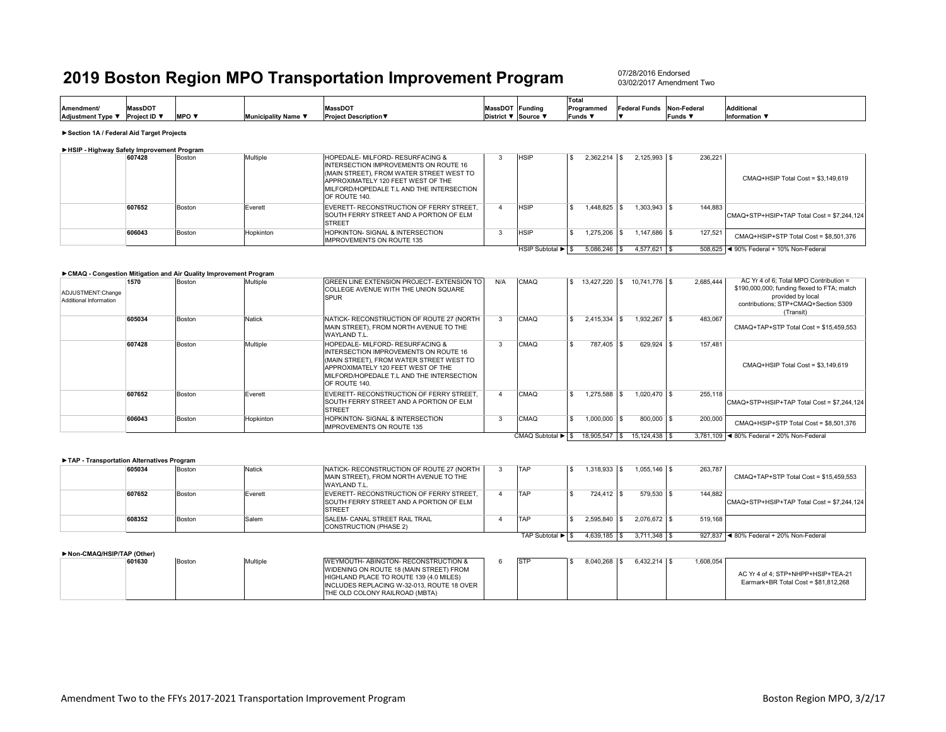07/28/2016 Endorsed03/02/2017 Amendment Two

|                   |                |         |                            |                              |                 |          | Total        |                           |         |                   |
|-------------------|----------------|---------|----------------------------|------------------------------|-----------------|----------|--------------|---------------------------|---------|-------------------|
| <b>Amendment/</b> | <b>MassDOT</b> |         |                            | <b>MassDOT</b>               | MassDOT Funding |          | Programmed   | Federal Funds Non-Federal |         | <b>Additional</b> |
| Adjustment Type ▼ | Proiect ID ▼   | $MPO =$ | <b>Municipality Name ▼</b> | <b>Project Description ▼</b> | District ▼      | Source V | <b>Funds</b> |                           | Funds ¶ | Information       |
|                   |                |         |                            |                              |                 |          |              |                           |         |                   |

**►Section 1A / Federal Aid Target Projects**

| ► HSIP - Highway Safety Improvement Program |        |        |           |                                                                                                                                                                                                                                  |                   |                  |                |         |                                            |
|---------------------------------------------|--------|--------|-----------|----------------------------------------------------------------------------------------------------------------------------------------------------------------------------------------------------------------------------------|-------------------|------------------|----------------|---------|--------------------------------------------|
|                                             | 607428 | Boston | Multiple  | HOPEDALE- MILFORD- RESURFACING &<br><b>INTERSECTION IMPROVEMENTS ON ROUTE 16</b><br>(MAIN STREET), FROM WATER STREET WEST TO<br>APPROXIMATELY 120 FEET WEST OF THE<br>MILFORD/HOPEDALE T.L AND THE INTERSECTION<br>OF ROUTE 140. | <b>HSIP</b>       | $2.362.214$ \ \$ | $2.125.993$ \$ | 236.221 | CMAQ+HSIP Total Cost = \$3,149,619         |
|                                             | 607652 | Boston | Everett   | EVERETT- RECONSTRUCTION OF FERRY STREET.<br>SOUTH FERRY STREET AND A PORTION OF ELM<br><b>STREET</b>                                                                                                                             | <b>HSIP</b>       | .448.825         | $1,303,943$ \$ | 144.883 | CMAQ+STP+HSIP+TAP Total Cost = \$7.244.124 |
|                                             | 606043 | Boston | Hopkinton | HOPKINTON- SIGNAL & INTERSECTION<br><b>IMPROVEMENTS ON ROUTE 135</b>                                                                                                                                                             | <b>HSIP</b>       |                  | $.147.686$ \$  | 127,521 | CMAQ+HSIP+STP Total Cost = \$8,501,376     |
|                                             |        |        |           |                                                                                                                                                                                                                                  | HSIP Subtotal ▶ S | 5.086.246 \$     | $4.577.621$ \$ |         | 508.625   ◀ 90% Federal + 10% Non-Federal  |

#### **►CMAQ - Congestion Mitigation and Air Quality Improvement Program**

| ADJUSTMENT:Change<br>Additional Information | 1570   | Boston | Multiple  | <b>GREEN LINE EXTENSION PROJECT- EXTENSION TO</b><br><b>COLLEGE AVENUE WITH THE UNION SQUARE</b><br><b>SPUR</b>                                                                                                                       | N/A | CMAQ              | 13.427.220 \$    | 10.741.776 \$                   | 2.685.444 | AC Yr 4 of 6: Total MPO Contribution =<br>\$190,000,000; funding flexed to FTA; match<br>provided by local<br>contributions: STP+CMAQ+Section 5309<br>(Transit) |
|---------------------------------------------|--------|--------|-----------|---------------------------------------------------------------------------------------------------------------------------------------------------------------------------------------------------------------------------------------|-----|-------------------|------------------|---------------------------------|-----------|-----------------------------------------------------------------------------------------------------------------------------------------------------------------|
|                                             | 605034 | Boston | Natick    | NATICK- RECONSTRUCTION OF ROUTE 27 (NORTH<br>MAIN STREET), FROM NORTH AVENUE TO THE<br>WAYLAND T.L.                                                                                                                                   |     | <b>CMAQ</b>       |                  | 1.932.267 \$                    | 483.067   | CMAQ+TAP+STP Total Cost = \$15,459,553                                                                                                                          |
|                                             | 607428 | Boston | Multiple  | <b>HOPEDALE- MILFORD- RESURFACING &amp;</b><br>INTERSECTION IMPROVEMENTS ON ROUTE 16<br>(MAIN STREET). FROM WATER STREET WEST TO<br>APPROXIMATELY 120 FEET WEST OF THE<br>IMILFORD/HOPEDALE T.L AND THE INTERSECTION<br>OF ROUTE 140. |     | CMAQ              | 787.405 \$       | 629.924 \$                      | 157,481   | CMAQ+HSIP Total Cost = \$3,149,619                                                                                                                              |
|                                             | 607652 | Boston | Everett   | EVERETT- RECONSTRUCTION OF FERRY STREET.<br><b>ISOUTH FERRY STREET AND A PORTION OF ELM</b><br><b>STREET</b>                                                                                                                          |     | <b>CMAQ</b>       | $1.275.588$ \ \$ | $1.020.470$ \\$                 | 255.118   | CMAQ+STP+HSIP+TAP Total Cost = \$7,244,124                                                                                                                      |
|                                             | 606043 | Boston | Hopkinton | <b>HOPKINTON- SIGNAL &amp; INTERSECTION</b><br><b>IMPROVEMENTS ON ROUTE 135</b>                                                                                                                                                       |     | CMAQ              | 1,000,000 \$     | 800,000 \$                      | 200,000   | CMAQ+HSIP+STP Total Cost = \$8.501.376                                                                                                                          |
|                                             |        |        |           |                                                                                                                                                                                                                                       |     | CMAQ Subtotal ▶ S |                  | 18.905.547   \$ 15.124.438   \$ |           | 3.781.109   4 80% Federal + 20% Non-Federal                                                                                                                     |

| TAP - Transportation Alternatives Program |        |               |                                                                                                             |                  |                |                |         |                                            |
|-------------------------------------------|--------|---------------|-------------------------------------------------------------------------------------------------------------|------------------|----------------|----------------|---------|--------------------------------------------|
| 605034                                    | Boston | <b>Natick</b> | NATICK- RECONSTRUCTION OF ROUTE 27 (NORTH<br>MAIN STREET), FROM NORTH AVENUE TO THE<br>WAYLAND T.L.         | TAP              | 1.318.933      | $1.055.146$ \$ | 263.787 | CMAQ+TAP+STP Total Cost = \$15.459.553     |
| 607652                                    | Boston | Everett       | EVERETT- RECONSTRUCTION OF FERRY STREET.<br><b>SOUTH FERRY STREET AND A PORTION OF ELM</b><br><b>STREET</b> | TAP              | 724.412 \$     | 579.530 \$     | 144.882 | CMAQ+STP+HSIP+TAP Total Cost = \$7,244,124 |
| 608352                                    | Boston | Salem         | <b>SALEM- CANAL STREET RAIL TRAIL</b><br>CONSTRUCTION (PHASE 2)                                             | TAP              | 2.595.840      | $2.076.672$ \$ | 519.168 |                                            |
|                                           |        |               |                                                                                                             | TAP Subtotal ▶ S | $4,639,185$ \$ | $3.711.348$ S  |         | 927.837 4 80% Federal + 20% Non-Federal    |

#### **►Non-CMAQ/HSIP/TAP (Other)**

| 601630 | Bostor | Multiple | <b>IWEYMOUTH- ABINGTON- RECONSTRUCTION &amp;</b> | <b>STP</b> | 8.040.268 | $6.432.214$ \$ | 1,608,054 |                                      |
|--------|--------|----------|--------------------------------------------------|------------|-----------|----------------|-----------|--------------------------------------|
|        |        |          | <b>WIDENING ON ROUTE 18 (MAIN STREET) FROM</b>   |            |           |                |           |                                      |
|        |        |          | HIGHLAND PLACE TO ROUTE 139 (4.0 MILES)          |            |           |                |           | AC Yr 4 of 4: STP+NHPP+HSIP+TEA-21   |
|        |        |          | INCLUDES REPLACING W-32-013, ROUTE 18 OVER       |            |           |                |           | Earmark+BR Total Cost = \$81.812.268 |
|        |        |          | THE OLD COLONY RAILROAD (MBTA)                   |            |           |                |           |                                      |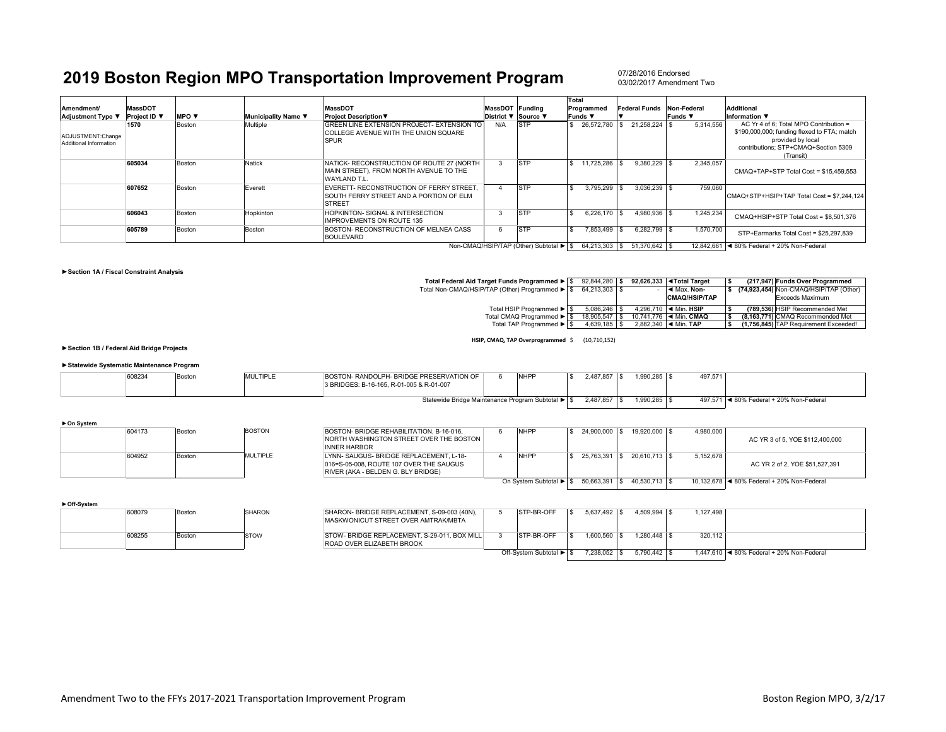07/28/2016 Endorsed03/02/2017 Amendment Two

| Amendment/<br><b>Adjustment Type ▼</b>      | <b>MassDOT</b><br>Project ID ▼ | <b>MPO</b> $\blacktriangledown$ | Municipality Name ▼ | <b>MassDOT</b><br><b>Project Description ▼</b>                                                       | MassDOT Funding | District ▼ Source ▼                    | Total | Programmed<br>Funds ▼ | <b>Federal Funds</b> | Funds ▼ | Non-Federal | <b>Additional</b><br>Information $\Psi$                                                                                                                         |
|---------------------------------------------|--------------------------------|---------------------------------|---------------------|------------------------------------------------------------------------------------------------------|-----------------|----------------------------------------|-------|-----------------------|----------------------|---------|-------------|-----------------------------------------------------------------------------------------------------------------------------------------------------------------|
| ADJUSTMENT:Change<br>Additional Information | 1570                           | Boston                          | Multiple            | GREEN LINE EXTENSION PROJECT- EXTENSION TO<br>COLLEGE AVENUE WITH THE UNION SQUARE<br><b>SPUR</b>    | N/A             | <b>STP</b>                             |       | 26,572,780            | 21.258.224 \$        |         | 5.314.556   | AC Yr 4 of 6: Total MPO Contribution =<br>\$190,000,000; funding flexed to FTA; match<br>provided by local<br>contributions: STP+CMAQ+Section 5309<br>(Transit) |
|                                             | 605034                         | Boston                          | Natick              | NATICK- RECONSTRUCTION OF ROUTE 27 (NORTH<br>MAIN STREET). FROM NORTH AVENUE TO THE<br>WAYLAND T.L.  |                 | <b>STP</b>                             |       | 11.725.286            | $9.380.229$ \$       |         | 2,345,057   | CMAQ+TAP+STP Total Cost = \$15.459.553                                                                                                                          |
|                                             | 607652                         | Boston                          | Everett             | EVERETT- RECONSTRUCTION OF FERRY STREET.<br>SOUTH FERRY STREET AND A PORTION OF ELM<br><b>STREET</b> |                 | <b>STP</b>                             |       | 3.795.299             | $3.036.239$ \ \$     |         | 759.060     | CMAQ+STP+HSIP+TAP Total Cost = \$7.244.124                                                                                                                      |
|                                             | 606043                         | Boston                          | Hopkinton           | HOPKINTON- SIGNAL & INTERSECTION<br><b>IMPROVEMENTS ON ROUTE 135</b>                                 |                 | STP                                    |       | 6.226.170             | $4.980.936$ \$       |         | 1,245,234   | CMAQ+HSIP+STP Total Cost = \$8,501,376                                                                                                                          |
|                                             | 605789                         | Boston                          | Boston              | BOSTON- RECONSTRUCTION OF MELNEA CASS<br><b>BOULEVARD</b>                                            | 6               | <b>STP</b>                             |       | 7.853.499             | $6.282.799$ \$       |         | 1,570,700   | STP+Earmarks Total Cost = \$25.297.839                                                                                                                          |
|                                             |                                |                                 |                     |                                                                                                      |                 | Non-CMAQ/HSIP/TAP (Other) Subtotal ▶ S |       | 64.213.303 \$         | 51.370.642 \$        |         |             | 12.842.661 <4 80% Federal + 20% Non-Federal                                                                                                                     |

#### **►Section 1A / Fiscal Constraint Analysis**

| Total Federal Aid Target Funds Programmed ▶ S   | 92.844.280 \$ |  | 92.626.333 <total target<="" th=""><th></th><th>(217.947) Funds Over Programmed</th></total> |  | (217.947) Funds Over Programmed        |
|-------------------------------------------------|---------------|--|----------------------------------------------------------------------------------------------|--|----------------------------------------|
| Total Non-CMAQ/HSIP/TAP (Other) Programmed ▶ \$ | 64.213.303 \$ |  | ◀ Max. Non-                                                                                  |  | (74,923,454) Non-CMAQ/HSIP/TAP (Other) |
|                                                 |               |  | <b>CMAQ/HSIP/TAP</b>                                                                         |  | Exceeds Maximum                        |
|                                                 |               |  |                                                                                              |  |                                        |
| Total HSIP Programmed ▶ S                       | 5.086.246     |  | 4.296.710   ◀ Min. HSIP                                                                      |  | (789.536) HSIP Recommended Met         |
| Total CMAQ Programmed ▶ \$                      | 18.905.547    |  | 10.741.776   ◀ Min. CMAQ                                                                     |  | (8,163,771) CMAQ Recommended Met       |
| Total TAP Programmed ▶ S                        | 4.639.185     |  | 2.882.340 $\blacksquare$ < Min. TAP                                                          |  | (1.756.845) TAP Requirement Exceeded!  |
|                                                 |               |  |                                                                                              |  |                                        |

**HSIP, CMAQ, TAP Overprogrammed** \$ (10,710,152)

**►Section 1B / Federal Aid Bridge Projects**

#### **►Statewide Systematic Maintenance Program**

| 608234                                            | <b>BOSTON</b> | <b>MULTIPLE</b> | BOSTON- RANDOLPH- BRIDGE PRESERVATION OF<br>3 BRIDGES: B-16-165, R-01-005 & R-01-007 |  | <b>NHPF</b> | 2,487,857 | 000.295   | 497,57                                   |
|---------------------------------------------------|---------------|-----------------|--------------------------------------------------------------------------------------|--|-------------|-----------|-----------|------------------------------------------|
| Statewide Bridge Maintenance Program Subtotal ▶ S |               |                 |                                                                                      |  |             | 2,487,857 | 385.000.1 | ■ 80% Federal + 20% Non-Federal<br>497.5 |

| $\triangleright$ On System |        |        |               |                                                                |                        |                 |               |           |                                            |
|----------------------------|--------|--------|---------------|----------------------------------------------------------------|------------------------|-----------------|---------------|-----------|--------------------------------------------|
|                            | 604173 | Boston | <b>BOSTON</b> | BOSTON- BRIDGE REHABILITATION, B-16-016.                       | <b>NHPP</b>            | 24.900.000      | 19.920.000 S  | 4.980.000 |                                            |
|                            |        |        |               | NORTH WASHINGTON STREET OVER THE BOSTON<br><b>INNER HARBOR</b> |                        |                 |               |           | AC YR 3 of 5, YOE \$112,400,000            |
|                            | 604952 | Boston | MULTIPLE      | LYNN-SAUGUS-BRIDGE REPLACEMENT, L-18-                          | <b>NHPP</b>            | 25.763.391      | 20.610.713 \$ | 5.152.678 |                                            |
|                            |        |        |               | 016=S-05-008, ROUTE 107 OVER THE SAUGUS                        |                        |                 |               |           | AC YR 2 of 2. YOE \$51,527,391             |
|                            |        |        |               | RIVER (AKA - BELDEN G. BLY BRIDGE)                             |                        |                 |               |           |                                            |
|                            |        |        |               |                                                                | On System Subtotal ▶ S | 50.663.391   \$ | 40.530.713 \$ |           | 10.132.678 4 80% Federal + 20% Non-Federal |

|  | ► Off-Svstem |
|--|--------------|

| . | 608079 | Boston | <b>SHARON</b> |
|---|--------|--------|---------------|
|   | 608255 | Boston | <b>STOW</b>   |

| <b>SHARON</b> | SHARON- BRIDGE REPLACEMENT, S-09-003 (40N),<br>MASKWONICUT STREET OVER AMTRAK/MBTA | STP-BR-OFF              |              | $4.509.994$ \ \ \$ | 1.127.498 |                                           |
|---------------|------------------------------------------------------------------------------------|-------------------------|--------------|--------------------|-----------|-------------------------------------------|
| <b>STOW</b>   | STOW-BRIDGE REPLACEMENT, S-29-011, BOX MILL<br>ROAD OVER ELIZABETH BROOK           | STP-BR-OFF              | 1.600.560 \$ |                    | 320.112   |                                           |
|               |                                                                                    | Off-System Subtotal ▶ S | 7.238.052 \$ | $5.790.442$ \ \$   |           | 1.447.610 4 80% Federal + 20% Non-Federal |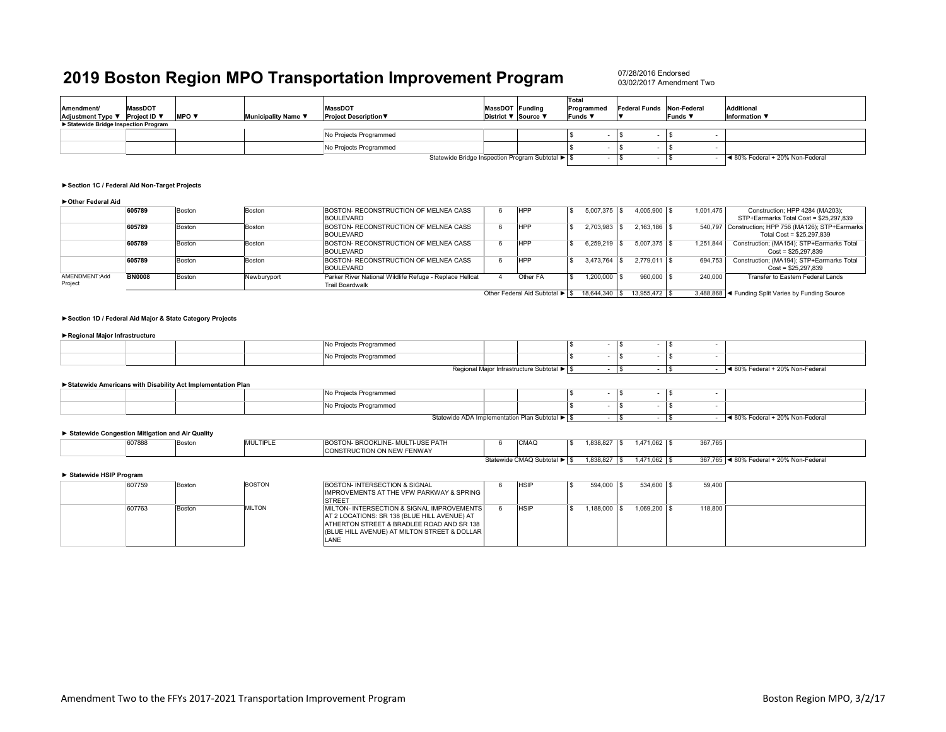07/28/2016 Endorsed03/02/2017 Amendment Two

|                                       |                |              |                     |                                                  |                     | Total        |                           |         |                                 |
|---------------------------------------|----------------|--------------|---------------------|--------------------------------------------------|---------------------|--------------|---------------------------|---------|---------------------------------|
| Amendment/                            | <b>MassDOT</b> |              |                     | <b>MassDOT</b>                                   | MassDOT Funding     | Programmed   | Federal Funds Non-Federal |         | <b>Additional</b>               |
| Adjustment Type ▼                     | Project ID ▼   | <b>MPO v</b> | Municipality Name ▼ | <b>Project Description ▼</b>                     | District ▼ Source ▼ | <b>Funds</b> |                           | Funds ▼ | Information ▼                   |
| ▶ Statewide Bridge Inspection Program |                |              |                     |                                                  |                     |              |                           |         |                                 |
|                                       |                |              |                     | No Projects Programmed                           |                     |              |                           |         |                                 |
|                                       |                |              |                     | No Projects Programmed                           |                     |              |                           |         |                                 |
|                                       |                |              |                     | Statewide Bridge Inspection Program Subtotal ▶ S |                     |              |                           |         | ■ 80% Federal + 20% Non-Federal |

#### **►Section 1C / Federal Aid Non-Target Projects**

#### **►Other Federal Aid**

|                          | 605789        | Boston | Boston      | BOSTON- RECONSTRUCTION OF MELNEA CASS<br><b>BOULEVARD</b>                         | <b>HPP</b>                     | 5.007.375  | 4.005.900 \$   | 1.001.475 | Construction; HPP 4284 (MA203);<br>STP+Earmarks Total Cost = \$25,297,839        |
|--------------------------|---------------|--------|-------------|-----------------------------------------------------------------------------------|--------------------------------|------------|----------------|-----------|----------------------------------------------------------------------------------|
|                          | 605789        | Boston | Boston      | BOSTON- RECONSTRUCTION OF MELNEA CASS<br><b>BOULEVARD</b>                         | HPP                            | 2.703.983  | $2.163.186$ \$ |           | 540,797 Construction; HPP 756 (MA126); STP+Earmarks<br>Total Cost = \$25,297,839 |
|                          | 605789        | Boston | Boston      | BOSTON- RECONSTRUCTION OF MELNEA CASS<br><b>BOULEVARD</b>                         | <b>HPP</b>                     | 6.259.219  | $5.007.375$ \$ | 1.251.844 | Construction; (MA154); STP+Earmarks Total<br>$Cost = $25.297.839$                |
|                          | 605789        | Boston | Boston      | BOSTON- RECONSTRUCTION OF MELNEA CASS<br><b>BOULEVARD</b>                         | HPP                            | 3.473.764  | 2.779.011 \$   | 694.753   | Construction; (MA194); STP+Earmarks Total<br>$Cost = $25.297.839$                |
| AMENDMENT:Add<br>Project | <b>BN0008</b> | Boston | Newburyport | Parker River National Wildlife Refuge - Replace Hellcat<br><b>Trail Boardwalk</b> | Other FA                       | 1.200.000  | 960,000 \$     | 240,000   | Transfer to Eastern Federal Lands                                                |
|                          |               |        |             |                                                                                   | Other Federal Aid Subtotal ▶ I | 18.644.340 |                |           | 3,488,868 < Funding Split Varies by Funding Source                               |

#### **►Section 1D / Federal Aid Major & State Category Projects**

#### **►Regional Major Infrastructure**

|  |  | iects Programmed       |                                          |  |  |                                      |
|--|--|------------------------|------------------------------------------|--|--|--------------------------------------|
|  |  | No Projects Programmed |                                          |  |  |                                      |
|  |  |                        | Regional Major Infrastructure Subtotal ▶ |  |  | Federal + 20% Non-Federal<br>ישה ואו |

#### **►Statewide Americans with Disability Act Implementation Plan**

|  | No Projects Programmed |                                                |  |  |                                 |
|--|------------------------|------------------------------------------------|--|--|---------------------------------|
|  | No Projects Programmed |                                                |  |  |                                 |
|  |                        | Statewide ADA Implementation Plan Subtotal ▶ S |  |  | ● 80% Federal + 20% Non-Federal |

#### **► Statewide Congestion Mitigation and Air Quality**

| 607888 | 30ston | <b>MULTIPLE</b> | BOSTON- BROOKLINE- MULTI-USE PATH<br><b>CONSTRUCTION ON NEW FENWAY</b> |                      | <b>CMAQ</b>   | $1.838.8^{\circ}$ | 471,062 \$ | 007705<br>367,765 |                                         |
|--------|--------|-----------------|------------------------------------------------------------------------|----------------------|---------------|-------------------|------------|-------------------|-----------------------------------------|
|        |        |                 |                                                                        | $\sim$ $\sim$ $\sim$ | $$ $0.111000$ | 100002            | 171000     | 0.27725           | $\sim$ 4.000/ Extent (000/ Nice Extent) |

Statewide CMAQ Subtotal ▶ | \$1,838,827 | \$1,471,062 | \$367,765 | ◀ 80% Federal + 20% Non-Federal

#### **► Statewide HSIP Program**

| 607759 | Boston | <b>BOSTON</b> |
|--------|--------|---------------|
| 607763 | Boston | <b>MILTON</b> |

| <b>BOSTON</b> | BOSTON- INTERSECTION & SIGNAL                       | <b>HSIP</b> | 594,000 \$    | 534,600 \$      | 59,400  |  |
|---------------|-----------------------------------------------------|-------------|---------------|-----------------|---------|--|
|               | <b>IMPROVEMENTS AT THE VFW PARKWAY &amp; SPRING</b> |             |               |                 |         |  |
|               | <b>STREET</b>                                       |             |               |                 |         |  |
| <b>MILTON</b> | MILTON- INTERSECTION & SIGNAL IMPROVEMENTS          | <b>HSIP</b> | $.188,000$ \$ | $1.069.200$ \\$ | 118,800 |  |
|               | AT 2 LOCATIONS: SR 138 (BLUE HILL AVENUE) AT        |             |               |                 |         |  |
|               | ATHERTON STREET & BRADLEE ROAD AND SR 138           |             |               |                 |         |  |
|               | (BLUE HILL AVENUE) AT MILTON STREET & DOLLAR        |             |               |                 |         |  |
|               | LANE                                                |             |               |                 |         |  |
|               |                                                     |             |               |                 |         |  |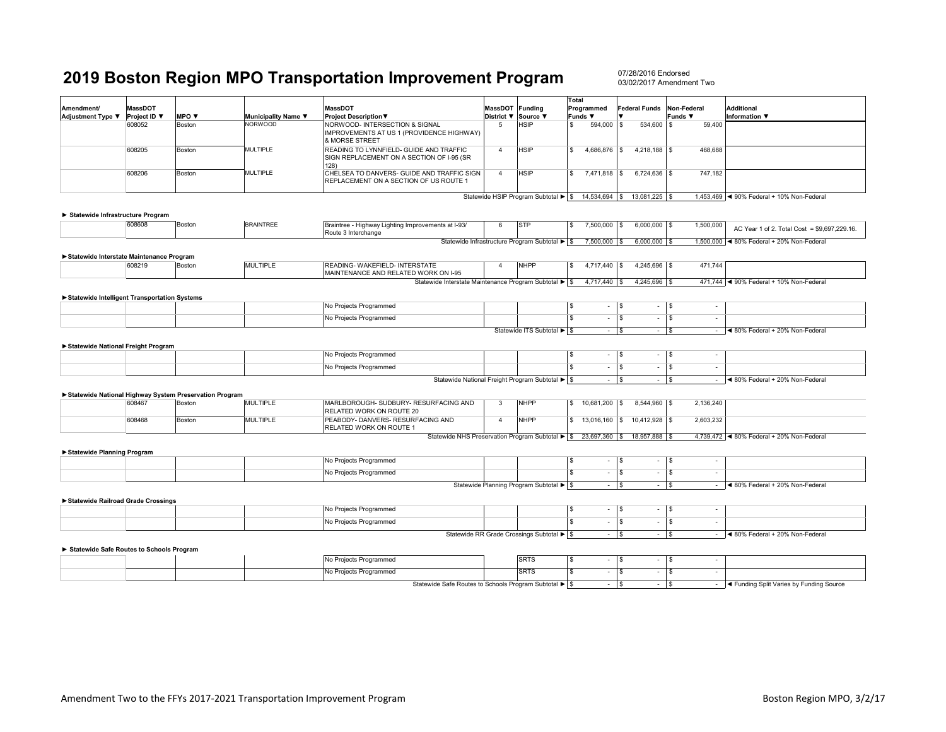|                                                        |                                |        |                     |                                                                                               |                                        |                                                                      | Total                        |                                   |                           |                                 |                                                   |
|--------------------------------------------------------|--------------------------------|--------|---------------------|-----------------------------------------------------------------------------------------------|----------------------------------------|----------------------------------------------------------------------|------------------------------|-----------------------------------|---------------------------|---------------------------------|---------------------------------------------------|
| Amendment/<br>Adjustment Type ▼                        | <b>MassDOT</b><br>Project ID ▼ | MPO V  | Municipality Name V | <b>MassDOT</b><br><b>Project Description ▼</b>                                                | MassDOT Funding<br>District ▼ Source ▼ |                                                                      | Programmed<br><b>Funds</b> ▼ |                                   | Federal Funds Non-Federal | Funds ▼                         | <b>Additional</b><br><b>Information</b> ▼         |
|                                                        | 608052                         | Boston | <b>NORWOOD</b>      | NORWOOD- INTERSECTION & SIGNAL<br>IMPROVEMENTS AT US 1 (PROVIDENCE HIGHWAY)<br>& MORSE STREET | 5                                      | HSIP                                                                 | s<br>594,000                 | <b>S</b>                          | 534,600                   | l \$<br>59,400                  |                                                   |
|                                                        | 608205                         | Boston | <b>MULTIPLE</b>     | READING TO LYNNFIELD- GUIDE AND TRAFFIC<br>SIGN REPLACEMENT ON A SECTION OF I-95 (SR<br>128)  | $\overline{4}$                         | <b>HSIP</b>                                                          | $\mathbf{s}$<br>4,686,876 \$ |                                   | 4,218,188 \$              | 468,688                         |                                                   |
|                                                        | 608206                         | Boston | <b>MULTIPLE</b>     | CHELSEA TO DANVERS- GUIDE AND TRAFFIC SIGN<br>REPLACEMENT ON A SECTION OF US ROUTE 1          | $\overline{4}$                         | <b>HSIP</b>                                                          | $\mathbf{s}$<br>7,471,818 \$ |                                   | 6,724,636 \$              | 747,182                         |                                                   |
|                                                        |                                |        |                     |                                                                                               |                                        | Statewide HSIP Program Subtotal > \$ 14,534,694   \$ 13,081,225   \$ |                              |                                   |                           |                                 | 1,453,469 < 90% Federal + 10% Non-Federal         |
|                                                        |                                |        |                     |                                                                                               |                                        |                                                                      |                              |                                   |                           |                                 |                                                   |
| Statewide Infrastructure Program                       | 608608                         | Boston | <b>BRAINTREE</b>    |                                                                                               | 6                                      | <b>STP</b>                                                           | 7,500,000 \$<br>l S          |                                   | $6,000,000$ \$            |                                 |                                                   |
|                                                        |                                |        |                     | Braintree - Highway Lighting Improvements at I-93/<br>Route 3 Interchange                     |                                        |                                                                      |                              |                                   |                           | 1,500,000                       | AC Year 1 of 2. Total Cost = \$9,697,229.16.      |
|                                                        |                                |        |                     |                                                                                               |                                        | Statewide Infrastructure Program Subtotal ▶ \$                       | 7,500,000 \$                 |                                   | $6,000,000$ \$            |                                 | 1,500,000 < 80% Federal + 20% Non-Federal         |
| Statewide Interstate Maintenance Program               |                                |        |                     |                                                                                               |                                        |                                                                      |                              |                                   |                           |                                 |                                                   |
|                                                        | 608219                         | Boston | <b>MULTIPLE</b>     | READING- WAKEFIELD- INTERSTATE<br>MAINTENANCE AND RELATED WORK ON I-95                        | $\overline{4}$                         | <b>NHPP</b>                                                          | l S<br>4,717,440 \$          |                                   | 4,245,696 \$              | 471,744                         |                                                   |
|                                                        |                                |        |                     | Statewide Interstate Maintenance Program Subtotal ▶ S                                         |                                        |                                                                      | 4,717,440   \$               |                                   | $4,245,696$ \$            |                                 | 471,744 <4 90% Federal + 10% Non-Federal          |
|                                                        |                                |        |                     |                                                                                               |                                        |                                                                      |                              |                                   |                           |                                 |                                                   |
| Statewide Intelligent Transportation Systems           |                                |        |                     | No Projects Programmed                                                                        |                                        |                                                                      | <b>S</b>                     | S                                 |                           |                                 |                                                   |
|                                                        |                                |        |                     |                                                                                               |                                        |                                                                      |                              |                                   | $\overline{\phantom{a}}$  | - \$                            |                                                   |
|                                                        |                                |        |                     | No Projects Programmed                                                                        |                                        |                                                                      | $\overline{s}$               | $\overline{\mathbf{s}}$<br>÷.     | $\overline{\phantom{a}}$  | $\overline{\mathbf{s}}$         |                                                   |
|                                                        |                                |        |                     |                                                                                               |                                        | Statewide ITS Subtotal > \$                                          |                              | - 5                               | $\sim$                    | l \$                            | $-$ 4 80% Federal + 20% Non-Federal               |
| ▶ Statewide National Freight Program                   |                                |        |                     |                                                                                               |                                        |                                                                      |                              |                                   |                           |                                 |                                                   |
|                                                        |                                |        |                     | No Projects Programmed                                                                        |                                        |                                                                      | $\sqrt{3}$                   | $\mathbf{s}$<br>$\sim$            | $\sim$                    | l \$<br>$\sim$                  |                                                   |
|                                                        |                                |        |                     | No Projects Programmed                                                                        |                                        |                                                                      | $\overline{\mathbf{s}}$      | \$<br>$\sim$                      | $\sim$                    | l \$<br>$\sim$                  |                                                   |
|                                                        |                                |        |                     | Statewide National Freight Program Subtotal ▶ \$                                              |                                        |                                                                      |                              | $ \sqrt{s}$                       | $\sim$                    | l \$                            | $-$ 4 80% Federal + 20% Non-Federal               |
|                                                        |                                |        |                     |                                                                                               |                                        |                                                                      |                              |                                   |                           |                                 |                                                   |
| Statewide National Highway System Preservation Program | 608467                         | Boston | <b>MULTIPLE</b>     | MARLBOROUGH- SUDBURY- RESURFACING AND                                                         | 3                                      | <b>NHPP</b>                                                          | $\sim$<br>10,681,200 \$      |                                   | 8,544,960 \$              | 2,136,240                       |                                                   |
|                                                        |                                |        |                     | RELATED WORK ON ROUTE 20                                                                      |                                        |                                                                      |                              |                                   |                           |                                 |                                                   |
|                                                        | 608468                         | Boston | <b>MULTIPLE</b>     | PEABODY- DANVERS- RESURFACING AND<br>RELATED WORK ON ROUTE 1                                  | $\overline{4}$                         | <b>NHPP</b>                                                          | l S<br>13,016,160 \$         |                                   | 10,412,928 \$             | 2,603,232                       |                                                   |
|                                                        |                                |        |                     | Statewide NHS Preservation Program Subtotal ▶ \$23,697,360 \$                                 |                                        |                                                                      |                              |                                   | 18,957,888 \$             |                                 | 4,739,472 < 80% Federal + 20% Non-Federal         |
| Statewide Planning Program                             |                                |        |                     |                                                                                               |                                        |                                                                      |                              |                                   |                           |                                 |                                                   |
|                                                        |                                |        |                     | No Projects Programmed                                                                        |                                        |                                                                      | <b>S</b>                     | $ \sqrt{s}$                       | $\blacksquare$            | l S<br>$\overline{\phantom{a}}$ |                                                   |
|                                                        |                                |        |                     | No Projects Programmed                                                                        |                                        |                                                                      | $\overline{\mathbf{s}}$      | \$<br>$\blacksquare$              | $\overline{\phantom{a}}$  | l \$                            |                                                   |
|                                                        |                                |        |                     |                                                                                               |                                        | Statewide Planning Program Subtotal ▶ S                              |                              | $ \sqrt{s}$                       | $\sim$                    | l \$                            | $-$ 4 80% Federal + 20% Non-Federal               |
|                                                        |                                |        |                     |                                                                                               |                                        |                                                                      |                              |                                   |                           |                                 |                                                   |
| Statewide Railroad Grade Crossings                     |                                |        |                     |                                                                                               |                                        |                                                                      |                              |                                   |                           |                                 |                                                   |
|                                                        |                                |        |                     | No Projects Programmed                                                                        |                                        |                                                                      | $\mathbb{S}$                 | \$<br>$\sim$                      | $\sim$                    | l \$<br>$\sim$                  |                                                   |
|                                                        |                                |        |                     | No Projects Programmed                                                                        |                                        |                                                                      | $\overline{\mathbf{s}}$      | $\overline{\mathbf{s}}$<br>$\sim$ | $\sim$                    | $\overline{\mathbf{s}}$<br>٠    |                                                   |
|                                                        |                                |        |                     |                                                                                               |                                        | Statewide RR Grade Crossings Subtotal ▶ S                            |                              | $ \sqrt{s}$                       | $\sim$                    | l \$                            | $-$ 4 80% Federal + 20% Non-Federal               |
| Statewide Safe Routes to Schools Program               |                                |        |                     |                                                                                               |                                        |                                                                      |                              |                                   |                           |                                 |                                                   |
|                                                        |                                |        |                     | No Projects Programmed                                                                        |                                        | <b>SRTS</b>                                                          | <b>S</b>                     | $  s $                            | $\sim$                    | l \$<br>$\sim$                  |                                                   |
|                                                        |                                |        |                     | No Projects Programmed                                                                        |                                        | <b>SRTS</b>                                                          | $\mathbb{S}$                 | $\mathbf{s}$<br>$\sim$            | $\blacksquare$            | l \$                            |                                                   |
|                                                        |                                |        |                     |                                                                                               |                                        |                                                                      |                              |                                   |                           |                                 |                                                   |
|                                                        |                                |        |                     | Statewide Safe Routes to Schools Program Subtotal ▶ \$                                        |                                        |                                                                      |                              | $ \sqrt{S}$                       | $\sim$                    | l \$                            | - <b>I</b> Funding Split Varies by Funding Source |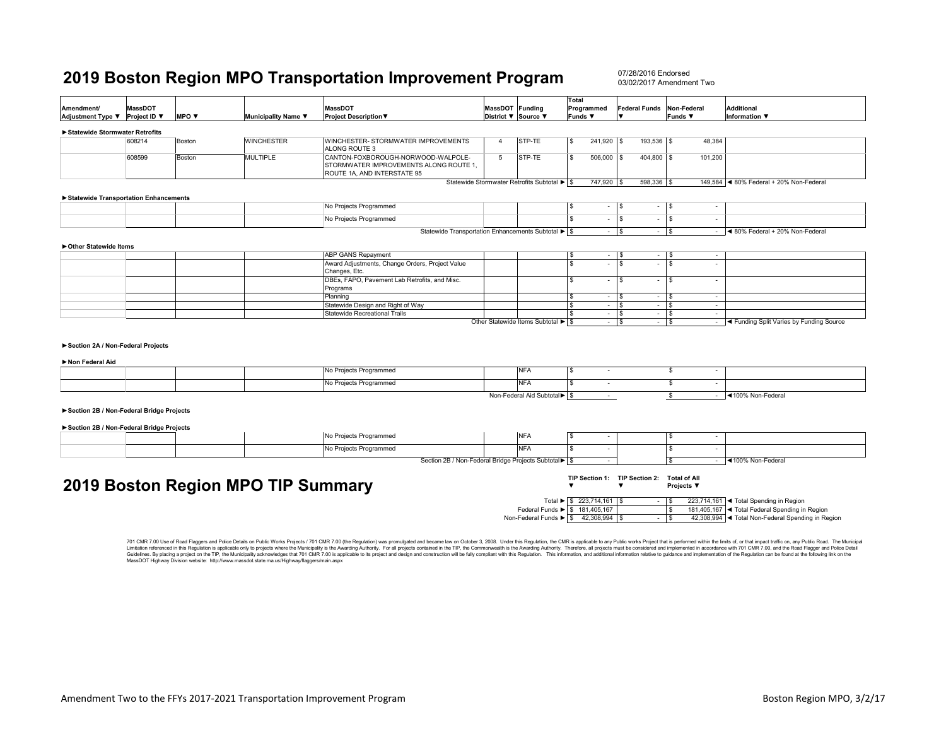07/28/2016 Endorsed03/02/2017 Amendment Two

| Amendment/                               | <b>MassDOT</b> |                                 |                                    | <b>MassDOT</b>                                                                                                                                                                                                                                                                                                                                                                                                                                                   | MassDOT Funding |                                             | <b>Total</b><br>Programmed        | Federal Funds Non-Federal      |                                     | <b>Additional</b>                                                     |
|------------------------------------------|----------------|---------------------------------|------------------------------------|------------------------------------------------------------------------------------------------------------------------------------------------------------------------------------------------------------------------------------------------------------------------------------------------------------------------------------------------------------------------------------------------------------------------------------------------------------------|-----------------|---------------------------------------------|-----------------------------------|--------------------------------|-------------------------------------|-----------------------------------------------------------------------|
| Adjustment Type ▼                        | Project ID ▼   | <b>MPO</b> $\blacktriangledown$ | Municipality Name ▼                | <b>Project Description ▼</b>                                                                                                                                                                                                                                                                                                                                                                                                                                     |                 | District ▼ Source ▼                         | Funds ▼                           | $\overline{\mathbf{v}}$        | <b>Funds</b> ▼                      | <b>Information</b> ▼                                                  |
| Statewide Stormwater Retrofits           |                |                                 |                                    |                                                                                                                                                                                                                                                                                                                                                                                                                                                                  |                 |                                             |                                   |                                |                                     |                                                                       |
|                                          | 608214         | Boston                          | <b>WINCHESTER</b>                  | WINCHESTER- STORMWATER IMPROVEMENTS<br>ALONG ROUTE 3                                                                                                                                                                                                                                                                                                                                                                                                             | $\overline{4}$  | STP-TE                                      | 241,920 \$<br>l \$                | 193,536 \$                     | 48,384                              |                                                                       |
|                                          | 608599         | Boston                          | <b>MULTIPLE</b>                    | CANTON-FOXBOROUGH-NORWOOD-WALPOLE-<br>STORMWATER IMPROVEMENTS ALONG ROUTE 1,<br>ROUTE 1A, AND INTERSTATE 95                                                                                                                                                                                                                                                                                                                                                      | $5\overline{5}$ | <b>ISTP-TE</b>                              | ١s<br>506,000 \$                  | 404,800 \$                     | 101,200                             |                                                                       |
|                                          |                |                                 |                                    |                                                                                                                                                                                                                                                                                                                                                                                                                                                                  |                 | Statewide Stormwater Retrofits Subtotal ▶ S | 747,920 \$                        | 598,336 \$                     |                                     | 149,584 <4 80% Federal + 20% Non-Federal                              |
| Statewide Transportation Enhancements    |                |                                 |                                    |                                                                                                                                                                                                                                                                                                                                                                                                                                                                  |                 |                                             |                                   |                                |                                     |                                                                       |
|                                          |                |                                 |                                    | No Projects Programmed                                                                                                                                                                                                                                                                                                                                                                                                                                           |                 |                                             | -S<br>$\sim$                      | l S                            | $-1$ s<br>$\overline{\phantom{a}}$  |                                                                       |
|                                          |                |                                 |                                    | No Projects Programmed                                                                                                                                                                                                                                                                                                                                                                                                                                           |                 |                                             | $\overline{\mathbf{s}}$<br>$\sim$ | S.<br>$\overline{\phantom{a}}$ | $\overline{\mathbf{s}}$<br>$\sim$   |                                                                       |
|                                          |                |                                 |                                    | Statewide Transportation Enhancements Subtotal ▶ S                                                                                                                                                                                                                                                                                                                                                                                                               |                 |                                             | <b>Service</b>                    | <b>S</b>                       | $-1$ s                              | $-$ 4 80% Federal + 20% Non-Federal                                   |
| ▶ Other Statewide Items                  |                |                                 |                                    |                                                                                                                                                                                                                                                                                                                                                                                                                                                                  |                 |                                             |                                   |                                |                                     |                                                                       |
|                                          |                |                                 |                                    | <b>ABP GANS Repayment</b>                                                                                                                                                                                                                                                                                                                                                                                                                                        |                 |                                             | - \$<br>$-1$                      | - \$                           | $-1$ \$<br>$\overline{\phantom{a}}$ |                                                                       |
|                                          |                |                                 |                                    | Award Adjustments, Change Orders, Project Value<br>Changes, Etc.                                                                                                                                                                                                                                                                                                                                                                                                 |                 |                                             | $\overline{s}$<br>$\overline{a}$  | \$.<br>$\sim$                  | l s<br>$\sim$                       |                                                                       |
|                                          |                |                                 |                                    | DBEs, FAPO, Pavement Lab Retrofits, and Misc.                                                                                                                                                                                                                                                                                                                                                                                                                    |                 |                                             | <b>S</b><br>$\sim$                | S.<br>$\overline{\phantom{a}}$ | l \$<br>$\overline{\phantom{a}}$    |                                                                       |
|                                          |                |                                 |                                    | Programs<br>Planning                                                                                                                                                                                                                                                                                                                                                                                                                                             |                 |                                             | -S<br>$\sim$                      | s.<br>$\sim$                   | \$<br>$\sim$                        |                                                                       |
|                                          |                |                                 |                                    | Statewide Design and Right of Way                                                                                                                                                                                                                                                                                                                                                                                                                                |                 |                                             | l S<br>$\sim$                     | s.<br>$\sim$                   | l \$<br>$\sim$                      |                                                                       |
|                                          |                |                                 |                                    | Statewide Recreational Trails                                                                                                                                                                                                                                                                                                                                                                                                                                    |                 |                                             | l s                               | $-1$ s<br>$\sim$ $-$           | l \$<br>$\sim$                      |                                                                       |
|                                          |                |                                 |                                    |                                                                                                                                                                                                                                                                                                                                                                                                                                                                  |                 | Other Statewide Items Subtotal ▶ \$         |                                   | $-1$ s<br>$\sim$               | \$                                  | - <a>I<br/> <a>I<br/>A Funding Split Varies by Funding Source</a></a> |
| Section 2A / Non-Federal Projects        |                |                                 |                                    |                                                                                                                                                                                                                                                                                                                                                                                                                                                                  |                 |                                             |                                   |                                |                                     |                                                                       |
| Non Federal Aid                          |                |                                 |                                    |                                                                                                                                                                                                                                                                                                                                                                                                                                                                  |                 |                                             |                                   |                                |                                     |                                                                       |
|                                          |                |                                 |                                    | No Projects Programmed                                                                                                                                                                                                                                                                                                                                                                                                                                           |                 | <b>NFA</b>                                  | -S<br>$\sim$                      |                                | \$<br>$\sim$                        |                                                                       |
|                                          |                |                                 |                                    | No Projects Programmed                                                                                                                                                                                                                                                                                                                                                                                                                                           |                 | <b>NFA</b>                                  | -S<br>$\sim$                      |                                | \$<br>$\sim$                        |                                                                       |
|                                          |                |                                 |                                    |                                                                                                                                                                                                                                                                                                                                                                                                                                                                  |                 | Non-Federal Aid Subtotal S                  | $\sim$                            |                                | \$<br>$\sim 100$                    | ◀100% Non-Federal                                                     |
| Section 2B / Non-Federal Bridge Projects |                |                                 |                                    |                                                                                                                                                                                                                                                                                                                                                                                                                                                                  |                 |                                             |                                   |                                |                                     |                                                                       |
| Section 2B / Non-Federal Bridge Projects |                |                                 |                                    |                                                                                                                                                                                                                                                                                                                                                                                                                                                                  |                 |                                             |                                   |                                |                                     |                                                                       |
|                                          |                |                                 |                                    | No Projects Programmed                                                                                                                                                                                                                                                                                                                                                                                                                                           |                 | <b>NFA</b>                                  | -S<br>$\overline{\phantom{a}}$    |                                | \$<br>$\overline{\phantom{a}}$      |                                                                       |
|                                          |                |                                 |                                    | No Projects Programmed                                                                                                                                                                                                                                                                                                                                                                                                                                           |                 | <b>NFA</b>                                  | -S<br>$\sim$                      |                                | \$<br>$\sim$                        |                                                                       |
|                                          |                |                                 |                                    | Section 2B / Non-Federal Bridge Projects Subtotal▶                                                                                                                                                                                                                                                                                                                                                                                                               |                 |                                             |                                   |                                | \$.                                 | $-$ 4100% Non-Federal                                                 |
|                                          |                |                                 |                                    |                                                                                                                                                                                                                                                                                                                                                                                                                                                                  |                 |                                             |                                   | TIP Section 1: TIP Section 2:  | <b>Total of All</b>                 |                                                                       |
|                                          |                |                                 | 2019 Boston Region MPO TIP Summary |                                                                                                                                                                                                                                                                                                                                                                                                                                                                  |                 |                                             | $\overline{\phantom{a}}$          | $\overline{\mathbf{v}}$        | Projects ▼                          |                                                                       |
|                                          |                |                                 |                                    |                                                                                                                                                                                                                                                                                                                                                                                                                                                                  |                 |                                             | Total ▶ \$ 223,714,161 \$         | $\sim$                         | l \$                                | 223,714,161   < Total Spending in Region                              |
|                                          |                |                                 |                                    |                                                                                                                                                                                                                                                                                                                                                                                                                                                                  |                 | Federal Funds ▶ S 181,405,167               |                                   |                                | \$                                  | 181,405,167 < Total Federal Spending in Region                        |
|                                          |                |                                 |                                    |                                                                                                                                                                                                                                                                                                                                                                                                                                                                  |                 | Non-Federal Funds ▶ \$ 42,308,994           |                                   | $\sim$                         | l \$                                | 42,308,994 < Total Non-Federal Spending in Region                     |
|                                          |                |                                 |                                    |                                                                                                                                                                                                                                                                                                                                                                                                                                                                  |                 |                                             |                                   |                                |                                     |                                                                       |
|                                          |                |                                 |                                    | 701 CMR 7.00 Use of Road Flaggers and Police Details on Public Works Projects / 701 CMR 7.00 (the Regulation) was promulgated and became law on October 3, 2008. Under this Regulation, the CMR is applicable to any Public wo<br>Limitation referenced in this Regulation is applicable only to projects where the Municipality is the Awarding Authority. For all projects contained in the TIP, the Commonwealth is the Awarding Authority. Therefore, all pr |                 |                                             |                                   |                                |                                     |                                                                       |

Limitation referenced in this Regulation is applicable only to projects where the Municpality is the Awarding Authority. For all projects contained in the TIP, the Commonwealth is the Awarding Authority. Therefore, all pro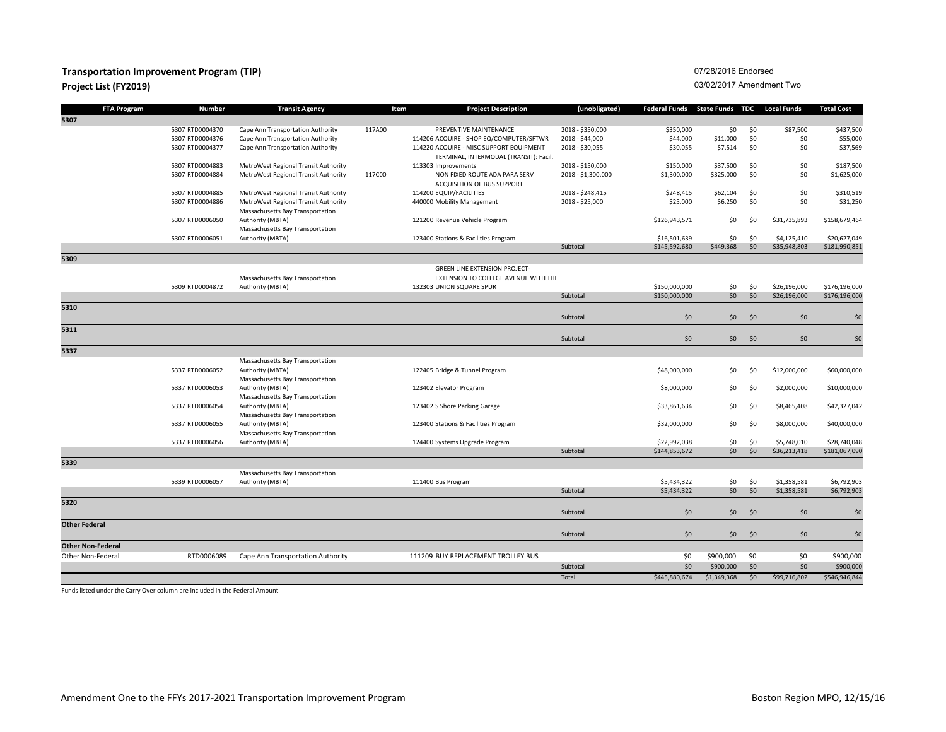### **Transportation Improvement Program (TIP) Project List (FY2019)** 03/02/2017 Amendment Two

#### 07/28/2016 Endorsed

|                          | <b>FTA Program</b> | <b>Number</b>   | <b>Transit Agency</b>                | Item   | <b>Project Description</b>                                                        | (unobligated)      | Federal Funds State Funds TDC |             |     | <b>Local Funds</b> | <b>Total Cost</b> |
|--------------------------|--------------------|-----------------|--------------------------------------|--------|-----------------------------------------------------------------------------------|--------------------|-------------------------------|-------------|-----|--------------------|-------------------|
| 5307                     |                    |                 |                                      |        |                                                                                   |                    |                               |             |     |                    |                   |
|                          |                    | 5307 RTD0004370 | Cape Ann Transportation Authority    | 117A00 | PREVENTIVE MAINTENANCE                                                            | 2018 - \$350,000   | \$350,000                     | \$0         | \$0 | \$87,500           | \$437,500         |
|                          |                    | 5307 RTD0004376 | Cape Ann Transportation Authority    |        | 114206 ACQUIRE - SHOP EQ/COMPUTER/SFTWR                                           | 2018 - \$44,000    | \$44,000                      | \$11,000    | \$0 | \$0                | \$55,000          |
|                          |                    | 5307 RTD0004377 | Cape Ann Transportation Authority    |        | 114220 ACQUIRE - MISC SUPPORT EQUIPMENT<br>TERMINAL, INTERMODAL (TRANSIT): Facil. | 2018 - \$30,055    | \$30,055                      | \$7,514     | \$0 | \$0                | \$37,569          |
|                          |                    | 5307 RTD0004883 | MetroWest Regional Transit Authority |        | 113303 Improvements                                                               | 2018 - \$150,000   | \$150,000                     | \$37,500    | \$0 | \$0                | \$187,500         |
|                          |                    | 5307 RTD0004884 | MetroWest Regional Transit Authority | 117C00 | NON FIXED ROUTE ADA PARA SERV<br>ACQUISITION OF BUS SUPPORT                       | 2018 - \$1,300,000 | \$1,300,000                   | \$325,000   | \$0 | \$0                | \$1,625,000       |
|                          |                    | 5307 RTD0004885 | MetroWest Regional Transit Authority |        | 114200 EQUIP/FACILITIES                                                           | 2018 - \$248,415   | \$248,415                     | \$62,104    | \$0 | \$0                | \$310,519         |
|                          |                    | 5307 RTD0004886 | MetroWest Regional Transit Authority |        | 440000 Mobility Management                                                        | 2018 - \$25,000    | \$25,000                      | \$6,250     | \$0 | \$0                | \$31,250          |
|                          |                    |                 | Massachusetts Bay Transportation     |        |                                                                                   |                    |                               |             |     |                    |                   |
|                          |                    | 5307 RTD0006050 | Authority (MBTA)                     |        | 121200 Revenue Vehicle Program                                                    |                    | \$126,943,571                 | \$0         | \$0 | \$31,735,893       | \$158,679,464     |
|                          |                    |                 | Massachusetts Bay Transportation     |        |                                                                                   |                    |                               |             |     |                    |                   |
|                          |                    | 5307 RTD0006051 | Authority (MBTA)                     |        | 123400 Stations & Facilities Program                                              |                    | \$16,501,639                  | \$0         | \$0 | \$4,125,410        | \$20,627,049      |
|                          |                    |                 |                                      |        |                                                                                   | Subtotal           | \$145,592,680                 | \$449,368   | \$0 | \$35,948,803       | \$181,990,851     |
| 5309                     |                    |                 |                                      |        |                                                                                   |                    |                               |             |     |                    |                   |
|                          |                    |                 |                                      |        | <b>GREEN LINE EXTENSION PROJECT-</b>                                              |                    |                               |             |     |                    |                   |
|                          |                    |                 | Massachusetts Bay Transportation     |        | EXTENSION TO COLLEGE AVENUE WITH THE                                              |                    |                               |             |     |                    |                   |
|                          |                    | 5309 RTD0004872 | Authority (MBTA)                     |        | 132303 UNION SQUARE SPUR                                                          |                    | \$150,000,000                 | \$0         | \$0 | \$26,196,000       | \$176,196,000     |
|                          |                    |                 |                                      |        |                                                                                   | Subtotal           | \$150,000,000                 | \$0         | \$0 | \$26,196,000       | \$176,196,000     |
| 5310                     |                    |                 |                                      |        |                                                                                   | Subtotal           | 50                            | \$0         | \$0 | \$0                | \$0               |
| 5311                     |                    |                 |                                      |        |                                                                                   |                    |                               |             |     |                    |                   |
|                          |                    |                 |                                      |        |                                                                                   | Subtotal           | \$0                           | \$0         | \$0 | \$0                | \$0               |
| 5337                     |                    |                 |                                      |        |                                                                                   |                    |                               |             |     |                    |                   |
|                          |                    |                 | Massachusetts Bay Transportation     |        |                                                                                   |                    |                               |             |     |                    |                   |
|                          |                    | 5337 RTD0006052 | Authority (MBTA)                     |        | 122405 Bridge & Tunnel Program                                                    |                    | \$48,000,000                  | \$0         | \$0 | \$12,000,000       | \$60,000,000      |
|                          |                    |                 | Massachusetts Bay Transportation     |        |                                                                                   |                    |                               |             |     |                    |                   |
|                          |                    | 5337 RTD0006053 | Authority (MBTA)                     |        | 123402 Elevator Program                                                           |                    | \$8,000,000                   | \$0         | \$0 | \$2,000,000        | \$10,000,000      |
|                          |                    |                 | Massachusetts Bay Transportation     |        |                                                                                   |                    |                               |             |     |                    |                   |
|                          |                    | 5337 RTD0006054 | Authority (MBTA)                     |        | 123402 S Shore Parking Garage                                                     |                    | \$33,861,634                  | \$0         | \$0 | \$8,465,408        | \$42,327,042      |
|                          |                    |                 | Massachusetts Bay Transportation     |        |                                                                                   |                    |                               |             |     |                    |                   |
|                          |                    | 5337 RTD0006055 | Authority (MBTA)                     |        | 123400 Stations & Facilities Program                                              |                    | \$32,000,000                  | \$0         | \$0 | \$8,000,000        | \$40,000,000      |
|                          |                    |                 | Massachusetts Bay Transportation     |        |                                                                                   |                    |                               |             |     |                    |                   |
|                          |                    | 5337 RTD0006056 | Authority (MBTA)                     |        | 124400 Systems Upgrade Program                                                    |                    | \$22,992,038                  | \$0         | \$0 | \$5,748,010        | \$28,740,048      |
|                          |                    |                 |                                      |        |                                                                                   | Subtotal           | \$144,853,672                 | \$0         | \$0 | \$36,213,418       | \$181,067,090     |
| 5339                     |                    |                 |                                      |        |                                                                                   |                    |                               |             |     |                    |                   |
|                          |                    |                 | Massachusetts Bay Transportation     |        |                                                                                   |                    |                               |             |     |                    |                   |
|                          |                    | 5339 RTD0006057 | Authority (MBTA)                     |        | 111400 Bus Program                                                                |                    | \$5,434,322                   | \$0         | \$0 | \$1,358,581        | \$6,792,903       |
|                          |                    |                 |                                      |        |                                                                                   | Subtotal           | \$5,434,322                   | \$0         | \$0 | \$1,358,581        | \$6,792,903       |
| 5320                     |                    |                 |                                      |        |                                                                                   |                    |                               |             |     |                    |                   |
|                          |                    |                 |                                      |        |                                                                                   | Subtotal           | \$0                           | \$0         | \$0 | \$0                | \$0               |
| <b>Other Federal</b>     |                    |                 |                                      |        |                                                                                   | Subtotal           | \$0                           | \$0         | \$0 | \$0                | \$0               |
| <b>Other Non-Federal</b> |                    |                 |                                      |        |                                                                                   |                    |                               |             |     |                    |                   |
| Other Non-Federal        |                    | RTD0006089      | Cape Ann Transportation Authority    |        | 111209 BUY REPLACEMENT TROLLEY BUS                                                |                    | \$0                           | \$900,000   | \$0 | \$0                | \$900,000         |
|                          |                    |                 |                                      |        |                                                                                   | Subtotal           | \$0                           | \$900,000   | \$0 | \$0                | \$900,000         |
|                          |                    |                 |                                      |        |                                                                                   | Total              | \$445,880,674                 | \$1,349,368 | \$0 | \$99,716,802       | \$546,946,844     |
|                          |                    |                 |                                      |        |                                                                                   |                    |                               |             |     |                    |                   |

Funds listed under the Carry Over column are included in the Federal Amount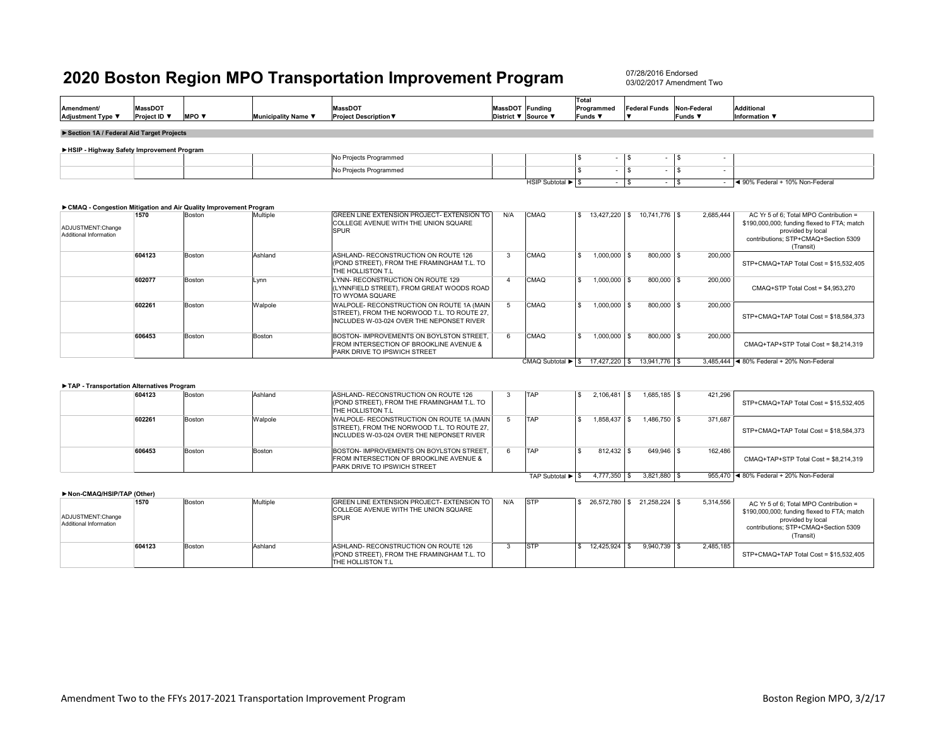07/28/2016 Endorsed03/02/2017 Amendment Two

| Amendment/<br><b>Adjustment Type ▼</b>      | <b>MassDOT</b><br><b>Project ID</b> ▼ | <b>MPO</b> $\blacktriangledown$ | <b>Municipality Name ▼</b> | <b>MassDOT</b><br><b>Project Description ▼</b> | MassDOT Funding<br>District ▼ Source ▼ |                   | Total<br>Programmed<br>Funds V | <b>Federal Funds</b> | Non-Federal<br>Funds ▼ | <b>Additional</b><br>Information $\Psi$ |
|---------------------------------------------|---------------------------------------|---------------------------------|----------------------------|------------------------------------------------|----------------------------------------|-------------------|--------------------------------|----------------------|------------------------|-----------------------------------------|
| Section 1A / Federal Aid Target Projects    |                                       |                                 |                            |                                                |                                        |                   |                                |                      |                        |                                         |
| ► HSIP - Highway Safety Improvement Program |                                       |                                 |                            |                                                |                                        |                   |                                |                      |                        |                                         |
|                                             |                                       |                                 |                            | No Projects Programmed                         |                                        |                   |                                |                      |                        |                                         |
|                                             |                                       |                                 |                            | No Projects Programmed                         |                                        |                   |                                |                      |                        |                                         |
|                                             |                                       |                                 |                            |                                                |                                        | HSIP Subtotal ▶ S |                                |                      |                        | ◀ 90% Federal + 10% Non-Federal         |

#### **►CMAQ - Congestion Mitigation and Air Quality Improvement Program**

| ADJUSTMENT:Change<br>Additional Information | 1570   | Boston | Multiple | GREEN LINE EXTENSION PROJECT- EXTENSION TO<br>COLLEGE AVENUE WITH THE UNION SQUARE<br><b>SPUR</b>                                     | N/A | <b>CMAQ</b>       | 13.427.220 \$    | 10.741.776 S                | 2.685.444 | AC Yr 5 of 6: Total MPO Contribution =<br>\$190,000,000; funding flexed to FTA; match<br>provided by local<br>contributions: STP+CMAQ+Section 5309<br>(Transit) |
|---------------------------------------------|--------|--------|----------|---------------------------------------------------------------------------------------------------------------------------------------|-----|-------------------|------------------|-----------------------------|-----------|-----------------------------------------------------------------------------------------------------------------------------------------------------------------|
|                                             | 604123 | Boston | Ashland  | ASHLAND- RECONSTRUCTION ON ROUTE 126<br>(POND STREET). FROM THE FRAMINGHAM T.L. TO<br>THE HOLLISTON T.L                               |     | <b>CMAQ</b>       | $1,000,000$ \$   | 800,000 \$                  | 200.000   | STP+CMAQ+TAP Total Cost = \$15.532.405                                                                                                                          |
|                                             | 602077 | Boston | Lynn     | LYNN- RECONSTRUCTION ON ROUTE 129<br>(LYNNFIELD STREET). FROM GREAT WOODS ROAD<br>TO WYOMA SQUARE                                     |     | <b>CMAQ</b>       | 1.000.000 \$     | 800,000 \$                  | 200,000   | CMAQ+STP Total Cost = \$4,953,270                                                                                                                               |
|                                             | 602261 | Boston | Walpole  | WALPOLE- RECONSTRUCTION ON ROUTE 1A (MAIN<br>STREET), FROM THE NORWOOD T.L. TO ROUTE 27,<br>INCLUDES W-03-024 OVER THE NEPONSET RIVER |     | CMAQ              | $1.000.000$ \ \$ | 800.000 \$                  | 200.000   | STP+CMAQ+TAP Total Cost = \$18,584,373                                                                                                                          |
|                                             | 606453 | Boston | Boston   | BOSTON- IMPROVEMENTS ON BOYLSTON STREET.<br>FROM INTERSECTION OF BROOKLINE AVENUE &<br>PARK DRIVE TO IPSWICH STREET                   | 6   | CMAQ              | $1,000,000$ \\$  | 800,000 \$                  | 200,000   | CMAQ+TAP+STP Total Cost = \$8.214.319                                                                                                                           |
|                                             |        |        |          |                                                                                                                                       |     | CMAQ Subtotal ▶ S |                  | 17.427.220 \$ 13.941.776 \$ |           | 3.485.444 4 80% Federal + 20% Non-Federal                                                                                                                       |

#### **►TAP - Transportation Alternatives Program**

| 604123 | Boston        | Ashland | ASHLAND- RECONSTRUCTION ON ROUTE 126<br>(POND STREET), FROM THE FRAMINGHAM T.L. TO<br><b>THE HOLLISTON T.L.</b>                        | TAP              | 2.106.481 | $1.685.185$ \$   | 421.296 | STP+CMAQ+TAP Total Cost = \$15.532.405  |
|--------|---------------|---------|----------------------------------------------------------------------------------------------------------------------------------------|------------------|-----------|------------------|---------|-----------------------------------------|
| 602261 | <b>Boston</b> | Walpole | WALPOLE- RECONSTRUCTION ON ROUTE 1A (MAIN)<br>STREET), FROM THE NORWOOD T.L. TO ROUTE 27,<br>INCLUDES W-03-024 OVER THE NEPONSET RIVER | TAP              | 1.858.437 | $1.486.750$ \\$  | 371.687 | STP+CMAQ+TAP Total Cost = \$18.584.373  |
| 606453 | <b>Boston</b> | Boston  | BOSTON- IMPROVEMENTS ON BOYLSTON STREET.<br>FROM INTERSECTION OF BROOKLINE AVENUE &<br><b>PARK DRIVE TO IPSWICH STREET</b>             | TAP              |           | 649.946 \$       | 162.486 | CMAQ+TAP+STP Total Cost = \$8.214.319   |
|        |               |         |                                                                                                                                        | TAP Subtotal ► S | 4.777.350 | $3.821.880$ \ \$ |         | 955.470 4 80% Federal + 20% Non-Federal |

#### **►Non-CMAQ/HSIP/TAP (Other)**

| ADJUSTMENT:Change<br>Additional Information | 1570   | Boston | Multiple | GREEN LINE EXTENSION PROJECT- EXTENSION TO<br>COLLEGE AVENUE WITH THE UNION SQUARE<br><b>SPUR</b>               | N/A | <b>STP</b> | 26.572.780 \$ | 21.258.224 \$    | 5,314,556 | AC Yr 5 of 6; Total MPO Contribution =<br>\$190,000,000; funding flexed to FTA; match<br>provided by local<br>contributions; STP+CMAQ+Section 5309<br>(Transit) |
|---------------------------------------------|--------|--------|----------|-----------------------------------------------------------------------------------------------------------------|-----|------------|---------------|------------------|-----------|-----------------------------------------------------------------------------------------------------------------------------------------------------------------|
|                                             | 604123 | Boston | Ashland  | ASHLAND- RECONSTRUCTION ON ROUTE 126<br>(POND STREET). FROM THE FRAMINGHAM T.L. TO<br><b>ITHE HOLLISTON T.L</b> |     | STF        | 12.425.924 \$ | $9.940.739$ \ \$ | 2,485,185 | STP+CMAQ+TAP Total Cost = \$15.532.405                                                                                                                          |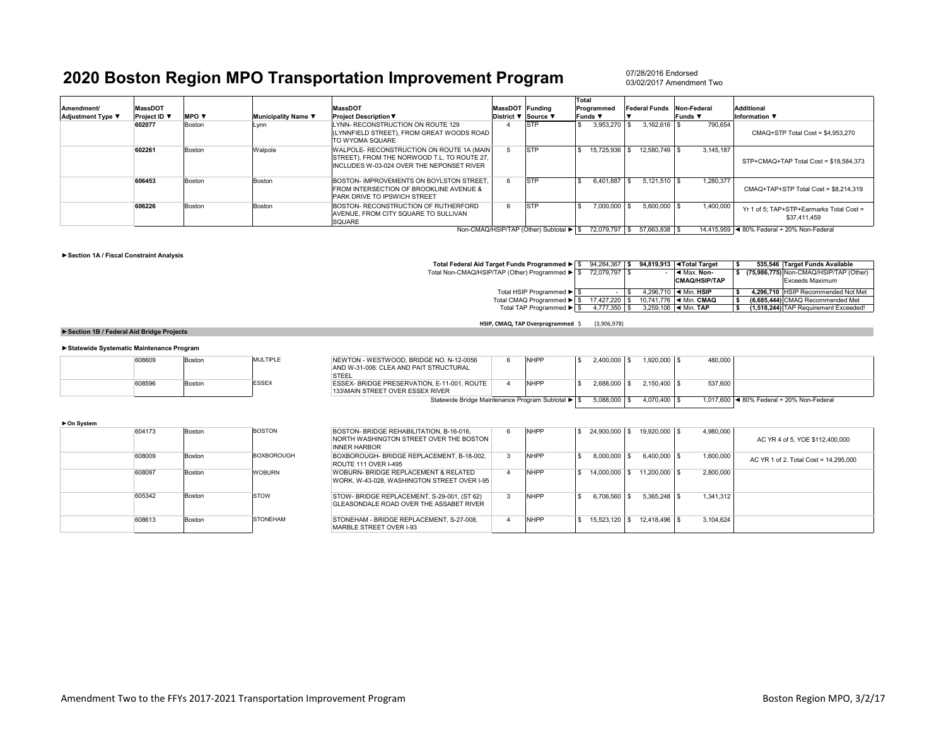07/28/2016 Endorsed03/02/2017 Amendment Two

| Amendment/               | <b>MassDOT</b> |                                 |                     | <b>MassDOT</b>                                                                                                                          | MassDOT Funding     |             | Total<br>Programmed | <b>Federal Funds</b> | Non-Federal    | <b>Additional</b>                                        |
|--------------------------|----------------|---------------------------------|---------------------|-----------------------------------------------------------------------------------------------------------------------------------------|---------------------|-------------|---------------------|----------------------|----------------|----------------------------------------------------------|
| <b>Adjustment Type ▼</b> | Project ID \   | <b>MPO</b> $\blacktriangledown$ | Municipality Name ▼ | <b>Project Description ▼</b>                                                                                                            | District ▼ Source ▼ |             | Funds ▼             |                      | <b>Funds</b> ▼ | Information $\blacktriangledown$                         |
|                          | 602077         | Boston                          | Lynn                | LYNN- RECONSTRUCTION ON ROUTE 129<br>(LYNNFIELD STREET). FROM GREAT WOODS ROAD<br>TO WYOMA SOUARE                                       |                     | <b>STP</b>  | 3.953.270           | $3.162.616$ \ \$     | 790.654        | CMAQ+STP Total Cost = \$4,953,270                        |
|                          | 602261         | Boston                          | Walpole             | WALPOLE- RECONSTRUCTION ON ROUTE 1A (MAIN<br>ISTREET). FROM THE NORWOOD T.L. TO ROUTE 27.<br>IINCLUDES W-03-024 OVER THE NEPONSET RIVER |                     | <b>STP</b>  | 15.725.936          | 12.580.749 \$        | 3.145.187      | STP+CMAQ+TAP Total Cost = \$18.584.373                   |
|                          | 606453         | Boston                          | Boston              | BOSTON- IMPROVEMENTS ON BOYLSTON STREET.<br><b>FROM INTERSECTION OF BROOKLINE AVENUE &amp;</b><br><b>PARK DRIVE TO IPSWICH STREET</b>   | 6                   | <b>ISTP</b> | 6.401.887           | $5.121.510$ \\$      | 1,280,377      | CMAQ+TAP+STP Total Cost = \$8.214.319                    |
|                          | 606226         | Boston                          | Boston              | BOSTON- RECONSTRUCTION OF RUTHERFORD<br>AVENUE. FROM CITY SQUARE TO SULLIVAN<br>SQUARE                                                  | 'n                  | <b>STP</b>  | 7.000.000           | $5.600.000$ \$       | 1,400,000      | Yr 1 of 5; TAP+STP+Earmarks Total Cost =<br>\$37,411,459 |

Non-CMAQ/HSIP/TAP (Other) Subtotal ▶ | \$7079,797 | \$57,663,838 | \$14,415,959 | ◀ 80% Federal + 20% Non-Federal

#### **►Section 1A / Fiscal Constraint Analysis**

| Total Federal Aid Target Funds Programmed ▶ S  | 94.284.367 \$ |            | 94.819.913 <b>4 Total Target</b> |  | 535.546 Target Funds Available         |
|------------------------------------------------|---------------|------------|----------------------------------|--|----------------------------------------|
| Total Non-CMAQ/HSIP/TAP (Other) Programmed ▶ S | 72.079.797 \$ |            | ◀ Max. Non-                      |  | (75.986.775) Non-CMAQ/HSIP/TAP (Other) |
|                                                |               |            | <b>CMAQ/HSIP/TAP</b>             |  | Exceeds Maximum                        |
| Total HSIP Programmed ▶ S                      | <b>.</b>      | 4.296.710  | ◀ Min. HSIP                      |  | 4.296.710 HSIP Recommended Not Met     |
| Total CMAQ Programmed ▶ \$                     | 17.427.220 \$ | 10.741.776 | I ◀ Min. CMAQ                    |  | (6,685,444) CMAQ Recommended Met       |
| Total TAP Programmed ▶ S                       | 4.777.350 \$  | 3.259.106  | ◀ Min. TAP                       |  | (1.518.244) TAP Requirement Exceeded!  |

**HSIP, CMAQ, TAP Overprogrammed** \$ (3,906,978)

#### **►Section 1B / Federal Aid Bridge Projects**

#### **►Statewide Systematic Maintenance Program**

| 608609 | Boston | <b>MULTIPLE</b> |
|--------|--------|-----------------|
|        |        |                 |
| 608596 | Boston | <b>ESSEX</b>    |
|        |        |                 |

| <b>MULTIPLE</b> | NEWTON - WESTWOOD, BRIDGE NO. N-12-0056           | <b>NHPP</b> | $2.400.000$ \ \$ | $1.920.000$ S    | 480.000 |                                             |
|-----------------|---------------------------------------------------|-------------|------------------|------------------|---------|---------------------------------------------|
|                 | IAND W-31-006: CLEA AND PAIT STRUCTURAL           |             |                  |                  |         |                                             |
|                 | STEEL                                             |             |                  |                  |         |                                             |
| <b>ESSEX</b>    | ESSEX-BRIDGE PRESERVATION, E-11-001, ROUTE        | <b>NHPP</b> | $2.688,000$ \ \$ | $2.150.400$ \ \$ | 537.600 |                                             |
|                 | 133\MAIN STREET OVER ESSEX RIVER                  |             |                  |                  |         |                                             |
|                 | Statewide Bridge Maintenance Program Subtotal ▶ S |             | $5.088.000$ \ \$ | $4.070.400$ \ \$ |         | 1,017,600   ◀ 80% Federal + 20% Non-Federal |

#### **►On System**

|  | 604173 | Boston | <b>BOSTON</b>    |
|--|--------|--------|------------------|
|  | 608009 | Boston | <b>BOXBOROUG</b> |
|  | 608097 | Boston | <b>WOBURN</b>    |
|  | 605342 | Boston | <b>STOW</b>      |
|  | 608613 | Boston | <b>STONEHAM</b>  |

| <b>BOSTON</b>     | BOSTON- BRIDGE REHABILITATION, B-16-016.<br>NORTH WASHINGTON STREET OVER THE BOSTON<br><b>INNER HARBOR</b> |   | <b>NHPP</b> | 24,900,000   \$  | 19,920,000 \$    | 4.980.000 | AC YR 4 of 5, YOE \$112,400,000       |
|-------------------|------------------------------------------------------------------------------------------------------------|---|-------------|------------------|------------------|-----------|---------------------------------------|
| <b>BOXBOROUGH</b> | BOXBOROUGH- BRIDGE REPLACEMENT, B-18-002.<br><b>ROUTE 111 OVER I-495</b>                                   | 3 | <b>NHPP</b> | $8.000.000$ S    | $6.400.000$ \ \$ | 1,600,000 | AC YR 1 of 2. Total Cost = 14,295,000 |
| <b>WOBURN</b>     | WOBURN- BRIDGE REPLACEMENT & RELATED<br>WORK, W-43-028, WASHINGTON STREET OVER I-95                        |   | <b>NHPP</b> | 14,000,000 S     | 11.200.000 \ \$  | 2.800.000 |                                       |
| <b>STOW</b>       | STOW- BRIDGE REPLACEMENT, S-29-001, (ST 62)<br>GLEASONDALE ROAD OVER THE ASSABET RIVER                     | 3 | <b>NHPP</b> | $6.706.560$ \ \$ | 5.365.248 \$     | 1.341.312 |                                       |
| <b>STONFHAM</b>   | STONEHAM - BRIDGE REPLACEMENT, S-27-008.<br>MARBLE STREET OVER I-93                                        |   | <b>NHPP</b> | 15,523,120   \$  | 12.418.496   \$  | 3.104.624 |                                       |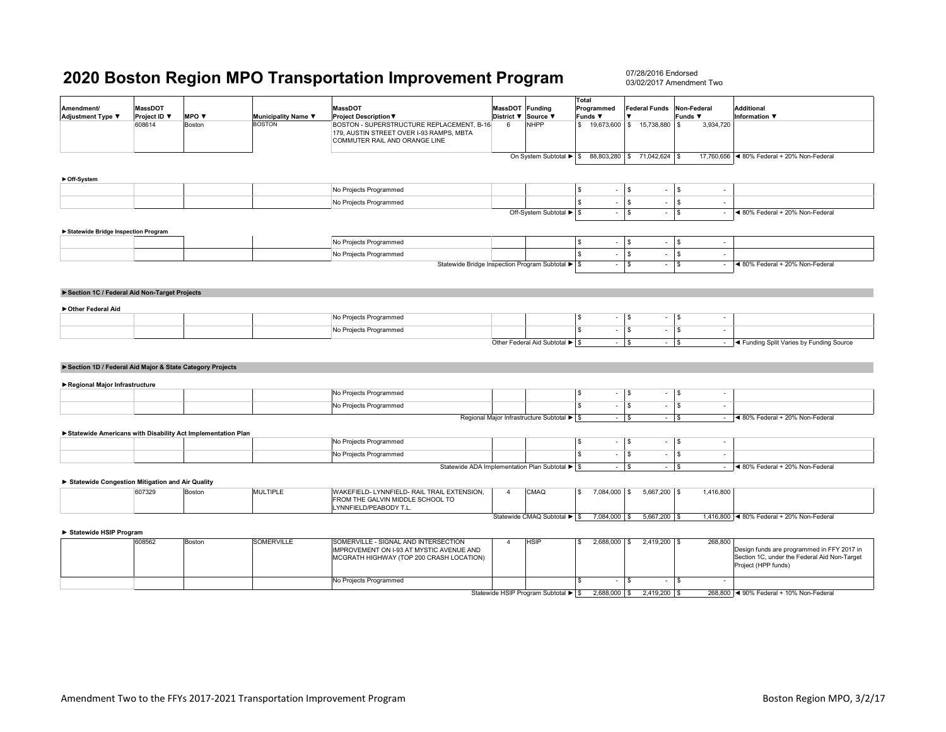|                                                          |                |                                                             |                     |                                                                                                                        |                |                                                     | Total                   |                          |                                  |             |                          |                                                                     |
|----------------------------------------------------------|----------------|-------------------------------------------------------------|---------------------|------------------------------------------------------------------------------------------------------------------------|----------------|-----------------------------------------------------|-------------------------|--------------------------|----------------------------------|-------------|--------------------------|---------------------------------------------------------------------|
| Amendment/                                               | <b>MassDOT</b> |                                                             |                     | <b>MassDOT</b>                                                                                                         | <b>MassDOT</b> | Funding                                             |                         | Programmed               | <b>Federal Funds</b>             | Non-Federal |                          | Additional                                                          |
| Adjustment Type ▼                                        | Project ID ▼   | MPO ▼                                                       | Municipality Name ▼ | <b>Project Description ▼</b>                                                                                           | District ▼     | Source ▼                                            | Funds ▼                 |                          |                                  | Funds ▼     |                          | <b>Information</b> ▼                                                |
|                                                          | 608614         | Boston                                                      | <b>BOSTON</b>       | BOSTON - SUPERSTRUCTURE REPLACEMENT, B-16<br>179, AUSTIN STREET OVER I-93 RAMPS, MBTA<br>COMMUTER RAIL AND ORANGE LINE | 6              | <b>NHPP</b>                                         |                         |                          | \$19,673,600 \$15,738,880        | l s         | 3,934,720                |                                                                     |
|                                                          |                |                                                             |                     |                                                                                                                        |                | On System Subtotal ▶ \$ 88,803,280 \$ 71,042,624 \$ |                         |                          |                                  |             |                          | 17,760,656 <4 80% Federal + 20% Non-Federal                         |
|                                                          |                |                                                             |                     |                                                                                                                        |                |                                                     |                         |                          |                                  |             |                          |                                                                     |
| ► Off-System                                             |                |                                                             |                     |                                                                                                                        |                |                                                     |                         |                          |                                  |             |                          |                                                                     |
|                                                          |                |                                                             |                     | No Projects Programmed                                                                                                 |                |                                                     | <b>S</b>                |                          | l S<br>$\sim$                    | $\sqrt{3}$  |                          |                                                                     |
|                                                          |                |                                                             |                     | No Projects Programmed                                                                                                 |                |                                                     | $\mathbf{s}$            | $\sim$                   | l \$<br>$\sim$                   | <b>S</b>    | ÷                        |                                                                     |
|                                                          |                |                                                             |                     |                                                                                                                        |                | Off-System Subtotal ▶ \$                            |                         | $\sim$                   | l \$<br>$\sim$                   | l \$        | $\sim$                   | ◀ 80% Federal + 20% Non-Federal                                     |
|                                                          |                |                                                             |                     |                                                                                                                        |                |                                                     |                         |                          |                                  |             |                          |                                                                     |
| Statewide Bridge Inspection Program                      |                |                                                             |                     |                                                                                                                        |                |                                                     |                         |                          |                                  |             |                          |                                                                     |
|                                                          |                |                                                             |                     | No Projects Programmed                                                                                                 |                |                                                     | <sup>S</sup>            | $\sim$                   | l s<br>$\sim$                    | $\sqrt{S}$  | ٠                        |                                                                     |
|                                                          |                |                                                             |                     | No Projects Programmed                                                                                                 |                |                                                     | <sub>S</sub>            | $\overline{\phantom{a}}$ | l \$<br>$\sim$                   | \$          | $\sim$                   |                                                                     |
|                                                          |                |                                                             |                     | Statewide Bridge Inspection Program Subtotal ▶ \$                                                                      |                |                                                     |                         | $\overline{\phantom{a}}$ | l \$<br>$\sim$                   | l \$        | $\overline{\phantom{a}}$ | ◀ 80% Federal + 20% Non-Federal                                     |
|                                                          |                |                                                             |                     |                                                                                                                        |                |                                                     |                         |                          |                                  |             |                          |                                                                     |
|                                                          |                |                                                             |                     |                                                                                                                        |                |                                                     |                         |                          |                                  |             |                          |                                                                     |
| Section 1C / Federal Aid Non-Target Projects             |                |                                                             |                     |                                                                                                                        |                |                                                     |                         |                          |                                  |             |                          |                                                                     |
| Other Federal Aid                                        |                |                                                             |                     |                                                                                                                        |                |                                                     |                         |                          |                                  |             |                          |                                                                     |
|                                                          |                |                                                             |                     | No Projects Programmed                                                                                                 |                |                                                     | <b>S</b>                | $\overline{\phantom{a}}$ | l \$<br>$\overline{\phantom{a}}$ | l \$        | $\sim$                   |                                                                     |
|                                                          |                |                                                             |                     | No Projects Programmed                                                                                                 |                |                                                     | $\mathbf{s}$            | $\sim$                   | <b>S</b><br>$\sim$               | s.          | $\overline{a}$           |                                                                     |
|                                                          |                |                                                             |                     |                                                                                                                        |                | Other Federal Aid Subtotal > \$                     |                         | $-1$ \$                  |                                  | $-1$ \$     |                          | - <a>Funding Split Varies by Funding Source</a>                     |
|                                                          |                |                                                             |                     |                                                                                                                        |                |                                                     |                         |                          |                                  |             |                          |                                                                     |
|                                                          |                |                                                             |                     |                                                                                                                        |                |                                                     |                         |                          |                                  |             |                          |                                                                     |
| Section 1D / Federal Aid Major & State Category Projects |                |                                                             |                     |                                                                                                                        |                |                                                     |                         |                          |                                  |             |                          |                                                                     |
| Regional Major Infrastructure                            |                |                                                             |                     |                                                                                                                        |                |                                                     |                         |                          |                                  |             |                          |                                                                     |
|                                                          |                |                                                             |                     | No Projects Programmed                                                                                                 |                |                                                     | <b>S</b>                | $\overline{\phantom{a}}$ | l s<br>$\overline{\phantom{a}}$  | - \$        | $\overline{\phantom{a}}$ |                                                                     |
|                                                          |                |                                                             |                     | No Projects Programmed                                                                                                 |                |                                                     | $\mathbb{S}$            | $\overline{\phantom{a}}$ | l \$<br>$\overline{\phantom{a}}$ | l \$        | $\overline{\phantom{a}}$ |                                                                     |
|                                                          |                |                                                             |                     |                                                                                                                        |                |                                                     |                         |                          |                                  |             |                          |                                                                     |
|                                                          |                |                                                             |                     |                                                                                                                        |                | Regional Major Infrastructure Subtotal ▶ S          |                         | $-1$ \$                  |                                  | $-$ \$      | $\sim$                   | ◀ 80% Federal + 20% Non-Federal                                     |
|                                                          |                | Statewide Americans with Disability Act Implementation Plan |                     |                                                                                                                        |                |                                                     |                         |                          |                                  |             |                          |                                                                     |
|                                                          |                |                                                             |                     | No Projects Programmed                                                                                                 |                |                                                     | <b>S</b>                | $\sim$                   | l s<br>$\overline{\phantom{a}}$  | <b>S</b>    | $\overline{\phantom{a}}$ |                                                                     |
|                                                          |                |                                                             |                     | No Projects Programmed                                                                                                 |                |                                                     | $\overline{\mathbf{s}}$ | $\sim$                   | $\sqrt{s}$<br>$\sim$             | l s         | $\sim$                   |                                                                     |
|                                                          |                |                                                             |                     | Statewide ADA Implementation Plan Subtotal > \$                                                                        |                |                                                     |                         | $-$ \$                   |                                  | $ \sqrt{ }$ | $\sim$                   | ◀ 80% Federal + 20% Non-Federal                                     |
|                                                          |                |                                                             |                     |                                                                                                                        |                |                                                     |                         |                          |                                  |             |                          |                                                                     |
| Statewide Congestion Mitigation and Air Quality          |                |                                                             |                     |                                                                                                                        |                |                                                     |                         |                          |                                  |             |                          |                                                                     |
|                                                          | 607329         | Boston                                                      | <b>MULTIPLE</b>     | WAKEFIELD- LYNNFIELD- RAIL TRAIL EXTENSION,<br>FROM THE GALVIN MIDDLE SCHOOL TO<br>LYNNFIELD/PEABODY T.L.              | $\overline{4}$ | <b>CMAQ</b>                                         | $\mathbb{S}$            | 7,084,000 \$             | 5,667,200 \$                     |             | 1,416,800                |                                                                     |
|                                                          |                |                                                             |                     |                                                                                                                        |                | Statewide CMAQ Subtotal > \$                        |                         | 7,084,000                | 5,667,200 \$<br>l \$             |             |                          | 1,416,800 <4 80% Federal + 20% Non-Federal                          |
| Statewide HSIP Program                                   |                |                                                             |                     |                                                                                                                        |                |                                                     |                         |                          |                                  |             |                          |                                                                     |
|                                                          | 608562         | Boston                                                      | <b>SOMERVILLE</b>   | SOMERVILLE - SIGNAL AND INTERSECTION                                                                                   | $\overline{4}$ | <b>HSIP</b>                                         | S                       | 2,688,000                | $2,419,200$ \$<br>l \$           |             | 268,800                  |                                                                     |
|                                                          |                |                                                             |                     | IMPROVEMENT ON I-93 AT MYSTIC AVENUE AND                                                                               |                |                                                     |                         |                          |                                  |             |                          | Design funds are programmed in FFY 2017 in                          |
|                                                          |                |                                                             |                     | MCGRATH HIGHWAY (TOP 200 CRASH LOCATION)                                                                               |                |                                                     |                         |                          |                                  |             |                          | Section 1C, under the Federal Aid Non-Target<br>Project (HPP funds) |
|                                                          |                |                                                             |                     |                                                                                                                        |                |                                                     |                         |                          |                                  |             |                          |                                                                     |
|                                                          |                |                                                             |                     | No Projects Programmed                                                                                                 |                |                                                     | <b>S</b>                |                          | l s<br>$\sim$                    | $\sqrt{2}$  |                          |                                                                     |
|                                                          |                |                                                             |                     |                                                                                                                        |                | Statewide HSIP Program Subtotal ▶ \$                |                         | 2,688,000 \$             | 2,419,200 \$                     |             |                          | 268,800 <4 90% Federal + 10% Non-Federal                            |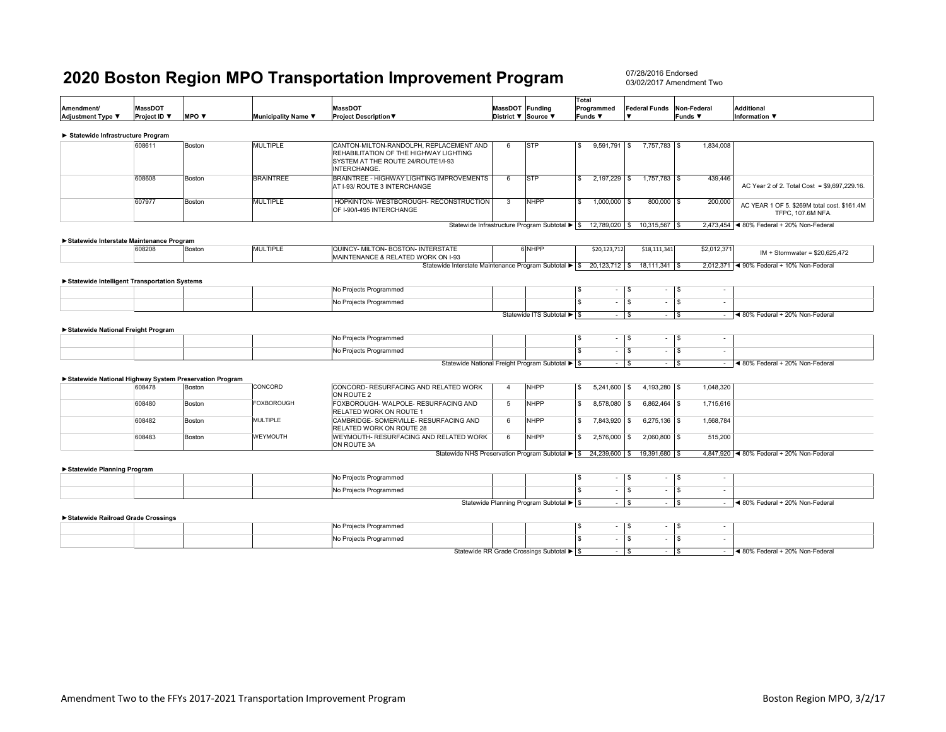07/28/2016 Endorsed03/02/2017 Amendment Two

| Amendment/<br>Adjustment Type ▼                        | <b>MassDOT</b><br>Project ID ▼ | MPO V  | Municipality Name ▼ | <b>MassDOT</b><br><b>Project Description ▼</b>                                                                                          | MassDOT Funding | District ▼ Source ▼                              | Total<br>Programmed<br>Funds ▼          | <b>Federal Funds</b>              | Non-Federal<br>Funds ▼           | <b>Additional</b><br>Information ▼                               |
|--------------------------------------------------------|--------------------------------|--------|---------------------|-----------------------------------------------------------------------------------------------------------------------------------------|-----------------|--------------------------------------------------|-----------------------------------------|-----------------------------------|----------------------------------|------------------------------------------------------------------|
| Statewide Infrastructure Program                       |                                |        |                     |                                                                                                                                         |                 |                                                  |                                         |                                   |                                  |                                                                  |
|                                                        | 608611                         | Boston | <b>MULTIPLE</b>     | CANTON-MILTON-RANDOLPH, REPLACEMENT AND<br>REHABILITATION OF THE HIGHWAY LIGHTING<br>SYSTEM AT THE ROUTE 24/ROUTE1/I-93<br>INTERCHANGE. | 6               | <b>STP</b>                                       | $9,591,791$ \$<br>S.                    | 7,757,783 \$                      | 1,834,008                        |                                                                  |
|                                                        | 608608                         | Boston | <b>BRAINTREE</b>    | BRAINTREE - HIGHWAY LIGHTING IMPROVEMENTS<br>AT I-93/ ROUTE 3 INTERCHANGE                                                               | 6               | <b>STP</b>                                       | 2,197,229 \$<br>S.                      | $1.757.783$ \\$                   | 439,446                          | AC Year 2 of 2. Total Cost = \$9,697,229.16.                     |
|                                                        | 607977                         | Boston | <b>MULTIPLE</b>     | HOPKINTON- WESTBOROUGH- RECONSTRUCTION<br>OF I-90/I-495 INTERCHANGE                                                                     | 3               | <b>NHPP</b>                                      | s.<br>1,000,000 \$                      | $800,000$ \$                      | 200,000                          | AC YEAR 1 OF 5. \$269M total cost. \$161.4M<br>TFPC, 107.6M NFA. |
|                                                        |                                |        |                     |                                                                                                                                         |                 | Statewide Infrastructure Program Subtotal ▶ \$   | 12,789,020 \$                           | 10,315,567 \$                     |                                  | 2,473,454 < 80% Federal + 20% Non-Federal                        |
| Statewide Interstate Maintenance Program               |                                |        |                     |                                                                                                                                         |                 |                                                  |                                         |                                   |                                  |                                                                  |
|                                                        | 608208                         | Boston | <b>MULTIPLE</b>     | QUINCY- MILTON- BOSTON- INTERSTATE<br>MAINTENANCE & RELATED WORK ON I-93                                                                |                 | 6NHPP                                            | \$20,123,712                            | \$18,111,341                      | \$2,012,371                      | $IM + Stormwater = $20,625,472$                                  |
|                                                        |                                |        |                     | Statewide Interstate Maintenance Program Subtotal ▶ S                                                                                   |                 |                                                  | 20,123,712 \$                           | $18, 111, 341$ \$                 |                                  | 2,012,371 < 90% Federal + 10% Non-Federal                        |
| Statewide Intelligent Transportation Systems           |                                |        |                     |                                                                                                                                         |                 |                                                  |                                         |                                   |                                  |                                                                  |
|                                                        |                                |        |                     | No Projects Programmed                                                                                                                  |                 |                                                  | s.<br>$\overline{\phantom{a}}$          | -S<br>$\overline{\phantom{a}}$    | l S                              |                                                                  |
|                                                        |                                |        |                     | No Projects Programmed                                                                                                                  |                 |                                                  | s.<br>$\sim$                            | $\overline{\mathbf{s}}$<br>$\sim$ | l \$                             |                                                                  |
|                                                        |                                |        |                     |                                                                                                                                         |                 | Statewide ITS Subtotal ▶ \$                      | $\sim$ 1                                | l \$<br>$\sim$                    | l \$                             | $-$ 4 80% Federal + 20% Non-Federal                              |
| Statewide National Freight Program                     |                                |        |                     |                                                                                                                                         |                 |                                                  |                                         |                                   |                                  |                                                                  |
|                                                        |                                |        |                     | No Projects Programmed                                                                                                                  |                 |                                                  | s.<br>$\sim$                            | \$<br>$\sim$                      | l \$<br>$\sim$                   |                                                                  |
|                                                        |                                |        |                     | No Projects Programmed                                                                                                                  |                 |                                                  | \$<br>$\overline{\phantom{a}}$          | S<br>$\overline{\phantom{a}}$     | l \$<br>$\overline{\phantom{a}}$ |                                                                  |
|                                                        |                                |        |                     |                                                                                                                                         |                 | Statewide National Freight Program Subtotal ▶ \$ | $\sim$                                  | \$<br>$\sim$                      | l s                              | $-$ 4 80% Federal + 20% Non-Federal                              |
| Statewide National Highway System Preservation Program |                                |        |                     |                                                                                                                                         |                 |                                                  |                                         |                                   |                                  |                                                                  |
|                                                        | 608478                         | Boston | CONCORD             | CONCORD- RESURFACING AND RELATED WORK<br>ON ROUTE 2                                                                                     | $\overline{4}$  | <b>NHPP</b>                                      | <b>S</b><br>$5,241,600$ \$              | 4,193,280 \$                      | 1,048,320                        |                                                                  |
|                                                        | 608480                         | Boston | <b>FOXBOROUGH</b>   | FOXBOROUGH-WALPOLE-RESURFACING AND<br>RELATED WORK ON ROUTE 1                                                                           | 5               | <b>NHPP</b>                                      | 8,578,080<br>S.                         | $6,862,464$ \$<br>-S              | 1,715,616                        |                                                                  |
|                                                        | 608482                         | Boston | <b>MULTIPLE</b>     | CAMBRIDGE- SOMERVILLE- RESURFACING AND<br><b>RELATED WORK ON ROUTE 28</b>                                                               | 6               | <b>NHPP</b>                                      | $\overline{\mathbf{s}}$<br>7,843,920 \$ | $6,275,136$ \$                    | 1,568,784                        |                                                                  |
|                                                        | 608483                         | Boston | WEYMOUTH            | WEYMOUTH- RESURFACING AND RELATED WORK<br>ON ROUTE 3A                                                                                   | 6               | <b>NHPP</b>                                      | S.<br>$2,576,000$ \$                    | $2,060,800$ \$                    | 515,200                          |                                                                  |
|                                                        |                                |        |                     | Statewide NHS Preservation Program Subtotal ▶ \$ 24,239,600 \$                                                                          |                 |                                                  |                                         | 19,391,680 \$                     |                                  | 4,847,920 <4 80% Federal + 20% Non-Federal                       |
| Statewide Planning Program                             |                                |        |                     |                                                                                                                                         |                 |                                                  |                                         |                                   |                                  |                                                                  |
|                                                        |                                |        |                     | No Projects Programmed                                                                                                                  |                 |                                                  | \$<br>$\blacksquare$                    | \$<br>$\sim$                      | <b>S</b><br>$\sim$               |                                                                  |
|                                                        |                                |        |                     | No Projects Programmed                                                                                                                  |                 |                                                  | \$<br>÷                                 | S<br>$\sim$                       | l \$                             |                                                                  |
|                                                        |                                |        |                     |                                                                                                                                         |                 | Statewide Planning Program Subtotal ▶ \$         |                                         | $ s$<br>$\sim$                    | l \$                             | $-$ 4 80% Federal + 20% Non-Federal                              |
| Statewide Railroad Grade Crossings                     |                                |        |                     |                                                                                                                                         |                 |                                                  |                                         |                                   |                                  |                                                                  |
|                                                        |                                |        |                     | No Projects Programmed                                                                                                                  |                 |                                                  | s.                                      | <b>S</b><br>$\sim$                | l \$                             |                                                                  |
|                                                        |                                |        |                     | No Projects Programmed                                                                                                                  |                 |                                                  | s.<br>$\sim$                            | $\overline{\mathbf{s}}$<br>$\sim$ | $\overline{\mathbf{s}}$          |                                                                  |

 $\frac{1}{\sqrt{2}}$   $\frac{1}{\sqrt{2}}$   $\frac{1}{\sqrt{2}}$   $\frac{1}{\sqrt{2}}$   $\frac{1}{\sqrt{2}}$   $\frac{1}{\sqrt{2}}$   $\frac{1}{\sqrt{2}}$   $\frac{1}{\sqrt{2}}$   $\frac{1}{\sqrt{2}}$   $\frac{1}{\sqrt{2}}$   $\frac{1}{\sqrt{2}}$   $\frac{1}{\sqrt{2}}$   $\frac{1}{\sqrt{2}}$   $\frac{1}{\sqrt{2}}$   $\frac{1}{\sqrt{2}}$   $\frac{1}{\sqrt{2}}$   $\frac{1}{\sqrt{2}}$  Statewide RR Grade Crossings Subtotal ► \$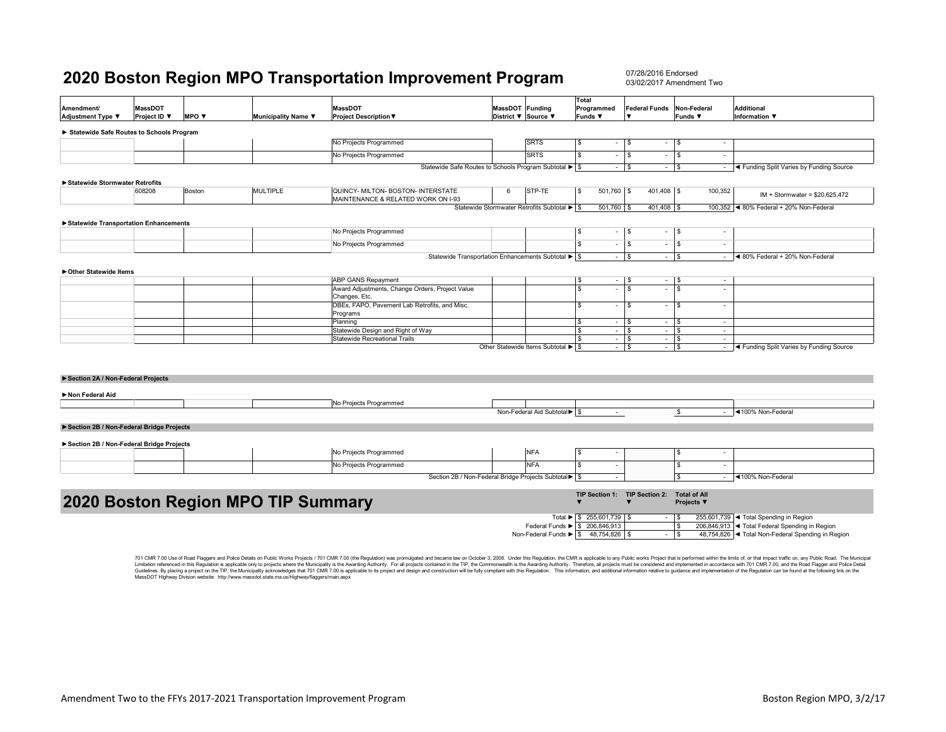07/28/2016 Endorsed03/02/2017 Amendment Two

|                                          |                |        |                                    |                                                                          |                     |                                             | Total                         |                                      |                                         |                                                                           |
|------------------------------------------|----------------|--------|------------------------------------|--------------------------------------------------------------------------|---------------------|---------------------------------------------|-------------------------------|--------------------------------------|-----------------------------------------|---------------------------------------------------------------------------|
| Amendment/                               | <b>MassDOT</b> |        |                                    | <b>MassDOT</b>                                                           | MassDOT Funding     |                                             | Programmed                    | <b>Federal Funds</b>                 | Non-Federal                             | <b>Additional</b>                                                         |
| Adjustment Type ▼                        | Project ID ▼   | MPO V  | Municipality Name ▼                | <b>Project Description ▼</b>                                             | District ▼ Source ▼ |                                             | Funds ▼                       |                                      | Funds ▼                                 | <b>Information</b> ▼                                                      |
| Statewide Safe Routes to Schools Program |                |        |                                    |                                                                          |                     |                                             |                               |                                      |                                         |                                                                           |
|                                          |                |        |                                    | No Projects Programmed                                                   |                     | <b>SRTS</b>                                 | -S<br>$\sim$                  | l S                                  | l S<br>$\sim$                           |                                                                           |
|                                          |                |        |                                    | No Projects Programmed                                                   |                     | <b>SRTS</b>                                 | s<br>$\sim$                   | l s                                  | l S<br>$\overline{\phantom{a}}$         |                                                                           |
|                                          |                |        |                                    | Statewide Safe Routes to Schools Program Subtotal ▶ \$                   |                     |                                             | $\sim$                        | l s<br>$-$ \$                        |                                         | - <a>Funding Split Varies by Funding Source</a>                           |
| Statewide Stormwater Retrofits           |                |        |                                    |                                                                          |                     |                                             |                               |                                      |                                         |                                                                           |
|                                          | 608208         | Boston | <b>MULTIPLE</b>                    | QUINCY- MILTON- BOSTON- INTERSTATE<br>MAINTENANCE & RELATED WORK ON I-93 | 6                   | STP-TE                                      | 501,760 \$<br><b>S</b>        | 401,408 \$                           | 100,352                                 | $IM + Stormwater = $20,625,472$                                           |
|                                          |                |        |                                    |                                                                          |                     | Statewide Stormwater Retrofits Subtotal ▶ S | 501,760 \$                    | 401,408 \$                           |                                         | 100,352 <4 80% Federal + 20% Non-Federal                                  |
| Statewide Transportation Enhancements    |                |        |                                    |                                                                          |                     |                                             |                               |                                      |                                         |                                                                           |
|                                          |                |        |                                    | No Projects Programmed                                                   |                     |                                             | <b>S</b><br>$\sim$            | l \$<br>$\overline{\phantom{a}}$     | l \$<br>$\sim$                          |                                                                           |
|                                          |                |        |                                    | No Projects Programmed                                                   |                     |                                             | <b>S</b><br>$\sim$            | l s<br>$\overline{\phantom{a}}$      | l \$<br>$\overline{\phantom{a}}$        |                                                                           |
|                                          |                |        |                                    | Statewide Transportation Enhancements Subtotal ▶ S                       |                     |                                             | $\sim$                        | l s<br>$\sim$                        | $\sqrt{s}$                              | $-$ 4 80% Federal + 20% Non-Federal                                       |
|                                          |                |        |                                    |                                                                          |                     |                                             |                               |                                      |                                         |                                                                           |
| ▶ Other Statewide Items                  |                |        |                                    | ABP GANS Repayment                                                       |                     |                                             | \$                            | $\sim$                               | $\sim$                                  |                                                                           |
|                                          |                |        |                                    | Award Adjustments, Change Orders, Project Value                          |                     |                                             | $\sim$<br><b>S</b><br>$\sim$  | l \$<br>l s<br>$\sim$                | l \$<br>l s<br>$\overline{\phantom{a}}$ |                                                                           |
|                                          |                |        |                                    | Changes, Etc.                                                            |                     |                                             |                               |                                      |                                         |                                                                           |
|                                          |                |        |                                    | DBEs, FAPO, Pavement Lab Retrofits, and Misc.<br>Programs                |                     |                                             | $\mathbf{\hat{s}}$<br>$\sim$  | \$<br>$\sim$                         | l \$<br>$\overline{\phantom{a}}$        |                                                                           |
|                                          |                |        |                                    | Planning                                                                 |                     |                                             | -S<br>$\sim$                  | l s<br>$\sim$                        | l s<br>$\sim$                           |                                                                           |
|                                          |                |        |                                    | Statewide Design and Right of Way                                        |                     |                                             | <b>S</b><br>$\sim$            | l s<br>$\sim$                        | l \$<br>$\sim$                          |                                                                           |
|                                          |                |        |                                    | Statewide Recreational Trails                                            |                     | Other Statewide Items Subtotal ▶ \$         | <b>S</b><br>$\sim$<br>$\sim$  | l \$<br>$\sim$<br><b>S</b><br>$\sim$ | ا \$<br>$\sim$<br>$\sqrt{3}$            | - <a>Funding Split Varies by Funding Source</a>                           |
|                                          |                |        |                                    |                                                                          |                     |                                             |                               |                                      |                                         |                                                                           |
|                                          |                |        |                                    |                                                                          |                     |                                             |                               |                                      |                                         |                                                                           |
|                                          |                |        |                                    |                                                                          |                     |                                             |                               |                                      |                                         |                                                                           |
| Section 2A / Non-Federal Projects        |                |        |                                    |                                                                          |                     |                                             |                               |                                      |                                         |                                                                           |
| Non Federal Aid                          |                |        |                                    |                                                                          |                     |                                             |                               |                                      |                                         |                                                                           |
|                                          |                |        |                                    | No Projects Programmed                                                   |                     |                                             |                               |                                      |                                         |                                                                           |
|                                          |                |        |                                    |                                                                          |                     | Non-Federal Aid Subtotal > \$               | $\sim$                        |                                      | <b>S</b>                                | - 4100% Non-Federal                                                       |
| Section 2B / Non-Federal Bridge Projects |                |        |                                    |                                                                          |                     |                                             |                               |                                      |                                         |                                                                           |
|                                          |                |        |                                    |                                                                          |                     |                                             |                               |                                      |                                         |                                                                           |
| Section 2B / Non-Federal Bridge Projects |                |        |                                    |                                                                          |                     |                                             |                               |                                      |                                         |                                                                           |
|                                          |                |        |                                    | No Projects Programmed                                                   |                     | <b>NFA</b>                                  | <b>S</b>                      |                                      | l \$<br>$\overline{\phantom{a}}$        |                                                                           |
|                                          |                |        |                                    | No Projects Programmed                                                   |                     | <b>NFA</b>                                  | -S<br>$\sim$                  |                                      | \$<br>٠                                 |                                                                           |
|                                          |                |        |                                    | Section 2B / Non-Federal Bridge Projects Subtotal                        |                     |                                             |                               |                                      | $\mathbf{S}$                            | - <100% Non-Federal                                                       |
|                                          |                |        |                                    |                                                                          |                     |                                             | TIP Section 1: TIP Section 2: |                                      | <b>Total of All</b>                     |                                                                           |
|                                          |                |        | 2020 Boston Region MPO TIP Summary |                                                                          |                     |                                             |                               |                                      | Projects ▼                              |                                                                           |
|                                          |                |        |                                    |                                                                          |                     |                                             | Total ▶ \$ 255,601,739 \$     |                                      | l S                                     | 255,601,739 <total in="" region<="" spending="" td=""></total>            |
|                                          |                |        |                                    |                                                                          |                     | Federal Funds > \$ 206,846,913              |                               |                                      | l s                                     | 206,846,913 <total federal="" in="" region<="" spending="" td=""></total> |

701 CMR 7.00 Use of Road Flaggers and Police Details on Public Works Projects / 701 CMR 7.00 (the Regulation) was promulgated and became law on October 3, 2008. Under this Regulation, the CMR is applicable to any Public wo Limitation referenced in this Regulation is applicable only to projects where the Municipality is the Awarding Authority. For all projects contained in the TIP, the Commonwealth is the Awarding Authority. Therefore, all pr

Non-Federal Funds  $\triangleright$   $\frac{1}{3}$   $\frac{48,754,826}{9}$   $\frac{1}{3}$  -  $\frac{1}{3}$ 

48,754,826 <Total Non-Federal Spending in Region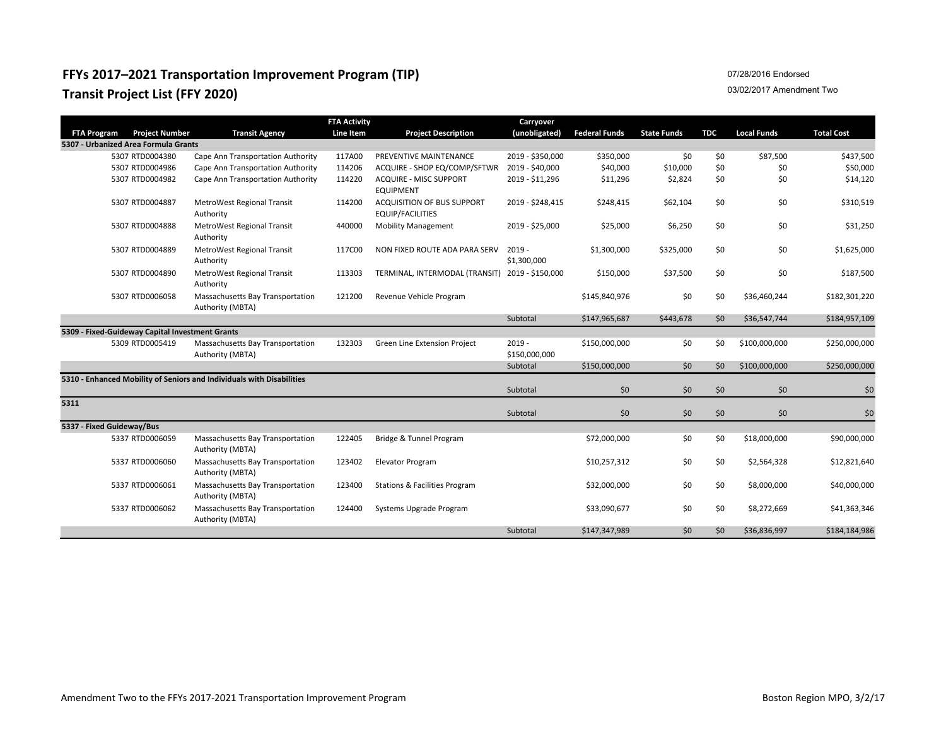## **FFYs 2017–2021 Transportation Improvement Program (TIP) Transit Project List (FFY 2020)**

### 07/28/2016 Endorsed

#### 03/02/2017 Amendment Two

|                           |                                                 |                                                                       | <b>FTA Activity</b> |                                                              | Carryover                     |                      |                    |            |                    |                   |
|---------------------------|-------------------------------------------------|-----------------------------------------------------------------------|---------------------|--------------------------------------------------------------|-------------------------------|----------------------|--------------------|------------|--------------------|-------------------|
| <b>FTA Program</b>        | <b>Project Number</b>                           | <b>Transit Agency</b>                                                 | Line Item           | <b>Project Description</b>                                   | (unobligated)                 | <b>Federal Funds</b> | <b>State Funds</b> | <b>TDC</b> | <b>Local Funds</b> | <b>Total Cost</b> |
|                           | 5307 - Urbanized Area Formula Grants            |                                                                       |                     |                                                              |                               |                      |                    |            |                    |                   |
|                           | 5307 RTD0004380                                 | Cape Ann Transportation Authority                                     | 117A00              | PREVENTIVE MAINTENANCE                                       | 2019 - \$350,000              | \$350,000            | \$0                | \$0        | \$87,500           | \$437,500         |
|                           | 5307 RTD0004986                                 | Cape Ann Transportation Authority                                     | 114206              | ACQUIRE - SHOP EQ/COMP/SFTWR                                 | 2019 - \$40,000               | \$40,000             | \$10,000           | \$0        | \$0                | \$50,000          |
|                           | 5307 RTD0004982                                 | Cape Ann Transportation Authority                                     | 114220              | <b>ACQUIRE - MISC SUPPORT</b><br><b>EQUIPMENT</b>            | 2019 - \$11,296               | \$11,296             | \$2,824            | \$0        | \$0                | \$14,120          |
|                           | 5307 RTD0004887                                 | <b>MetroWest Regional Transit</b><br>Authority                        | 114200              | <b>ACQUISITION OF BUS SUPPORT</b><br><b>EQUIP/FACILITIES</b> | 2019 - \$248,415<br>\$248,415 |                      | \$62,104           | \$0        | \$0                | \$310,519         |
|                           | 5307 RTD0004888                                 | <b>MetroWest Regional Transit</b><br>Authority                        | 440000              | <b>Mobility Management</b>                                   | 2019 - \$25,000               | \$25,000             | \$6,250            | \$0        | \$0                | \$31,250          |
|                           | 5307 RTD0004889                                 | <b>MetroWest Regional Transit</b><br>Authority                        | 117C00              | NON FIXED ROUTE ADA PARA SERV                                | $2019 -$<br>\$1,300,000       | \$1,300,000          |                    | \$0        | \$0                | \$1,625,000       |
|                           | 5307 RTD0004890                                 | <b>MetroWest Regional Transit</b><br>Authority                        | 113303              | TERMINAL, INTERMODAL (TRANSIT) 2019 - \$150,000              |                               | \$150,000            | \$37,500           | \$0        | \$0                | \$187,500         |
|                           | 5307 RTD0006058                                 | Massachusetts Bay Transportation<br>Authority (MBTA)                  | 121200              | Revenue Vehicle Program                                      |                               | \$145,840,976        | \$0                | \$0        | \$36,460,244       | \$182,301,220     |
|                           |                                                 |                                                                       |                     |                                                              | Subtotal                      | \$147,965,687        | \$443.678          | \$0        | \$36,547,744       | \$184,957,109     |
|                           | 5309 - Fixed-Guideway Capital Investment Grants |                                                                       |                     |                                                              |                               |                      |                    |            |                    |                   |
|                           | 5309 RTD0005419                                 | Massachusetts Bay Transportation<br>Authority (MBTA)                  | 132303              | Green Line Extension Project                                 | $2019 -$<br>\$150,000,000     | \$150,000,000        | \$0                | \$0        | \$100,000,000      | \$250,000,000     |
|                           |                                                 |                                                                       |                     |                                                              | Subtotal                      | \$150,000,000        | \$0                | \$0        | \$100,000,000      | \$250,000,000     |
|                           |                                                 | 5310 - Enhanced Mobility of Seniors and Individuals with Disabilities |                     |                                                              | Subtotal                      | \$0                  | \$0                | \$0        | \$0                | \$0               |
| 5311                      |                                                 |                                                                       |                     |                                                              | Subtotal                      | \$0                  | \$0                | \$0        | \$0                | \$0               |
| 5337 - Fixed Guideway/Bus |                                                 |                                                                       |                     |                                                              |                               |                      |                    |            |                    |                   |
|                           | 5337 RTD0006059                                 | Massachusetts Bay Transportation<br>Authority (MBTA)                  | 122405              | Bridge & Tunnel Program                                      |                               | \$72,000,000         | \$0                | \$0        | \$18,000,000       | \$90,000,000      |
|                           | 5337 RTD0006060                                 | Massachusetts Bay Transportation<br>Authority (MBTA)                  | 123402              | <b>Elevator Program</b>                                      |                               | \$10,257,312         | \$0                | \$0        | \$2,564,328        | \$12,821,640      |
|                           | 5337 RTD0006061                                 | Massachusetts Bay Transportation<br>Authority (MBTA)                  | 123400              | <b>Stations &amp; Facilities Program</b>                     |                               | \$32,000,000         | \$0                | \$0        | \$8,000,000        | \$40,000,000      |
|                           | 5337 RTD0006062                                 | Massachusetts Bay Transportation<br>Authority (MBTA)                  | 124400              | Systems Upgrade Program                                      |                               | \$33,090,677         | \$0                | \$0        | \$8,272,669        | \$41,363,346      |
|                           |                                                 |                                                                       |                     |                                                              | Subtotal                      | \$147,347,989        | \$0                | \$0        | \$36,836,997       | \$184,184,986     |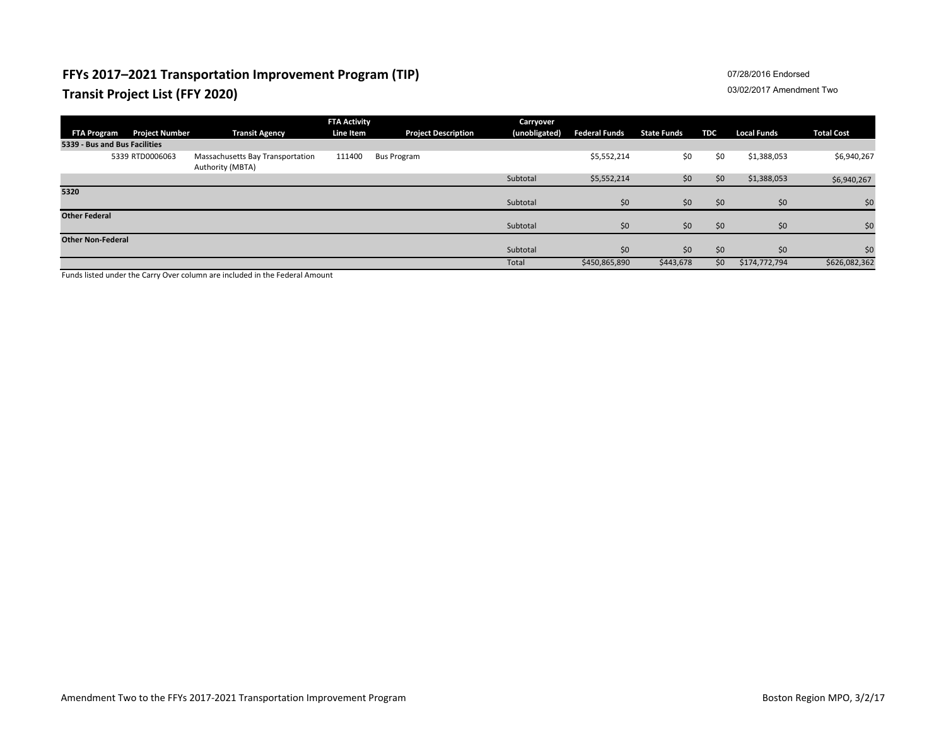## **FFYs 2017–2021 Transportation Improvement Program (TIP) Transit Project List (FFY 2020)**

### 07/28/2016 Endorsed

#### 03/02/2017 Amendment Two

|                               |                       |                                                      | <b>FTA Activity</b> |                            | <b>Carryover</b> |                      |                    |            |                    |                   |
|-------------------------------|-----------------------|------------------------------------------------------|---------------------|----------------------------|------------------|----------------------|--------------------|------------|--------------------|-------------------|
| <b>FTA Program</b>            | <b>Project Number</b> | <b>Transit Agency</b>                                | <b>Line Item</b>    | <b>Project Description</b> | (unobligated)    | <b>Federal Funds</b> | <b>State Funds</b> | <b>TDC</b> | <b>Local Funds</b> | <b>Total Cost</b> |
| 5339 - Bus and Bus Facilities |                       |                                                      |                     |                            |                  |                      |                    |            |                    |                   |
|                               | 5339 RTD0006063       | Massachusetts Bay Transportation<br>Authority (MBTA) | 111400              | <b>Bus Program</b>         |                  | \$5,552,214          | \$0                | \$0        | \$1,388,053        | \$6,940,267       |
|                               |                       |                                                      |                     |                            | Subtotal         | \$5,552,214          | \$0                | \$0        | \$1,388,053        | \$6,940,267       |
| 5320                          |                       |                                                      |                     |                            |                  |                      |                    |            |                    |                   |
|                               |                       |                                                      |                     |                            | Subtotal         | \$0                  | \$0                | \$0        | \$0                | \$0               |
| <b>Other Federal</b>          |                       |                                                      |                     |                            |                  |                      |                    |            |                    |                   |
|                               |                       |                                                      |                     |                            | Subtotal         | \$0                  | \$0                | \$0        | \$0                | \$0               |
| <b>Other Non-Federal</b>      |                       |                                                      |                     |                            |                  |                      |                    |            |                    |                   |
|                               |                       |                                                      |                     |                            | Subtotal         | \$0                  | \$0                | \$0        | \$0                | \$0               |
|                               |                       |                                                      |                     |                            | Total            | \$450,865,890        | \$443,678          | \$0        | \$174,772,794      | \$626,082,362     |

Funds listed under the Carry Over column are included in the Federal Amount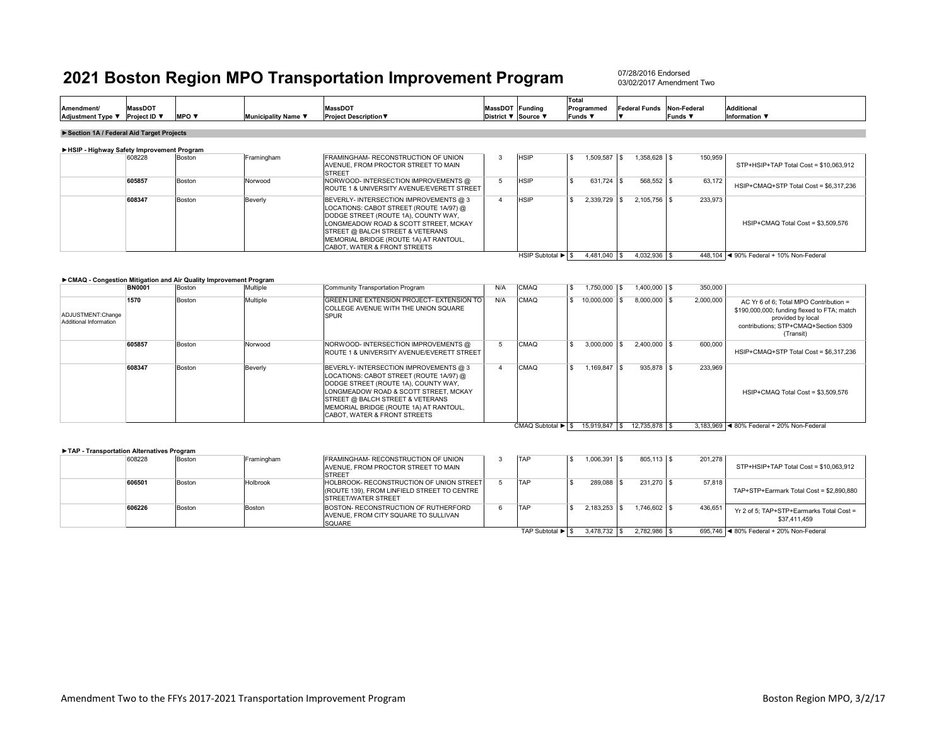07/28/2016 Endorsed03/02/2017 Amendment Two

HSIP Subtotal ▶ S 4,481,040 S 4,032,936 S 448,104 I ◀ 90% Federal + 10% Non-Federal

| <b>Amendment/</b><br><b>Adjustment Type</b> | <b>MassDOT</b><br>Proiect ID ▼ | <b>MPO</b> $\blacktriangledown$ | Municipality Name ▼ | <b>MassDOT</b><br><b>Project Description ▼</b> | <b>MassDOT</b><br>District ▼ Source ▼ | Funding | Total<br>Programmed<br><b>Funds</b> | Federal Funds Non-Federal | Funds <b>v</b> | <b>Additional</b><br>Information ▼ |  |
|---------------------------------------------|--------------------------------|---------------------------------|---------------------|------------------------------------------------|---------------------------------------|---------|-------------------------------------|---------------------------|----------------|------------------------------------|--|
|                                             |                                |                                 |                     |                                                |                                       |         |                                     |                           |                |                                    |  |
| Section 1A / Federal Aid Target Projects    |                                |                                 |                     |                                                |                                       |         |                                     |                           |                |                                    |  |

#### 608228 Boston Framingham FRAMINGHAM- RECONSTRUCTION OF UNION AVENUE, FROM PROCTOR STREET TO MAIN STREET7 Boston Norwood NORWOOD- INTERSECTION IMPROVEMENTS @ 3 HSIP \$ 1,509,587 \$ 1,358,628 \$ 150,959 **605857**ROUTE 1 & UNIVERSITY AVENUE/EVERETT STREET5 HSIP \$ 631,724 \$ 568,552 \$ 63,172 **608347**Boston Beverly BEVERLY- INTERSECTION IMPROVEMENTS @ 3 LOCATIONS: CABOT STREET (ROUTE 1A/97) @ DODGE STREET (ROUTE 1A), COUNTY WAY, LONGMEADOW ROAD & SCOTT STREET, MCKAY STREET @ BALCH STREET & VETERANS MEMORIAL BRIDGE (ROUTE 1A) AT RANTOUL, CABOT, WATER & FRONT STREETS 4 HSIP \$ 2,339,729 \$ 2,105,756 \$ 233,973 **►HSIP - Highway Safety Improvement Program** STP+HSIP+TAP Total Cost = \$10,063,912 HSIP+CMAQ Total Cost = \$3,509,576 HSIP+CMAQ+STP Total Cost = \$6,317,236

#### **►CMAQ - Congestion Mitigation and Air Quality Improvement Program**

|                                             | <b>BN0001</b> | Boston | Multiple | Community Transportation Program                                                                                                                                                                                                                                                            | N/A | <b>CMAQ</b>       | 1.750.000    | 1.400.000 \$     | 350,000   |                                                                                                                                                                 |
|---------------------------------------------|---------------|--------|----------|---------------------------------------------------------------------------------------------------------------------------------------------------------------------------------------------------------------------------------------------------------------------------------------------|-----|-------------------|--------------|------------------|-----------|-----------------------------------------------------------------------------------------------------------------------------------------------------------------|
| ADJUSTMENT:Change<br>Additional Information | 1570          | Boston | Multiple | GREEN LINE EXTENSION PROJECT- EXTENSION TO<br><b>COLLEGE AVENUE WITH THE UNION SQUARE</b><br><b>SPUR</b>                                                                                                                                                                                    | N/A | <b>CMAQ</b>       | 10.000.000   | $8.000.000$ \ \$ | 2,000,000 | AC Yr 6 of 6: Total MPO Contribution =<br>\$190,000,000; funding flexed to FTA; match<br>provided by local<br>contributions: STP+CMAQ+Section 5309<br>(Transit) |
|                                             | 605857        | Boston | Norwood  | NORWOOD-INTERSECTION IMPROVEMENTS @<br><b>ROUTE 1 &amp; UNIVERSITY AVENUE/EVERETT STREET</b>                                                                                                                                                                                                |     | <b>CMAQ</b>       | 3,000,000    | $2.400.000$ \$   | 600,000   | HSIP+CMAQ+STP Total Cost = \$6.317.236                                                                                                                          |
|                                             | 608347        | Boston | Beverly  | BEVERLY- INTERSECTION IMPROVEMENTS @ 3<br>LOCATIONS: CABOT STREET (ROUTE 1A/97) @<br>DODGE STREET (ROUTE 1A), COUNTY WAY.<br>LONGMEADOW ROAD & SCOTT STREET. MCKAY<br>STREET @ BALCH STREET & VETERANS<br>MEMORIAL BRIDGE (ROUTE 1A) AT RANTOUL,<br><b>CABOT, WATER &amp; FRONT STREETS</b> |     | <b>CMAQ</b>       | 1.169.847 \$ | 935.878 \$       | 233.969   | HSIP+CMAQ Total Cost = \$3,509,576                                                                                                                              |
|                                             |               |        |          |                                                                                                                                                                                                                                                                                             |     | CMAQ Subtotal ▶ S | 15.919.847 S | 12.735.878 \$    |           | 3.183.969   ◀ 80% Federal + 20% Non-Federal                                                                                                                     |

**►TAP - Transportation Alternatives Program**

| 608228 | Boston        | Framingham | FRAMINGHAM- RECONSTRUCTION OF UNION         | <b>TAP</b>       | 1.006.391 | 805.113 \$    | 201,278 |                                           |
|--------|---------------|------------|---------------------------------------------|------------------|-----------|---------------|---------|-------------------------------------------|
|        |               |            | AVENUE. FROM PROCTOR STREET TO MAIN         |                  |           |               |         | STP+HSIP+TAP Total Cost = \$10.063.912    |
|        |               |            | <b>STREET</b>                               |                  |           |               |         |                                           |
| 606501 | Boston        | Holbrook   | HOLBROOK- RECONSTRUCTION OF UNION STREET    | <b>TAP</b>       | 289.088   | 231.270 \$    | 57,818  |                                           |
|        |               |            | (ROUTE 139). FROM LINFIELD STREET TO CENTRE |                  |           |               |         | TAP+STP+Earmark Total Cost = \$2,890,880  |
|        |               |            | <b>ISTREET/WATER STREET</b>                 |                  |           |               |         |                                           |
| 606226 | <b>Boston</b> | Boston     | BOSTON- RECONSTRUCTION OF RUTHERFORD        | <b>TAP</b>       | 2.183.253 | $1.746.602$ S | 436,651 | Yr 2 of 5: TAP+STP+Earmarks Total Cost =  |
|        |               |            | AVENUE. FROM CITY SQUARE TO SULLIVAN        |                  |           |               |         | \$37,411,459                              |
|        |               |            | <b>SQUARE</b>                               |                  |           |               |         |                                           |
|        |               |            |                                             | TAP Subtotal ▶ S | 3.478.732 | 2.782.986 \$  |         | 695.746   ◀ 80% Federal + 20% Non-Federal |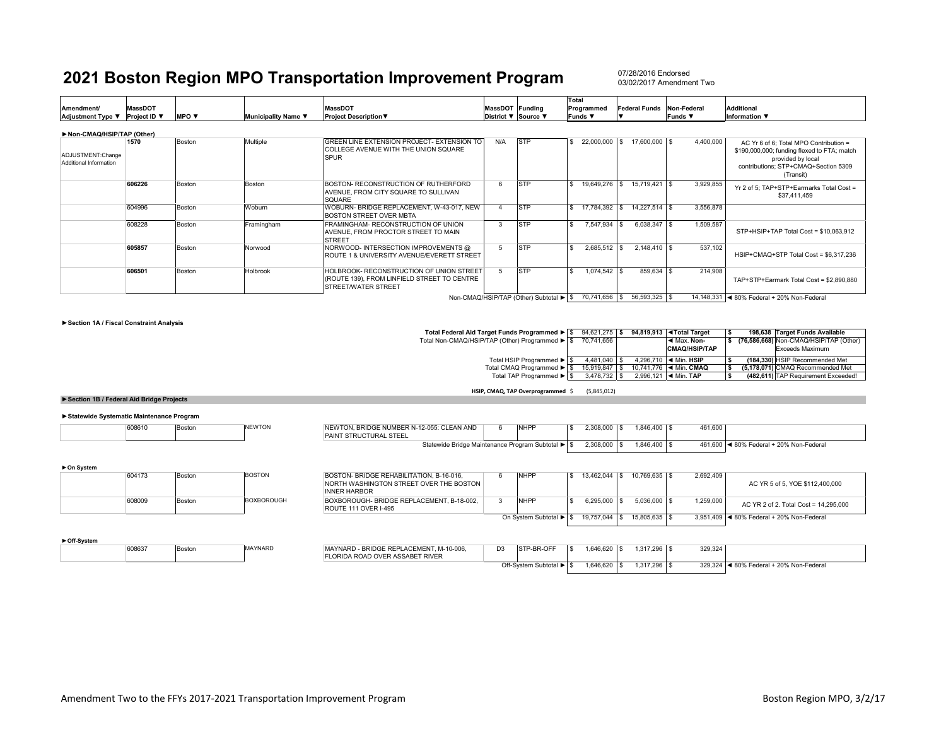07/28/2016 Endorsed03/02/2017 Amendment Two

| Amendment/<br>Adjustment Type ▼             | <b>MassDOT</b><br>Project ID ▼ | <b>MPO</b> $\blacktriangledown$ | Municipality Name ▼ | MassDOT<br><b>Project Description ▼</b>                                                                        | MassDOT Funding | District ▼ Source ▼                    | <b>Total</b><br>Programmed<br><b>Funds ▼</b> | <b>Federal Funds</b> | Non-Federal<br>Funds ▼ | <b>Additional</b><br>Information ▼                                                                                                                              |
|---------------------------------------------|--------------------------------|---------------------------------|---------------------|----------------------------------------------------------------------------------------------------------------|-----------------|----------------------------------------|----------------------------------------------|----------------------|------------------------|-----------------------------------------------------------------------------------------------------------------------------------------------------------------|
| Non-CMAQ/HSIP/TAP (Other)                   |                                |                                 |                     |                                                                                                                |                 |                                        |                                              |                      |                        |                                                                                                                                                                 |
| ADJUSTMENT:Change<br>Additional Information | 1570                           | Boston                          | Multiple            | GREEN LINE EXTENSION PROJECT- EXTENSION TO<br>COLLEGE AVENUE WITH THE UNION SQUARE<br><b>SPUR</b>              | N/A             | <b>STP</b>                             | 22,000,000 \$                                | 17,600,000 \$        | 4,400,000              | AC Yr 6 of 6: Total MPO Contribution =<br>\$190,000,000; funding flexed to FTA; match<br>provided by local<br>contributions; STP+CMAQ+Section 5309<br>(Transit) |
|                                             | 606226                         | Boston                          | Boston              | BOSTON- RECONSTRUCTION OF RUTHERFORD<br>AVENUE. FROM CITY SQUARE TO SULLIVAN<br>SQUARE                         |                 | <b>STP</b>                             | 19,649,276 \$                                | 15,719,421 \$        | 3,929,855              | Yr 2 of 5: TAP+STP+Earmarks Total Cost =<br>\$37.411.459                                                                                                        |
|                                             | 604996                         | Boston                          | Woburn              | WOBURN- BRIDGE REPLACEMENT, W-43-017, NEW<br>BOSTON STREET OVER MBTA                                           |                 | <b>STP</b>                             | 17,784,392                                   | 14,227,514 \$        | 3,556,878              |                                                                                                                                                                 |
|                                             | 608228                         | Boston                          | Framingham          | FRAMINGHAM- RECONSTRUCTION OF UNION<br>AVENUE, FROM PROCTOR STREET TO MAIN<br><b>STREET</b>                    | 3               | <b>STP</b>                             | 7,547,934 \$                                 | 6,038,347 \$         | 1,509,587              | STP+HSIP+TAP Total Cost = \$10,063,912                                                                                                                          |
|                                             | 605857                         | Boston                          | Norwood             | NORWOOD-INTERSECTION IMPROVEMENTS @<br>ROUTE 1 & UNIVERSITY AVENUE/EVERETT STREET                              |                 | <b>STP</b>                             | $2,685,512$ \$                               | $2.148.410$ \ \$     | 537,102                | HSIP+CMAQ+STP Total Cost = \$6,317,236                                                                                                                          |
|                                             | 606501                         | Boston                          | Holbrook            | HOLBROOK- RECONSTRUCTION OF UNION STREET<br>(ROUTE 139), FROM LINFIELD STREET TO CENTRE<br>STREET/WATER STREET |                 | <b>STP</b>                             | 1,074,542 \$                                 | 859,634 \$           | 214,908                | TAP+STP+Earmark Total Cost = \$2,890,880                                                                                                                        |
|                                             |                                |                                 |                     |                                                                                                                |                 | Non-CMAQ/HSIP/TAP (Other) Subtotal ▶ S | 70,741,656 \$                                | 56,593,325 \$        |                        | 14,148,331 < 80% Federal + 20% Non-Federal                                                                                                                      |

#### **►Section 1A / Fiscal Constraint Analysis**

| Total Federal Aid Target Funds Programmed > \$ | 94.621.275 \$ |  | 94.819.913   Total Target               |  | 198.638 Target Funds Available         |
|------------------------------------------------|---------------|--|-----------------------------------------|--|----------------------------------------|
| Total Non-CMAQ/HSIP/TAP (Other) Programmed ▶ S | 70.741.656    |  | ◀ Max. Non-                             |  | (76,586,668) Non-CMAQ/HSIP/TAP (Other) |
|                                                |               |  | <b>CMAQ/HSIP/TAP</b>                    |  | Exceeds Maximum                        |
| Total HSIP Programmed ▶ S                      | 4.481.040     |  | 4.296.710   ◀ Min. HSIP                 |  | (184.330) HSIP Recommended Met         |
| Total CMAQ Programmed ▶ S                      | 15.919.847    |  | 10.741.776   ◀ Min. CMAQ                |  | (5.178.071) CMAQ Recommended Met       |
| Total TAP Programmed ▶ S                       | $3.478.732$ S |  | 2.996.121 $\blacktriangleleft$ Min. TAP |  | (482.611) TAP Requirement Exceeded!    |

**HSIP, CMAQ, TAP Overprogrammed** \$ (5,845,012)

#### **►Section 1B / Federal Aid Bridge Projects**

#### **►Statewide Systematic Maintenance Program**

| 608610<br>Boston | <b>NEWTON</b> | NEWTON, BRIDGE NUMBER N-12-055; CLEAN AND<br><b>PAINT STRUCTURAL STEEL</b> | <b>NHPP</b> | 2,308,000 | $1.846.400$ \ \$ | 461,600 |                                           |
|------------------|---------------|----------------------------------------------------------------------------|-------------|-----------|------------------|---------|-------------------------------------------|
|                  |               | Statewide Bridge Maintenance Program Subtotal ▶ \$                         |             | 2,308,000 | $1.846.400$ \ \$ |         | 461,600   ◀ 80% Federal + 20% Non-Federal |
| ► On System      |               |                                                                            |             |           |                  |         |                                           |

| 604173 | Boston | <b>BOSTON</b>     |
|--------|--------|-------------------|
| 608009 | Boston | <b>BOXBOROUGH</b> |

| <b>BOSTON</b>     | BOSTON- BRIDGE REHABILITATION, B-16-016.  | <b>NHPP</b>            | 13.462.044    | 10.769.635   \$ | 2,692,409 |                                             |
|-------------------|-------------------------------------------|------------------------|---------------|-----------------|-----------|---------------------------------------------|
|                   | NORTH WASHINGTON STREET OVER THE BOSTON   |                        |               |                 |           | AC YR 5 of 5, YOE \$112,400,000             |
|                   | <b>INNER HARBOR</b>                       |                        |               |                 |           |                                             |
| <b>BOXBOROUGH</b> | BOXBOROUGH- BRIDGE REPLACEMENT, B-18-002. | <b>NHPP</b>            | $6.295.000$ S | $5.036.000$ S   | 1,259,000 | AC YR 2 of 2. Total Cost = 14.295.000       |
|                   | ROUTE 111 OVER I-495                      |                        |               |                 |           |                                             |
|                   |                                           | On System Subtotal ▶ S | 19,757,044 \$ | 15,805,635 \$   |           | 3,951,409   ◀ 80% Federal + 20% Non-Federal |
|                   |                                           |                        |               |                 |           |                                             |

| Off-System |       |        |                |                                         |
|------------|-------|--------|----------------|-----------------------------------------|
|            | 60863 | Bostor | <b>MAYNARE</b> | MAYNARD - BRIDGE REPLACEMENT, M-10-006. |
|            |       |        |                | <b>FLORIDA ROAD OVER ASSABET RIVER</b>  |

| MAYNARD - BRIDGE REPLACEMENT. M-10-006.<br>FLORIDA ROAD OVER ASSABET RIVER | D3 | STP-BR-OFF            | -S | .646.620 | .317.296  | 329.324 |                                 |
|----------------------------------------------------------------------------|----|-----------------------|----|----------|-----------|---------|---------------------------------|
|                                                                            |    | Off-System Subtotal ▶ |    | .646.620 | 1.317.296 | 329.324 | ■ 80% Federal + 20% Non-Federal |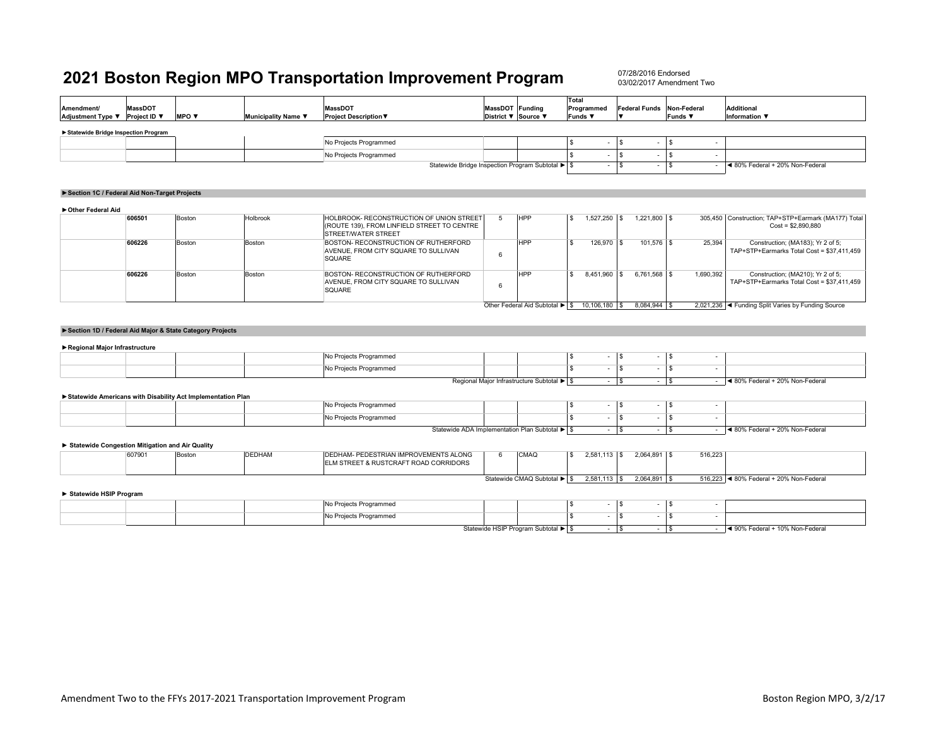| Amendment/<br>Adjustment Type ▼                 | <b>MassDOT</b><br>Project ID ▼ | MPO V                                                       | Municipality Name ▼ | <b>MassDOT</b><br><b>Project Description ▼</b>                                                                 |   | MassDOT Funding<br>District ▼ Source ▼     | Total<br>Programmed<br><b>Funds</b> ▼ | <b>Federal Funds</b><br>$\overline{\phantom{a}}$ | Non-Federal<br><b>Funds</b> ▼   | <b>Additional</b><br>Information ▼                                              |  |
|-------------------------------------------------|--------------------------------|-------------------------------------------------------------|---------------------|----------------------------------------------------------------------------------------------------------------|---|--------------------------------------------|---------------------------------------|--------------------------------------------------|---------------------------------|---------------------------------------------------------------------------------|--|
| Statewide Bridge Inspection Program             |                                |                                                             |                     |                                                                                                                |   |                                            |                                       |                                                  |                                 |                                                                                 |  |
|                                                 |                                |                                                             |                     | No Projects Programmed                                                                                         |   |                                            | <b>S</b>                              | <b>S</b>                                         |                                 |                                                                                 |  |
|                                                 |                                |                                                             |                     | No Projects Programmed                                                                                         |   |                                            | £.                                    | l s<br>$\overline{\phantom{a}}$                  | \$<br>$\overline{\phantom{a}}$  |                                                                                 |  |
|                                                 |                                |                                                             |                     | Statewide Bridge Inspection Program Subtotal ▶ \$                                                              |   |                                            |                                       | l s<br>$\overline{a}$                            | \$                              | ◀ 80% Federal + 20% Non-Federal                                                 |  |
|                                                 |                                |                                                             |                     |                                                                                                                |   |                                            |                                       |                                                  |                                 |                                                                                 |  |
| Section 1C / Federal Aid Non-Target Projects    |                                |                                                             |                     |                                                                                                                |   |                                            |                                       |                                                  |                                 |                                                                                 |  |
| Other Federal Aid                               |                                |                                                             |                     |                                                                                                                |   |                                            |                                       |                                                  |                                 |                                                                                 |  |
|                                                 | 606501                         | Boston                                                      | Holbrook            | HOLBROOK- RECONSTRUCTION OF UNION STREET<br>(ROUTE 139), FROM LINFIELD STREET TO CENTRE<br>STREET/WATER STREET | 5 | <b>HPP</b>                                 | 1,527,250<br><b>S</b>                 | $1,221,800$ \$<br>l s                            |                                 | 305,450 Construction; TAP+STP+Earmark (MA177) Total<br>$Cost = $2,890,880$      |  |
|                                                 | 606226                         | Boston                                                      | Boston              | BOSTON- RECONSTRUCTION OF RUTHERFORD<br>AVENUE, FROM CITY SQUARE TO SULLIVAN<br><b>SQUARE</b>                  | 6 | <b>HPP</b>                                 | <b>S</b><br>126,970 \$                | $101,576$ \$                                     | 25,394                          | Construction; (MA183); Yr 2 of 5;<br>TAP+STP+Earmarks Total Cost = \$37,411,459 |  |
|                                                 | 606226                         | Boston                                                      | Boston              | BOSTON- RECONSTRUCTION OF RUTHERFORD<br>AVENUE, FROM CITY SQUARE TO SULLIVAN<br>SQUARE                         | 6 | <b>HPP</b>                                 | $\overline{\mathbf{s}}$<br>8,451,960  | l s<br>$6,761,568$ \$                            | 1,690,392                       | Construction; (MA210); Yr 2 of 5;<br>TAP+STP+Earmarks Total Cost = \$37,411,459 |  |
|                                                 |                                | Section 1D / Federal Aid Major & State Category Projects    |                     |                                                                                                                |   |                                            |                                       |                                                  |                                 |                                                                                 |  |
| Regional Major Infrastructure                   |                                |                                                             |                     | No Projects Programmed                                                                                         |   |                                            | $\mathbf S$<br>$\sim$                 | l s<br>$\overline{\phantom{a}}$                  | l s<br>$\sim$                   |                                                                                 |  |
|                                                 |                                |                                                             |                     | No Projects Programmed                                                                                         |   |                                            | $\overline{\mathbf{s}}$<br>$\sim$     | l s<br>$\overline{\phantom{a}}$                  | $\mathbf{s}$<br>$\sim$          |                                                                                 |  |
|                                                 |                                |                                                             |                     |                                                                                                                |   | Regional Major Infrastructure Subtotal ▶ S |                                       | $ \sqrt{S}$<br>$-1$ \$                           |                                 | $-$ 4 80% Federal + 20% Non-Federal                                             |  |
|                                                 |                                | Statewide Americans with Disability Act Implementation Plan |                     |                                                                                                                |   |                                            |                                       |                                                  |                                 |                                                                                 |  |
|                                                 |                                |                                                             |                     | No Projects Programmed                                                                                         |   |                                            | $\mathbf S$                           | l \$<br>$\overline{\phantom{a}}$                 | l \$<br>$\sim$                  |                                                                                 |  |
|                                                 |                                |                                                             |                     | No Projects Programmed                                                                                         |   |                                            | <b>S</b><br>$\sim$                    | l s<br>$\overline{\phantom{a}}$                  | $\sqrt{3}$<br>$\sim$            |                                                                                 |  |
|                                                 |                                |                                                             |                     | Statewide ADA Implementation Plan Subtotal ▶ \$                                                                |   |                                            | $\sim$                                | $\overline{\mathsf{s}}$<br>$\sim$                | $\sqrt{3}$<br>$\sim$            | ◀ 80% Federal + 20% Non-Federal                                                 |  |
| Statewide Congestion Mitigation and Air Quality |                                |                                                             |                     |                                                                                                                |   |                                            |                                       |                                                  |                                 |                                                                                 |  |
|                                                 | 607901                         | Boston                                                      | <b>DEDHAM</b>       | DEDHAM- PEDESTRIAN IMPROVEMENTS ALONG<br>ELM STREET & RUSTCRAFT ROAD CORRIDORS                                 | 6 | CMAQ                                       | $\mathbf{s}$<br>$2,581,113$ \$        | 2,064,891 \$                                     | 516,223                         |                                                                                 |  |
| Statewide HSIP Program                          |                                |                                                             |                     |                                                                                                                |   | Statewide CMAQ Subtotal ▶ S                | $2,581,113$ \$                        | 2,064,891 \$                                     |                                 | 516,223 < 80% Federal + 20% Non-Federal                                         |  |
|                                                 |                                |                                                             |                     | No Projects Programmed                                                                                         |   |                                            | <b>S</b>                              | l \$<br>$\sim$                                   | l S<br>$\overline{\phantom{a}}$ |                                                                                 |  |
|                                                 |                                |                                                             |                     | No Projects Programmed                                                                                         |   |                                            | $\mathbf{s}$<br>$\sim$                | l s<br>$\overline{\phantom{a}}$                  | -S<br>$\overline{\phantom{a}}$  |                                                                                 |  |
|                                                 |                                |                                                             |                     |                                                                                                                |   | Statewide HSIP Program Subtotal ▶ \$       | $\sim$                                | $\sqrt{s}$<br>$\sim$                             | l s<br>$\sim$                   | ◀ 90% Federal + 10% Non-Federal                                                 |  |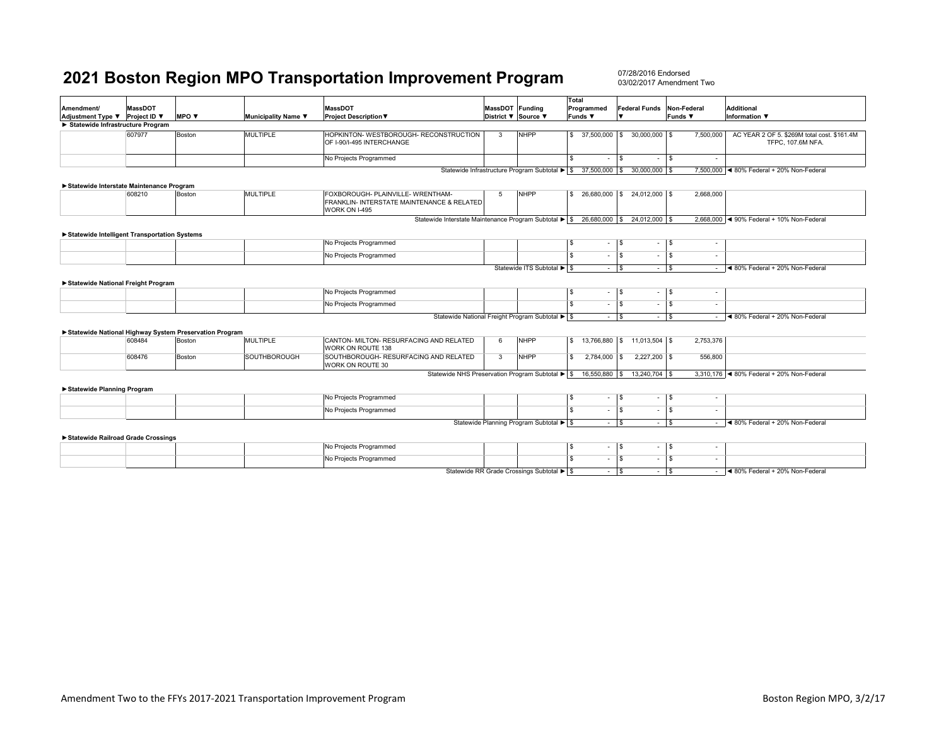| Amendment/                                                            | <b>MassDOT</b> |                              | <b>MassDOT</b>      | MassDOT Funding                                                                                  |         | Total<br>Programmed                                          | Federal Funds Non-Federal     |                                   | <b>Additional</b>                  |                                                                  |
|-----------------------------------------------------------------------|----------------|------------------------------|---------------------|--------------------------------------------------------------------------------------------------|---------|--------------------------------------------------------------|-------------------------------|-----------------------------------|------------------------------------|------------------------------------------------------------------|
| <b>MPO v</b><br>Adjustment Type ▼ Project ID ▼<br>Municipality Name ▼ |                | <b>Project Description ▼</b> | District ▼ Source ▼ |                                                                                                  | Funds ▼ |                                                              | Funds ▼                       | Information ▼                     |                                    |                                                                  |
| Statewide Infrastructure Program                                      |                |                              |                     |                                                                                                  |         |                                                              |                               |                                   |                                    |                                                                  |
|                                                                       | 607977         | Boston                       | MULTIPLE            | HOPKINTON- WESTBOROUGH- RECONSTRUCTION<br>OF I-90/I-495 INTERCHANGE                              | 3       | <b>NHPP</b>                                                  | l S                           | 37,500,000 \$ 30,000,000 \$       | 7,500,000                          | AC YEAR 2 OF 5. \$269M total cost. \$161.4M<br>TFPC, 107.6M NFA. |
|                                                                       |                |                              |                     | No Projects Programmed                                                                           |         |                                                              | S.<br>$\sim$                  | $\mathbf{s}$<br>$\sim$            | l \$<br>$\sim$                     |                                                                  |
|                                                                       |                |                              |                     |                                                                                                  |         | Statewide Infrastructure Program Subtotal ▶ \$ 37,500,000 \$ |                               | 30,000,000 \$                     |                                    | 7,500,000 < 80% Federal + 20% Non-Federal                        |
| Statewide Interstate Maintenance Program                              |                |                              |                     |                                                                                                  |         |                                                              |                               |                                   |                                    |                                                                  |
|                                                                       | 608210         | Boston                       | MULTIPLE            | FOXBOROUGH- PLAINVILLE- WRENTHAM-<br>FRANKLIN- INTERSTATE MAINTENANCE & RELATED<br>WORK ON I-495 | 5       | <b>NHPP</b>                                                  | $\mathbf{s}$                  | 26,680,000 \$ 24,012,000 \$       | 2,668,000                          |                                                                  |
|                                                                       |                |                              |                     | Statewide Interstate Maintenance Program Subtotal ▶ \$ 26,680,000 \$ 24,012,000 \$               |         |                                                              |                               |                                   |                                    | 2,668,000 < 90% Federal + 10% Non-Federal                        |
| Statewide Intelligent Transportation Systems                          |                |                              |                     |                                                                                                  |         |                                                              |                               |                                   |                                    |                                                                  |
|                                                                       |                |                              |                     | No Projects Programmed                                                                           |         |                                                              | S.<br>$\sim$                  | <b>S</b><br>$\sim$                | l s<br>$\sim$                      |                                                                  |
|                                                                       |                |                              |                     | No Projects Programmed                                                                           |         |                                                              | \$.<br>$\frac{1}{2}$          | $\sqrt{3}$<br>$\sim$              | l \$<br>٠                          |                                                                  |
|                                                                       |                |                              |                     |                                                                                                  |         | Statewide ITS Subtotal > \$                                  |                               | $ \sqrt{s}$<br>$\sim$             | l s<br>$\sim$                      | ◀ 80% Federal + 20% Non-Federal                                  |
| Statewide National Freight Program                                    |                |                              |                     |                                                                                                  |         |                                                              |                               |                                   |                                    |                                                                  |
|                                                                       |                |                              |                     | No Projects Programmed                                                                           |         |                                                              | \$<br>$\sim$                  | l s<br>$\sim$                     | l \$<br>$\sim$                     |                                                                  |
|                                                                       |                |                              |                     | No Projects Programmed                                                                           |         |                                                              | \$<br>$\sim$                  | $\overline{\mathbf{s}}$<br>$\sim$ | l s<br>$\sim$                      |                                                                  |
|                                                                       |                |                              |                     |                                                                                                  |         | Statewide National Freight Program Subtotal > \$             | $ s$                          | $\sim$                            | l \$<br>$\sim$ $-$                 | ◀ 80% Federal + 20% Non-Federal                                  |
| Statewide National Highway System Preservation Program                |                |                              |                     |                                                                                                  |         |                                                              |                               |                                   |                                    |                                                                  |
|                                                                       | 608484         | Boston                       | <b>MULTIPLE</b>     | CANTON- MILTON- RESURFACING AND RELATED<br>WORK ON ROUTE 138                                     | 6       | <b>NHPP</b>                                                  | l S                           | 13,766,880 \$ 11,013,504 \$       | 2,753,376                          |                                                                  |
|                                                                       | 608476         | Boston                       | SOUTHBOROUGH        | SOUTHBOROUGH- RESURFACING AND RELATED<br>WORK ON ROUTE 30                                        | 3       | <b>NHPP</b>                                                  | s.<br>2,784,000 \$            | $2.227.200$ \ \$                  | 556,800                            |                                                                  |
|                                                                       |                |                              |                     | Statewide NHS Preservation Program Subtotal ▶ \$                                                 |         |                                                              |                               | 16,550,880 \$ 13,240,704 \$       |                                    | 3,310,176 < 80% Federal + 20% Non-Federal                        |
| Statewide Planning Program                                            |                |                              |                     |                                                                                                  |         |                                                              |                               |                                   |                                    |                                                                  |
|                                                                       |                |                              |                     | No Projects Programmed                                                                           |         |                                                              | l \$<br>a.                    | $\overline{\mathbf{s}}$<br>$\sim$ | $\overline{\phantom{a}}$<br>$\sim$ |                                                                  |
|                                                                       |                |                              |                     | No Projects Programmed                                                                           |         |                                                              | $\overline{\mathbf{s}}$<br>÷. | <b>S</b><br>$\sim$                | l \$<br>$\overline{\phantom{0}}$   |                                                                  |
|                                                                       |                |                              |                     |                                                                                                  |         | Statewide Planning Program Subtotal ▶ \$                     | $ s$                          | $\sim$                            | l s<br>$\sim$ $-$                  | ◀ 80% Federal + 20% Non-Federal                                  |
|                                                                       |                |                              |                     |                                                                                                  |         |                                                              |                               |                                   |                                    |                                                                  |
| Statewide Railroad Grade Crossings                                    |                |                              |                     | No Projects Programmed                                                                           |         |                                                              | <b>S</b><br>$\sim$            | 1\$<br>$\sim$                     | l \$<br>$\overline{\phantom{a}}$   |                                                                  |
|                                                                       |                |                              |                     | No Projects Programmed                                                                           |         |                                                              | $\mathbf{s}$<br>$\sim$        | <b>S</b><br>$\sim$                | l \$<br>$\sim$                     |                                                                  |
|                                                                       |                |                              |                     |                                                                                                  |         | Statewide RR Grade Crossings Subtotal ▶ \$                   |                               | $ \sqrt{s}$                       | $\sqrt{3}$                         | ◀ 80% Federal + 20% Non-Federal                                  |
|                                                                       |                |                              |                     |                                                                                                  |         |                                                              |                               | $\sim$                            | $\sim$ $-$                         |                                                                  |
|                                                                       |                |                              |                     |                                                                                                  |         |                                                              |                               |                                   |                                    |                                                                  |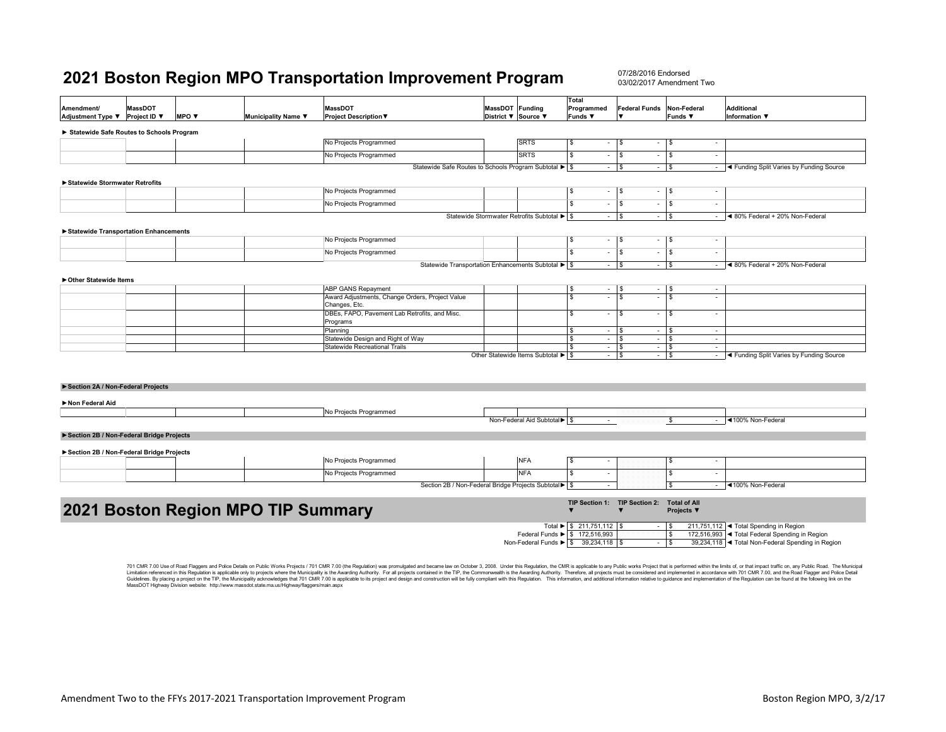07/28/2016 Endorsed03/02/2017 Amendment Two

| <b>MassDOT</b><br><b>MassDOT</b><br>MassDOT Funding<br>Programmed<br><b>Federal Funds</b><br>Non-Federal<br><b>Amendment/</b><br><b>Additional</b><br>MPO V<br>Adjustment Type ▼<br>Project ID ▼<br>Municipality Name ▼<br><b>Project Description ▼</b><br>District ▼ Source ▼<br>Funds ▼<br>Funds ▼<br>$\overline{\phantom{a}}$<br><b>Information</b> ▼<br>Statewide Safe Routes to Schools Program<br>No Projects Programmed<br><b>SRTS</b><br>\$<br>l S<br><b>S</b><br>$\sim$<br>$\overline{\phantom{a}}$<br>No Projects Programmed<br><b>SRTS</b><br><b>S</b><br>$\sqrt{3}$<br>$\sqrt{3}$<br>$\sim$<br>$\sim$<br>$\sim$<br>Statewide Safe Routes to Schools Program Subtotal ▶ \$<br>$ \sqrt{s}$<br>$-$ \$<br>◀ Funding Split Varies by Funding Source<br>$\sim$ |  |  |  |  |  |  |  |  |  |  |  |  |
|----------------------------------------------------------------------------------------------------------------------------------------------------------------------------------------------------------------------------------------------------------------------------------------------------------------------------------------------------------------------------------------------------------------------------------------------------------------------------------------------------------------------------------------------------------------------------------------------------------------------------------------------------------------------------------------------------------------------------------------------------------------------|--|--|--|--|--|--|--|--|--|--|--|--|
|                                                                                                                                                                                                                                                                                                                                                                                                                                                                                                                                                                                                                                                                                                                                                                      |  |  |  |  |  |  |  |  |  |  |  |  |
|                                                                                                                                                                                                                                                                                                                                                                                                                                                                                                                                                                                                                                                                                                                                                                      |  |  |  |  |  |  |  |  |  |  |  |  |
|                                                                                                                                                                                                                                                                                                                                                                                                                                                                                                                                                                                                                                                                                                                                                                      |  |  |  |  |  |  |  |  |  |  |  |  |
|                                                                                                                                                                                                                                                                                                                                                                                                                                                                                                                                                                                                                                                                                                                                                                      |  |  |  |  |  |  |  |  |  |  |  |  |
|                                                                                                                                                                                                                                                                                                                                                                                                                                                                                                                                                                                                                                                                                                                                                                      |  |  |  |  |  |  |  |  |  |  |  |  |
|                                                                                                                                                                                                                                                                                                                                                                                                                                                                                                                                                                                                                                                                                                                                                                      |  |  |  |  |  |  |  |  |  |  |  |  |
| Statewide Stormwater Retrofits                                                                                                                                                                                                                                                                                                                                                                                                                                                                                                                                                                                                                                                                                                                                       |  |  |  |  |  |  |  |  |  |  |  |  |
| No Projects Programmed<br>\$<br>$ \sqrt{5}$<br>$\sqrt{3}$<br>$\sim$<br>$\sim$                                                                                                                                                                                                                                                                                                                                                                                                                                                                                                                                                                                                                                                                                        |  |  |  |  |  |  |  |  |  |  |  |  |
| $\overline{\mathbf{s}}$<br>$\sqrt{s}$<br>No Projects Programmed<br>l \$<br>$\sim$<br>$\sim$<br>$\sim$                                                                                                                                                                                                                                                                                                                                                                                                                                                                                                                                                                                                                                                                |  |  |  |  |  |  |  |  |  |  |  |  |
| Statewide Stormwater Retrofits Subtotal ▶ S<br>$ \sqrt{s}$<br>$ \sqrt{3}$<br>◀ 80% Federal + 20% Non-Federal<br>$\sim$                                                                                                                                                                                                                                                                                                                                                                                                                                                                                                                                                                                                                                               |  |  |  |  |  |  |  |  |  |  |  |  |
| Statewide Transportation Enhancements                                                                                                                                                                                                                                                                                                                                                                                                                                                                                                                                                                                                                                                                                                                                |  |  |  |  |  |  |  |  |  |  |  |  |
| No Projects Programmed<br>\$<br>$-1$ s<br>$\sqrt{3}$<br>$\sim$<br>$\sim$                                                                                                                                                                                                                                                                                                                                                                                                                                                                                                                                                                                                                                                                                             |  |  |  |  |  |  |  |  |  |  |  |  |
| $\overline{\mathbf{s}}$<br>l s<br>$\overline{\phantom{a}}$<br>No Projects Programmed<br>$\sim$<br>$\sim$<br>$\overline{\phantom{a}}$                                                                                                                                                                                                                                                                                                                                                                                                                                                                                                                                                                                                                                 |  |  |  |  |  |  |  |  |  |  |  |  |
| Statewide Transportation Enhancements Subtotal ▶ \$<br>◀ 80% Federal + 20% Non-Federal<br>$ \sqrt{s}$<br>$ \sqrt{3}$<br>$\sim$                                                                                                                                                                                                                                                                                                                                                                                                                                                                                                                                                                                                                                       |  |  |  |  |  |  |  |  |  |  |  |  |
|                                                                                                                                                                                                                                                                                                                                                                                                                                                                                                                                                                                                                                                                                                                                                                      |  |  |  |  |  |  |  |  |  |  |  |  |
| ▶ Other Statewide Items<br>ABP GANS Repayment<br>$\overline{\phantom{a}}$                                                                                                                                                                                                                                                                                                                                                                                                                                                                                                                                                                                                                                                                                            |  |  |  |  |  |  |  |  |  |  |  |  |
| \$<br>$-$   \$<br><b>S</b><br>$\sim$<br>Award Adjustments, Change Orders, Project Value<br>\$<br>$\mathbf{s}$<br>Τs<br>$\sim$<br>$\sim$<br>÷,                                                                                                                                                                                                                                                                                                                                                                                                                                                                                                                                                                                                                        |  |  |  |  |  |  |  |  |  |  |  |  |
| Changes, Etc.                                                                                                                                                                                                                                                                                                                                                                                                                                                                                                                                                                                                                                                                                                                                                        |  |  |  |  |  |  |  |  |  |  |  |  |
| DBEs, FAPO, Pavement Lab Retrofits, and Misc.<br>$\sqrt{3}$<br>l \$<br>s<br>$\sim$<br>$\sim$<br>$\sim$<br>Programs                                                                                                                                                                                                                                                                                                                                                                                                                                                                                                                                                                                                                                                   |  |  |  |  |  |  |  |  |  |  |  |  |
| \$<br>$ \sqrt{s}$<br>$\sqrt{3}$<br>Planning<br>$\overline{\phantom{a}}$<br>$\sim$                                                                                                                                                                                                                                                                                                                                                                                                                                                                                                                                                                                                                                                                                    |  |  |  |  |  |  |  |  |  |  |  |  |
| Statewide Design and Right of Way<br>\$<br>$ \sqrt{s}$<br>$\sqrt{3}$<br>$\sim$<br>$\sim$                                                                                                                                                                                                                                                                                                                                                                                                                                                                                                                                                                                                                                                                             |  |  |  |  |  |  |  |  |  |  |  |  |
| <b>Statewide Recreational Trails</b><br>$ \sqrt{s}$<br>$\sqrt{3}$<br>\$<br>$\sim$<br>$\sim$                                                                                                                                                                                                                                                                                                                                                                                                                                                                                                                                                                                                                                                                          |  |  |  |  |  |  |  |  |  |  |  |  |
| Other Statewide Items Subtotal ▶ \$<br>$ \sqrt{3}$<br>◀ Funding Split Varies by Funding Source<br>$ s$<br>$\sim$                                                                                                                                                                                                                                                                                                                                                                                                                                                                                                                                                                                                                                                     |  |  |  |  |  |  |  |  |  |  |  |  |
|                                                                                                                                                                                                                                                                                                                                                                                                                                                                                                                                                                                                                                                                                                                                                                      |  |  |  |  |  |  |  |  |  |  |  |  |
| Section 2A / Non-Federal Projects                                                                                                                                                                                                                                                                                                                                                                                                                                                                                                                                                                                                                                                                                                                                    |  |  |  |  |  |  |  |  |  |  |  |  |
|                                                                                                                                                                                                                                                                                                                                                                                                                                                                                                                                                                                                                                                                                                                                                                      |  |  |  |  |  |  |  |  |  |  |  |  |
| Non Federal Aid                                                                                                                                                                                                                                                                                                                                                                                                                                                                                                                                                                                                                                                                                                                                                      |  |  |  |  |  |  |  |  |  |  |  |  |
| No Projects Programmed<br>◀100% Non-Federal<br>Non-Federal Aid Subtotal > \$<br>\$<br>$\sim$<br>$\sim$                                                                                                                                                                                                                                                                                                                                                                                                                                                                                                                                                                                                                                                               |  |  |  |  |  |  |  |  |  |  |  |  |
|                                                                                                                                                                                                                                                                                                                                                                                                                                                                                                                                                                                                                                                                                                                                                                      |  |  |  |  |  |  |  |  |  |  |  |  |
| Section 2B / Non-Federal Bridge Projects                                                                                                                                                                                                                                                                                                                                                                                                                                                                                                                                                                                                                                                                                                                             |  |  |  |  |  |  |  |  |  |  |  |  |
| Section 2B / Non-Federal Bridge Projects                                                                                                                                                                                                                                                                                                                                                                                                                                                                                                                                                                                                                                                                                                                             |  |  |  |  |  |  |  |  |  |  |  |  |
| <b>NFA</b><br>No Projects Programmed<br>$\mathbb{S}$<br>l \$<br>$\overline{\phantom{a}}$<br>$\overline{\phantom{a}}$                                                                                                                                                                                                                                                                                                                                                                                                                                                                                                                                                                                                                                                 |  |  |  |  |  |  |  |  |  |  |  |  |
| <b>NFA</b><br>No Projects Programmed<br>\$<br>$\sqrt{3}$<br>$\sim$<br>$\overline{\phantom{a}}$                                                                                                                                                                                                                                                                                                                                                                                                                                                                                                                                                                                                                                                                       |  |  |  |  |  |  |  |  |  |  |  |  |
| Section 2B / Non-Federal Bridge Projects Subtotal > \$<br>◀100% Non-Federal<br>\$<br>$\sim$<br>$\sim$                                                                                                                                                                                                                                                                                                                                                                                                                                                                                                                                                                                                                                                                |  |  |  |  |  |  |  |  |  |  |  |  |
|                                                                                                                                                                                                                                                                                                                                                                                                                                                                                                                                                                                                                                                                                                                                                                      |  |  |  |  |  |  |  |  |  |  |  |  |
| TIP Section 1: TIP Section 2: Total of All<br>2021 Boston Region MPO TIP Summary<br>$\overline{\mathbf{v}}$                                                                                                                                                                                                                                                                                                                                                                                                                                                                                                                                                                                                                                                          |  |  |  |  |  |  |  |  |  |  |  |  |
| Projects ▼                                                                                                                                                                                                                                                                                                                                                                                                                                                                                                                                                                                                                                                                                                                                                           |  |  |  |  |  |  |  |  |  |  |  |  |
| Total ▶ \$ 211,751,112 \$<br>211,751,112  ◀ Total Spending in Region<br>l \$                                                                                                                                                                                                                                                                                                                                                                                                                                                                                                                                                                                                                                                                                         |  |  |  |  |  |  |  |  |  |  |  |  |
| Federal Funds > \$ 172,516,993<br>$\sqrt{3}$<br>172,516,993 < Total Federal Spending in Region<br>Non-Federal Funds ▶ \$ 39,234,118 \$<br>39,234,118 < Total Non-Federal Spending in Region<br>$ s$                                                                                                                                                                                                                                                                                                                                                                                                                                                                                                                                                                  |  |  |  |  |  |  |  |  |  |  |  |  |

701 CMR 7.00 Use of Road Flaggers and Police Details on Public Works Projects / 701 CMR 7.00 (the Regulation) was promulgated and became law on October 3, 2008. Under this Regulation, the CMR is applicable to any Public wo Limitation referenced in this Regulation is applicable only to projects where the Municpality is the Awarding Authority. For all projects contained in the TIP, the Commonwealth is the Awarding Authority. Therefore, all pro